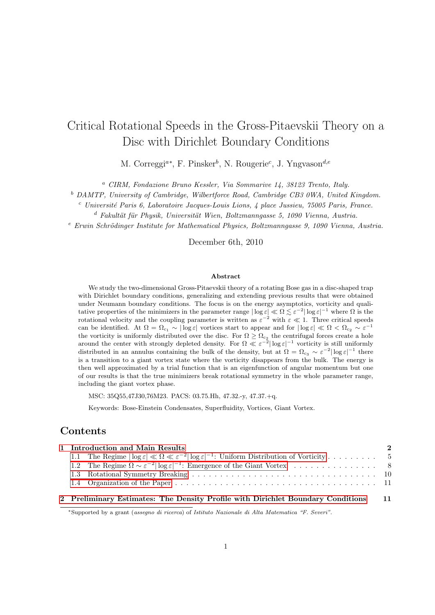# Critical Rotational Speeds in the Gross-Pitaevskii Theory on a Disc with Dirichlet Boundary Conditions

M. Correggi<sup>a\*</sup>, F. Pinsker<sup>b</sup>, N. Rougerie<sup>c</sup>, J. Yngvason<sup>d,e</sup>

<sup>a</sup> CIRM, Fondazione Bruno Kessler, Via Sommarive 14, 38123 Trento, Italy.

<sup>b</sup> DAMTP, University of Cambridge, Wilbertforce Road, Cambridge CB3 0WA, United Kingdom.

 $c$  Université Paris 6, Laboratoire Jacques-Louis Lions, 4 place Jussieu, 75005 Paris, France.

 $d$  Fakultät für Physik, Universität Wien, Boltzmanngasse 5, 1090 Vienna, Austria.

 $e$  Erwin Schrödinger Institute for Mathematical Physics, Boltzmanngasse 9, 1090 Vienna, Austria.

December 6th, 2010

### Abstract

We study the two-dimensional Gross-Pitaevskii theory of a rotating Bose gas in a disc-shaped trap with Dirichlet boundary conditions, generalizing and extending previous results that were obtained under Neumann boundary conditions. The focus is on the energy asymptotics, vorticity and qualitative properties of the minimizers in the parameter range  $|\log \varepsilon| \ll \Omega \lesssim \varepsilon^{-2} |\log \varepsilon|^{-1}$  where  $\Omega$  is the rotational velocity and the coupling parameter is written as  $\varepsilon^{-2}$  with  $\varepsilon \ll 1$ . Three critical speeds can be identified. At  $\Omega = \Omega_{c_1} \sim |\log \varepsilon|$  vortices start to appear and for  $|\log \varepsilon| \ll \Omega < \Omega_{c_2} \sim \varepsilon^{-1}$ the vorticity is uniformly distributed over the disc. For  $\Omega \geq \Omega_{c_2}$  the centrifugal forces create a hole around the center with strongly depleted density. For  $\Omega \ll \varepsilon^{-2} |\log \varepsilon|^{-1}$  vorticity is still uniformly distributed in an annulus containing the bulk of the density, but at  $\Omega = \Omega_{c_3} \sim \varepsilon^{-2} |\log \varepsilon|^{-1}$  there is a transition to a giant vortex state where the vorticity disappears from the bulk. The energy is then well approximated by a trial function that is an eigenfunction of angular momentum but one of our results is that the true minimizers break rotational symmetry in the whole parameter range, including the giant vortex phase.

MSC: 35Q55,47J30,76M23. PACS: 03.75.Hh, 47.32.-y, 47.37.+q.

Keywords: Bose-Einstein Condensates, Superfluidity, Vortices, Giant Vortex.

# Contents

|  | 1 Introduction and Main Results                                                                                                    |      |
|--|------------------------------------------------------------------------------------------------------------------------------------|------|
|  | 1.1 The Regime $ \log \varepsilon  \ll \Omega \ll \varepsilon^{-2}  \log \varepsilon ^{-1}$ : Uniform Distribution of Vorticity  5 |      |
|  |                                                                                                                                    |      |
|  |                                                                                                                                    |      |
|  |                                                                                                                                    |      |
|  | 2 Preliminary Estimates: The Density Profile with Dirichlet Boundary Conditions                                                    | - 11 |

### <sup>∗</sup>Supported by a grant (assegno di ricerca) of Istituto Nazionale di Alta Matematica "F. Severi".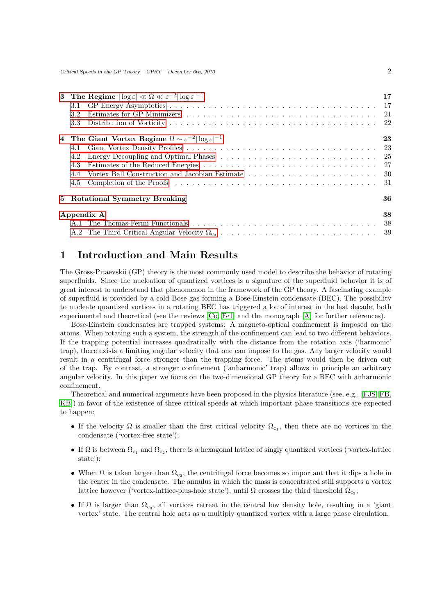| 3.1<br>3.2<br>3.3 | 3 The Regime $ \log \varepsilon  \ll \Omega \ll \varepsilon^{-2}  \log \varepsilon ^{-1}$ | 17 |  |  |  |
|-------------------|-------------------------------------------------------------------------------------------|----|--|--|--|
|                   | 4 The Giant Vortex Regime $\Omega \sim \varepsilon^{-2}  \log \varepsilon ^{-1}$          | 23 |  |  |  |
| 4.1               |                                                                                           |    |  |  |  |
| 4.2               |                                                                                           |    |  |  |  |
| 4.3               |                                                                                           |    |  |  |  |
| 4.4               |                                                                                           |    |  |  |  |
| 4.5               |                                                                                           |    |  |  |  |
|                   | 5 Rotational Symmetry Breaking                                                            | 36 |  |  |  |
| 38<br>Appendix A  |                                                                                           |    |  |  |  |
|                   |                                                                                           |    |  |  |  |
|                   |                                                                                           |    |  |  |  |

# <span id="page-1-0"></span>1 Introduction and Main Results

The Gross-Pitaevskii (GP) theory is the most commonly used model to describe the behavior of rotating superfluids. Since the nucleation of quantized vortices is a signature of the superfluid behavior it is of great interest to understand that phenomenon in the framework of the GP theory. A fascinating example of superfluid is provided by a cold Bose gas forming a Bose-Einstein condensate (BEC). The possibility to nucleate quantized vortices in a rotating BEC has triggered a lot of interest in the last decade, both experimental and theoretical (see the reviews [\[Co,](#page-39-0) [Fe1\]](#page-39-1) and the monograph [\[A\]](#page-39-2) for further references).

Bose-Einstein condensates are trapped systems: A magneto-optical confinement is imposed on the atoms. When rotating such a system, the strength of the confinement can lead to two different behaviors. If the trapping potential increases quadratically with the distance from the rotation axis ('harmonic' trap), there exists a limiting angular velocity that one can impose to the gas. Any larger velocity would result in a centrifugal force stronger than the trapping force. The atoms would then be driven out of the trap. By contrast, a stronger confinement ('anharmonic' trap) allows in principle an arbitrary angular velocity. In this paper we focus on the two-dimensional GP theory for a BEC with anharmonic confinement.

Theoretical and numerical arguments have been proposed in the physics literature (see, e.g., [\[FJS,](#page-39-3) [FB,](#page-39-4) [KB\]](#page-39-5)) in favor of the existence of three critical speeds at which important phase transitions are expected to happen:

- If the velocity  $\Omega$  is smaller than the first critical velocity  $\Omega_{c_1}$ , then there are no vortices in the condensate ('vortex-free state');
- If  $\Omega$  is between  $\Omega_{c_1}$  and  $\Omega_{c_2}$ , there is a hexagonal lattice of singly quantized vortices ('vortex-lattice state');
- When  $\Omega$  is taken larger than  $\Omega_{c_2}$ , the centrifugal force becomes so important that it dips a hole in the center in the condensate. The annulus in which the mass is concentrated still supports a vortex lattice however ('vortex-lattice-plus-hole state'), until  $\Omega$  crosses the third threshold  $\Omega_{c_3}$ ;
- If  $\Omega$  is larger than  $\Omega_{c_3}$ , all vortices retreat in the central low density hole, resulting in a 'giant vortex' state. The central hole acts as a multiply quantized vortex with a large phase circulation.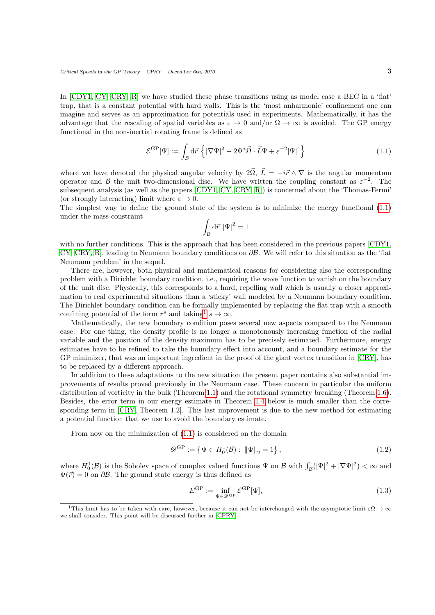In [\[CDY1,](#page-39-6) [CY,](#page-39-7) [CRY,](#page-39-8) [R\]](#page-39-9) we have studied these phase transitions using as model case a BEC in a 'flat' trap, that is a constant potential with hard walls. This is the 'most anharmonic' confinement one can imagine and serves as an approximation for potentials used in experiments. Mathematically, it has the advantage that the rescaling of spatial variables as  $\varepsilon \to 0$  and/or  $\Omega \to \infty$  is avoided. The GP energy functional in the non-inertial rotating frame is defined as

<span id="page-2-0"></span>
$$
\mathcal{E}^{\rm GP}[\Psi] := \int_{\mathcal{B}} d\vec{r} \left\{ |\nabla \Psi|^2 - 2\Psi^* \vec{\Omega} \cdot \vec{L} \Psi + \varepsilon^{-2} |\Psi|^4 \right\} \tag{1.1}
$$

where we have denoted the physical angular velocity by  $2\vec{\Omega}$ ,  $\vec{L} = -i\vec{r} \wedge \nabla$  is the angular momentum operator and B the unit two-dimensional disc. We have written the coupling constant as  $\varepsilon^{-2}$ . The subsequent analysis (as well as the papers [\[CDY1,](#page-39-6) [CY,](#page-39-7) [CRY,](#page-39-8) [R\]](#page-39-9)) is concerned about the 'Thomas-Fermi' (or strongly interacting) limit where  $\varepsilon \to 0$ .

The simplest way to define the ground state of the system is to minimize the energy functional [\(1.1\)](#page-2-0) under the mass constraint

$$
\int_{\mathcal{B}} \mathrm{d}\vec{r} \, \left|\Psi\right|^2 = 1
$$

with no further conditions. This is the approach that has been considered in the previous papers [\[CDY1,](#page-39-6) [CY,](#page-39-7) [CRY,](#page-39-8) [R\]](#page-39-9), leading to Neumann boundary conditions on ∂B. We will refer to this situation as the 'flat Neumann problem' in the sequel.

There are, however, both physical and mathematical reasons for considering also the corresponding problem with a Dirichlet boundary condition, i.e., requiring the wave function to vanish on the boundary of the unit disc. Physically, this corresponds to a hard, repelling wall which is usually a closer approximation to real experimental situations than a 'sticky' wall modeled by a Neumann boundary condition. The Dirichlet boundary condition can be formally implemented by replacing the flat trap with a smooth confining potential of the form  $r^s$  and taking<sup>[1](#page-2-1)</sup>  $s \to \infty$ .

Mathematically, the new boundary condition poses several new aspects compared to the Neumann case. For one thing, the density profile is no longer a monotonously increasing function of the radial variable and the position of the density maximum has to be precisely estimated. Furthermore, energy estimates have to be refined to take the boundary effect into account, and a boundary estimate for the GP minimizer, that was an important ingredient in the proof of the giant vortex transition in [\[CRY\]](#page-39-8), has to be replaced by a different approach.

In addition to these adaptations to the new situation the present paper contains also substantial improvements of results proved previously in the Neumann case. These concern in particular the uniform distribution of vorticity in the bulk (Theorem [1.1\)](#page-5-0) and the rotational symmetry breaking (Theorem [1.6\)](#page-9-1). Besides, the error term in our energy estimate in Theorem [1.4](#page-8-0) below is much smaller than the corresponding term in [\[CRY,](#page-39-8) Theorem 1.2]. This last improvement is due to the new method for estimating a potential function that we use to avoid the boundary estimate.

From now on the minimization of [\(1.1\)](#page-2-0) is considered on the domain

$$
\mathscr{D}^{\text{GP}} := \{ \Psi \in H_0^1(\mathcal{B}) : \|\Psi\|_2 = 1 \},\tag{1.2}
$$

where  $H_0^1(\mathcal{B})$  is the Sobolev space of complex valued functions  $\Psi$  on  $\mathcal{B}$  with  $\int_{\mathcal{B}}(|\Psi|^2 + |\nabla \Psi|^2) < \infty$  and  $\Psi(\vec{r}) = 0$  on  $\partial \mathcal{B}$ . The ground state energy is thus defined as

$$
E^{\rm GP} := \inf_{\Psi \in \mathcal{D}^{\rm GP}} \mathcal{E}^{\rm GP}[\Psi],\tag{1.3}
$$

<span id="page-2-1"></span><sup>&</sup>lt;sup>1</sup>This limit has to be taken with care, however, because it can not be interchanged with the asymptotic limit  $\varepsilon\Omega \to \infty$ we shall consider. This point will be discussed further in [\[CPRY\]](#page-39-10).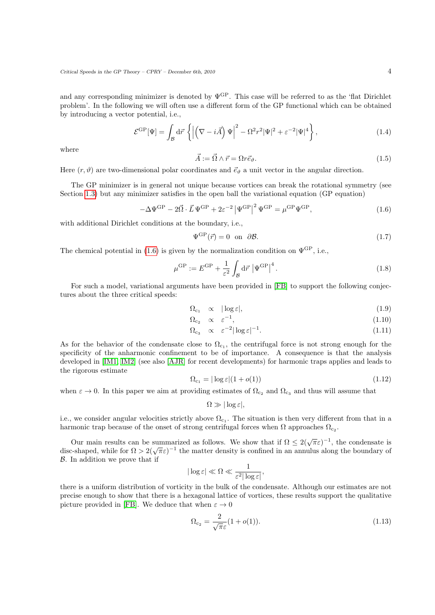and any corresponding minimizer is denoted by  $\Psi^{\text{GP}}$ . This case will be referred to as the 'flat Dirichlet problem'. In the following we will often use a different form of the GP functional which can be obtained by introducing a vector potential, i.e.,

$$
\mathcal{E}^{\rm GP}[\Psi] = \int_{\mathcal{B}} d\vec{r} \left\{ \left| \left( \nabla - i\vec{A} \right) \Psi \right|^2 - \Omega^2 r^2 |\Psi|^2 + \varepsilon^{-2} |\Psi|^4 \right\},\tag{1.4}
$$

where

<span id="page-3-1"></span><span id="page-3-0"></span>
$$
\vec{A} := \vec{\Omega} \wedge \vec{r} = \Omega r \vec{e}_{\vartheta}.
$$
\n(1.5)

Here  $(r, \vartheta)$  are two-dimensional polar coordinates and  $\vec{e}_{\vartheta}$  a unit vector in the angular direction.

The GP minimizer is in general not unique because vortices can break the rotational symmetry (see Section [1.3\)](#page-9-0) but any minimizer satisfies in the open ball the variational equation (GP equation)

$$
-\Delta\Psi^{\rm GP} - 2\vec{\Omega} \cdot \vec{L}\,\Psi^{\rm GP} + 2\varepsilon^{-2} \left|\Psi^{\rm GP}\right|^2 \Psi^{\rm GP} = \mu^{\rm GP}\Psi^{\rm GP},\tag{1.6}
$$

with additional Dirichlet conditions at the boundary, i.e.,

$$
\Psi^{\text{GP}}(\vec{r}) = 0 \quad \text{on} \quad \partial \mathcal{B}.\tag{1.7}
$$

The chemical potential in [\(1.6\)](#page-3-0) is given by the normalization condition on  $\Psi^{\text{GP}}$ , i.e.,

$$
\mu^{\rm GP} := E^{\rm GP} + \frac{1}{\varepsilon^2} \int_{\mathcal{B}} d\vec{r} \, \left| \Psi^{\rm GP} \right|^4. \tag{1.8}
$$

For such a model, variational arguments have been provided in [\[FB\]](#page-39-4) to support the following conjectures about the three critical speeds:

$$
\Omega_{c_1} \quad \propto \quad |\log \varepsilon|,\tag{1.9}
$$

$$
\Omega_{c_2} \quad \propto \quad \varepsilon^{-1},\tag{1.10}
$$

$$
\Omega_{c_3} \quad \propto \quad \varepsilon^{-2} |\log \varepsilon|^{-1}.\tag{1.11}
$$

As for the behavior of the condensate close to  $\Omega_{c_1}$ , the centrifugal force is not strong enough for the specificity of the anharmonic confinement to be of importance. A consequence is that the analysis developed in [\[IM1,](#page-39-11) [IM2\]](#page-39-12) (see also [\[AJR\]](#page-39-13) for recent developments) for harmonic traps applies and leads to the rigorous estimate

$$
\Omega_{c_1} = |\log \varepsilon| (1 + o(1)) \tag{1.12}
$$

when  $\varepsilon \to 0$ . In this paper we aim at providing estimates of  $\Omega_{c_2}$  and  $\Omega_{c_3}$  and thus will assume that

 $\Omega \gg |\log \varepsilon|$ ,

i.e., we consider angular velocities strictly above  $\Omega_{c_1}$ . The situation is then very different from that in a harmonic trap because of the onset of strong centrifugal forces when  $\Omega$  approaches  $\Omega_{c_2}$ .

Our main results can be summarized as follows. We show that if  $\Omega \leq 2(\sqrt{\pi}\varepsilon)^{-1}$ , the condensate is Our main results can be summarized as follows. We show that  $\pi$   $\chi$   $\leq$  2( $\sqrt{\pi \varepsilon}$ ) are condensate is disc-shaped, while for  $\Omega > 2(\sqrt{\pi \varepsilon})^{-1}$  the matter density is confined in an annulus along the boundary of B. In addition we prove that if

$$
|\log \varepsilon| \ll \Omega \ll \frac{1}{\varepsilon^2 |\log \varepsilon|},
$$

there is a uniform distribution of vorticity in the bulk of the condensate. Although our estimates are not precise enough to show that there is a hexagonal lattice of vortices, these results support the qualitative picture provided in [\[FB\]](#page-39-4). We deduce that when  $\varepsilon \to 0$ 

$$
\Omega_{c_2} = \frac{2}{\sqrt{\pi}\varepsilon}(1 + o(1)).\tag{1.13}
$$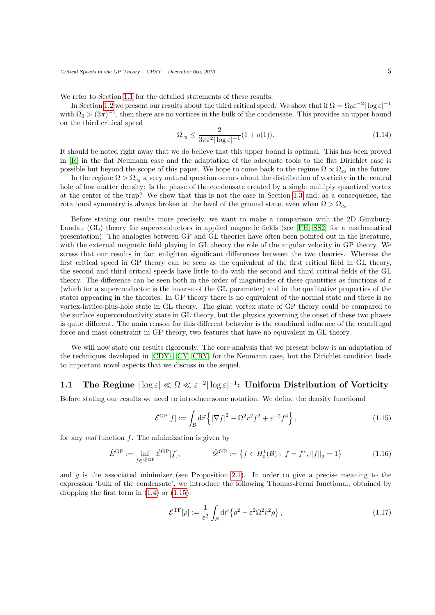We refer to Section [1.1](#page-4-0) for the detailed statements of these results.

In Section [1.2](#page-7-0) we present our results about the third critical speed. We show that if  $\Omega = \Omega_0 \varepsilon^{-2} |\log \varepsilon|^{-1}$ with  $\Omega_0 > (3\pi)^{-1}$ , then there are no vortices in the bulk of the condensate. This provides an upper bound on the third critical speed

$$
\Omega_{c_3} \le \frac{2}{3\pi\varepsilon^2 |\log \varepsilon|^{-1}} (1 + o(1)).
$$
\n(1.14)

It should be noted right away that we do believe that this upper bound is optimal. This has been proved in [\[R\]](#page-39-9) in the flat Neumann case and the adaptation of the adequate tools to the flat Dirichlet case is possible but beyond the scope of this paper. We hope to come back to the regime  $\Omega \propto \Omega_{\rm c3}$  in the future.

In the regime  $\Omega > \Omega_{\rm c3}$  a very natural question occurs about the distribution of vorticity in the central hole of low matter density: Is the phase of the condensate created by a single multiply quantized vortex at the center of the trap? We show that this is not the case in Section [1.3](#page-9-0) and, as a consequence, the rotational symmetry is always broken at the level of the ground state, even when  $\Omega > \Omega_{\rm c_3}$ .

Before stating our results more precisely, we want to make a comparison with the 2D Ginzburg-Landau (GL) theory for superconductors in applied magnetic fields (see [\[FH,](#page-39-14) [SS2\]](#page-40-0) for a mathematical presentation). The analogies between GP and GL theories have often been pointed out in the literature, with the external magnetic field playing in GL theory the role of the angular velocity in GP theory. We stress that our results in fact enlighten significant differences between the two theories. Whereas the first critical speed in GP theory can be seen as the equivalent of the first critical field in GL theory, the second and third critical speeds have little to do with the second and third critical fields of the GL theory. The difference can be seen both in the order of magnitudes of these quantities as functions of  $\varepsilon$ (which for a superconductor is the inverse of the GL parameter) and in the qualitative properties of the states appearing in the theories. In GP theory there is no equivalent of the normal state and there is no vortex-lattice-plus-hole state in GL theory. The giant vortex state of GP theory could be compared to the surface superconductivity state in GL theory, but the physics governing the onset of these two phases is quite different. The main reason for this different behavior is the combined influence of the centrifugal force and mass constraint in GP theory, two features that have no equivalent in GL theory.

We will now state our results rigorously. The core analysis that we present below is an adaptation of the techniques developed in [\[CDY1,](#page-39-6) [CY,](#page-39-7) [CRY\]](#page-39-8) for the Neumann case, but the Dirichlet condition leads to important novel aspects that we discuss in the sequel.

## <span id="page-4-0"></span>1.1 The Regime  $|\log \varepsilon| \ll \Omega \ll \varepsilon^{-2} |\log \varepsilon|^{-1}$ : Uniform Distribution of Vorticity

Before stating our results we need to introduce some notation. We define the density functional

<span id="page-4-2"></span><span id="page-4-1"></span>
$$
\hat{\mathcal{E}}^{\rm GP}[f] := \int_{\mathcal{B}} d\vec{r} \left\{ |\nabla f|^2 - \Omega^2 r^2 f^2 + \varepsilon^{-2} f^4 \right\},\tag{1.15}
$$

for any real function  $f$ . The minimization is given by

$$
\hat{E}^{\rm GP} := \inf_{f \in \hat{\mathscr{D}}^{\rm GP}} \hat{\mathscr{E}}^{\rm GP}[f], \qquad \hat{\mathscr{D}}^{\rm GP} := \{ f \in H_0^1(\mathcal{B}) : f = f^*, \|f\|_2 = 1 \}
$$
(1.16)

and  $g$  is the associated minimizer (see Proposition [2.1\)](#page-10-2). In order to give a precise meaning to the expression 'bulk of the condensate', we introduce the following Thomas-Fermi functional, obtained by dropping the first term in [\(1.4\)](#page-3-1) or [\(1.15\)](#page-4-1):

<span id="page-4-3"></span>
$$
\mathcal{E}^{\rm TF}[\rho] := \frac{1}{\varepsilon^2} \int_{\mathcal{B}} d\vec{r} \left\{ \rho^2 - \varepsilon^2 \Omega^2 r^2 \rho \right\},\tag{1.17}
$$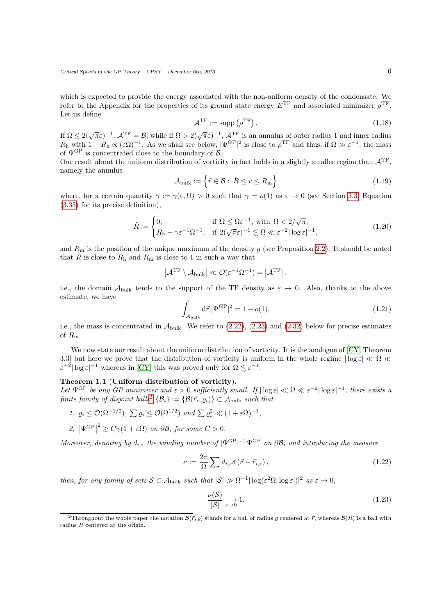which is expected to provide the energy associated with the non-uniform density of the condensate. We refer to the Appendix for the properties of its ground state energy  $E^{TF}$  and associated minimizer  $\rho^{TF}$ . Let us define

$$
\mathcal{A}^{\mathrm{TF}} := \mathrm{supp} \left( \rho^{\mathrm{TF}} \right). \tag{1.18}
$$

If  $\Omega \leq 2(\sqrt{\pi}\varepsilon)^{-1}$ ,  $\mathcal{A}^{TF} = \mathcal{B}$ , while if  $\Omega > 2(\sqrt{\pi}\varepsilon)^{-1}$ ,  $\mathcal{A}^{TF}$  is an annulus of outer radius 1 and inner radius  $R_h$  with  $1 - R_h \propto (\varepsilon \Omega)^{-1}$ . As we shall see below,  $|\Psi^{\text{GP}}|^2$  is close to  $\rho^{\text{TF}}$  and thus, if  $\Omega \gg \varepsilon^{-1}$ , the mass of  $\Psi^{\rm GP}$  is concentrated close to the boundary of  $\mathcal B$ .

Our result about the uniform distribution of vorticity in fact holds in a slightly smaller region than  $A^{TF}$ , namely the annulus

$$
\mathcal{A}_{\text{bulk}} := \left\{ \vec{r} \in \mathcal{B} : \ \tilde{R} \le r \le R_{\text{m}} \right\} \tag{1.19}
$$

where, for a certain quantity  $\gamma := \gamma(\varepsilon, \Omega) > 0$  such that  $\gamma = o(1)$  as  $\varepsilon \to 0$  (see Section [3.3,](#page-21-0) Equation [\(3.35\)](#page-21-1) for its precise definition),

$$
\tilde{R} := \begin{cases}\n0, & \text{if } \Omega \leq \bar{\Omega} \varepsilon^{-1}, \text{ with } \bar{\Omega} < 2/\sqrt{\pi}, \\
R_h + \gamma \varepsilon^{-1} \Omega^{-1}, & \text{if } 2(\sqrt{\pi}\varepsilon)^{-1} \lesssim \Omega \ll \varepsilon^{-2} |\log \varepsilon|^{-1},\n\end{cases} \tag{1.20}
$$

and  $R<sub>m</sub>$  is the position of the unique maximum of the density g (see Proposition [2.2\)](#page-12-0). It should be noted that  $\hat{R}$  is close to  $R_h$  and  $R_m$  is close to 1 in such a way that

<span id="page-5-2"></span>
$$
\left|\mathcal{A}^{\mathrm{TF}}\setminus\mathcal{A}_{\mathrm{bulk}}\right|\ll\mathcal{O}(\varepsilon^{-1}\Omega^{-1})=\left|\mathcal{A}^{\mathrm{TF}}\right|,
$$

i.e., the domain  $\mathcal{A}_{\text{bulk}}$  tends to the support of the TF density as  $\varepsilon \to 0$ . Also, thanks to the above estimate, we have

$$
\int_{\mathcal{A}_{\text{bulk}}} d\vec{r} |\Psi^{\text{GP}}|^2 = 1 - o(1),\tag{1.21}
$$

i.e., the mass is concentrated in  $\mathcal{A}_{\text{bulk}}$ . We refer to [\(2.22\)](#page-13-0), [\(2.23\)](#page-14-0) and [\(2.32\)](#page-15-0) below for precise estimates of  $R_{\rm m}$ .

We now state our result about the uniform distribution of vorticity. It is the analogue of [\[CY,](#page-39-7) Theorem 3.3] but here we prove that the distribution of vorticity is uniform in the whole regime  $|\log \varepsilon| \ll \Omega \ll$  $\epsilon^{-2} |\log \epsilon|^{-1}$  whereas in [\[CY\]](#page-39-7) this was proved only for  $\Omega \lesssim \epsilon^{-1}$ .

## <span id="page-5-0"></span>Theorem 1.1 (Uniform distribution of vorticity).

Let  $\Psi^{\text{GP}}$  be any GP minimizer and  $\varepsilon > 0$  sufficiently small. If  $|\log \varepsilon| \ll \Omega \ll \varepsilon^{-2} |\log \varepsilon|^{-1}$ , there exists a finite family of disjoint balls<sup>[2](#page-5-1)</sup> { $\mathcal{B}_i$ } := { $\mathcal{B}(\vec{r}_i, \varrho_i)$ }  $\subset \mathcal{A}_{\text{bulk}}$  such that

- 1.  $\varrho_i \leq \mathcal{O}(\Omega^{-1/2}), \sum \varrho_i \leq \mathcal{O}(\Omega^{1/2})$  and  $\sum \varrho_i^2 \ll (1 + \varepsilon \Omega)^{-1},$
- 2.  $|\Psi^{\mathrm{GP}}|$  $2<sup>2</sup> \geq C\gamma(1+\varepsilon\Omega)$  on  $\partial \mathcal{B}_i$  for some  $C > 0$ .

Moreover, denoting by  $d_{i,\varepsilon}$  the winding number of  $|\Psi^{\mathrm{GP}}|^{-1}\Psi^{\mathrm{GP}}$  on  $\partial \mathcal{B}_i$  and introducing the measure

$$
\nu := \frac{2\pi}{\Omega} \sum d_{i,\varepsilon} \delta\left(\vec{r} - \vec{r}_{i,\varepsilon}\right),\tag{1.22}
$$

then, for any family of sets  $S \subset A_{\text{bulk}}$  such that  $|S| \gg \Omega^{-1} |\log(\varepsilon^2 \Omega| \log \varepsilon)|^2$  as  $\varepsilon \to 0$ ,

$$
\frac{\nu(\mathcal{S})}{|\mathcal{S}|} \underset{\varepsilon \to 0}{\longrightarrow} 1. \tag{1.23}
$$

<span id="page-5-1"></span><sup>&</sup>lt;sup>2</sup>Throughout the whole paper the notation  $\mathcal{B}(\vec{r}, \rho)$  stands for a ball of radius  $\rho$  centered at  $\vec{r}$ , whereas  $\mathcal{B}(R)$  is a ball with radius R centered at the origin.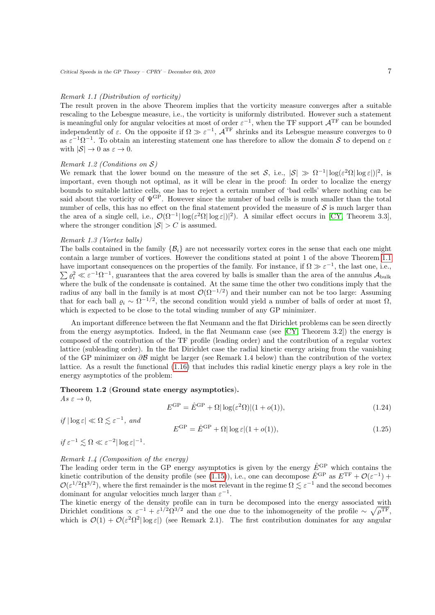### Remark 1.1 (Distribution of vorticity)

The result proven in the above Theorem implies that the vorticity measure converges after a suitable rescaling to the Lebesgue measure, i.e., the vorticity is uniformly distributed. However such a statement is meaningful only for angular velocities at most of order  $\varepsilon^{-1}$ , when the TF support  $\mathcal{A}^{TF}$  can be bounded independently of  $\varepsilon$ . On the opposite if  $\Omega \gg \varepsilon^{-1}$ ,  $\mathcal{A}^{TF}$  shrinks and its Lebesgue measure converges to 0 as  $\varepsilon^{-1}\Omega^{-1}$ . To obtain an interesting statement one has therefore to allow the domain S to depend on  $\varepsilon$ with  $|\mathcal{S}| \to 0$  as  $\varepsilon \to 0$ .

### Remark 1.2 (Conditions on S)

We remark that the lower bound on the measure of the set S, i.e.,  $|S| \gg \Omega^{-1} |\log(\varepsilon^2 \Omega| \log \varepsilon)|^2$ , is important, even though not optimal, as it will be clear in the proof: In order to localize the energy bounds to suitable lattice cells, one has to reject a certain number of 'bad cells' where nothing can be said about the vorticity of  $\Psi^{\text{GP}}$ . However since the number of bad cells is much smaller than the total number of cells, this has no effect on the final statement provided the measure of  $S$  is much larger than the area of a single cell, i.e.,  $\mathcal{O}(\Omega^{-1}|\log(\varepsilon^2 \Omega|\log \varepsilon|)|^2)$ . A similar effect occurs in [\[CY,](#page-39-7) Theorem 3.3], where the stronger condition  $|S| > C$  is assumed.

### Remark 1.3 (Vortex balls)

The balls contained in the family  $\{\mathcal{B}_i\}$  are not necessarily vortex cores in the sense that each one might contain a large number of vortices. However the conditions stated at point 1 of the above Theorem [1.1](#page-5-0) have important consequences on the properties of the family. For instance, if  $\Omega \gg \varepsilon^{-1}$ , the last one, i.e.,  $\sum \varrho_i^2 \ll \varepsilon^{-1} \Omega^{-1}$ , guarantees that the area covered by balls is smaller than the area of the annulus  $\mathcal{A}_{\text{bulk}}$ where the bulk of the condensate is contained. At the same time the other two conditions imply that the radius of any ball in the family is at most  $\mathcal{O}(\Omega^{-1/2})$  and their number can not be too large: Assuming that for each ball  $\varrho_i \sim \Omega^{-1/2}$ , the second condition would yield a number of balls of order at most  $\Omega$ , which is expected to be close to the total winding number of any GP minimizer.

An important difference between the flat Neumann and the flat Dirichlet problems can be seen directly from the energy asymptotics. Indeed, in the flat Neumann case (see [\[CY,](#page-39-7) Theorem 3.2]) the energy is composed of the contribution of the TF profile (leading order) and the contribution of a regular vortex lattice (subleading order). In the flat Dirichlet case the radial kinetic energy arising from the vanishing of the GP minimizer on ∂B might be larger (see Remark 1.4 below) than the contribution of the vortex lattice. As a result the functional [\(1.16\)](#page-4-2) that includes this radial kinetic energy plays a key role in the energy asymptotics of the problem:

#### <span id="page-6-2"></span>Theorem 1.2 (Ground state energy asymptotics).

<span id="page-6-0"></span> $As \varepsilon \to 0.$ 

<span id="page-6-1"></span>
$$
E^{\rm GP} = \hat{E}^{\rm GP} + \Omega |\log(\varepsilon^2 \Omega)| (1 + o(1)),\tag{1.24}
$$

if  $|\log \varepsilon| \ll \Omega \lesssim \varepsilon^{-1}$ , and

$$
E^{\rm GP} = \hat{E}^{\rm GP} + \Omega |\log \varepsilon| (1 + o(1)),\tag{1.25}
$$

 $if \varepsilon^{-1} \lesssim \Omega \ll \varepsilon^{-2} |\log \varepsilon|^{-1}.$ 

## Remark 1.4 (Composition of the energy)

The leading order term in the GP energy asymptotics is given by the energy  $\hat{E}^{\text{GP}}$  which contains the kinetic contribution of the density profile (see [\(1.15\)](#page-4-1)), i.e., one can decompose  $\hat{E}^{\text{GP}}$  as  $E^{\text{TF}} + \mathcal{O}(\varepsilon^{-1})$  +  $\mathcal{O}(\varepsilon^{1/2}\Omega^{3/2})$ , where the first remainder is the most relevant in the regime  $\Omega \lesssim \varepsilon^{-1}$  and the second becomes dominant for angular velocities much larger than  $\varepsilon^{-1}$ .

The kinetic energy of the density profile can in turn be decomposed into the energy associated with Dirichlet conditions  $\propto \varepsilon^{-1} + \varepsilon^{1/2} \Omega^{3/2}$  and the one due to the inhomogeneity of the profile  $\sim \sqrt{\rho^{TF}}$ , which is  $\mathcal{O}(1) + \mathcal{O}(\varepsilon^2 \Omega^2 |\log \varepsilon|)$  (see Remark 2.1). The first contribution dominates for any angular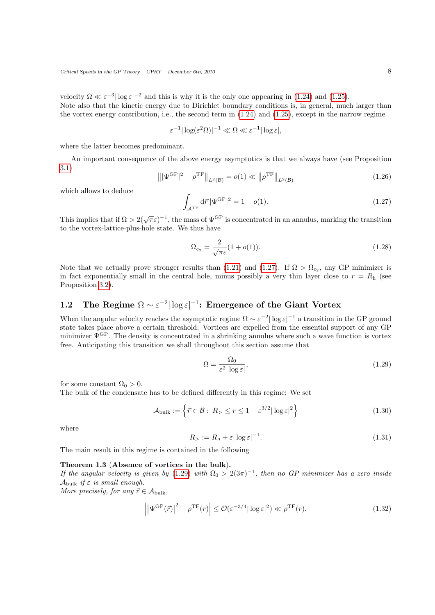velocity  $\Omega \ll \varepsilon^{-3} |\log \varepsilon|^{-2}$  and this is why it is the only one appearing in [\(1.24\)](#page-6-0) and [\(1.25\)](#page-6-1). Note also that the kinetic energy due to Dirichlet boundary conditions is, in general, much larger than the vortex energy contribution, i.e., the second term in  $(1.24)$  and  $(1.25)$ , except in the narrow regime

$$
\varepsilon^{-1}|\log(\varepsilon^2\Omega)|^{-1}\ll\Omega\ll\varepsilon^{-1}|\log\varepsilon|,
$$

where the latter becomes predominant.

An important consequence of the above energy asymptotics is that we always have (see Proposition [3.1\)](#page-20-1)

<span id="page-7-1"></span>
$$
\left\| |\Psi^{\rm GP}|^2 - \rho^{\rm TF} \right\|_{L^2(\mathcal{B})} = o(1) \ll \left\| \rho^{\rm TF} \right\|_{L^2(\mathcal{B})} \tag{1.26}
$$

which allows to deduce

$$
\int_{\mathcal{A}^{\mathrm{TF}}} d\vec{r} |\Psi^{\mathrm{GP}}|^2 = 1 - o(1). \tag{1.27}
$$

This implies that if  $\Omega > 2(\sqrt{\pi}\varepsilon)^{-1}$ , the mass of  $\Psi^{\text{GP}}$  is concentrated in an annulus, marking the transition to the vortex-lattice-plus-hole state. We thus have

$$
\Omega_{c_2} = \frac{2}{\sqrt{\pi}\varepsilon}(1 + o(1)).\tag{1.28}
$$

Note that we actually prove stronger results than [\(1.21\)](#page-5-2) and [\(1.27\)](#page-7-1). If  $\Omega > \Omega_{c_2}$ , any GP minimizer is in fact exponentially small in the central hole, minus possibly a very thin layer close to  $r = R<sub>h</sub>$  (see Proposition [3.2\)](#page-20-2).

## <span id="page-7-0"></span>1.2 The Regime  $\Omega \sim \varepsilon^{-2} |\log \varepsilon|^{-1}$ : Emergence of the Giant Vortex

When the angular velocity reaches the asymptotic regime  $\Omega \sim \varepsilon^{-2} |\log \varepsilon|^{-1}$  a transition in the GP ground state takes place above a certain threshold: Vortices are expelled from the essential support of any GP minimizer  $\Psi^{\text{GP}}$ . The density is concentrated in a shrinking annulus where such a wave function is vortex free. Anticipating this transition we shall throughout this section assume that

<span id="page-7-5"></span><span id="page-7-2"></span>
$$
\Omega = \frac{\Omega_0}{\varepsilon^2 |\log \varepsilon|},\tag{1.29}
$$

for some constant  $\Omega_0 > 0$ .

The bulk of the condensate has to be defined differently in this regime: We set

$$
\mathcal{A}_{\text{bulk}} := \left\{ \vec{r} \in \mathcal{B} : R_{> \le r \le 1 - \varepsilon^{3/2} |\log \varepsilon|^2 \right\} \tag{1.30}
$$

<span id="page-7-6"></span>where

$$
R_{>} := R_{\rm h} + \varepsilon |\log \varepsilon|^{-1}.
$$
\n(1.31)

<span id="page-7-4"></span>The main result in this regime is contained in the following

#### Theorem 1.3 (Absence of vortices in the bulk).

If the angular velocity is given by  $(1.29)$  with  $\Omega_0 > 2(3\pi)^{-1}$ , then no GP minimizer has a zero inside  $\mathcal{A}_{\text{bulk}}$  if  $\varepsilon$  is small enough.

More precisely, for any  $\vec{r} \in A_{\text{bulk}}$ ,

<span id="page-7-3"></span>
$$
\left| \left| \Psi^{\rm GP}(\vec{r}) \right|^2 - \rho^{\rm TF}(r) \right| \le \mathcal{O}(\varepsilon^{-3/4} |\log \varepsilon|^2) \ll \rho^{\rm TF}(r). \tag{1.32}
$$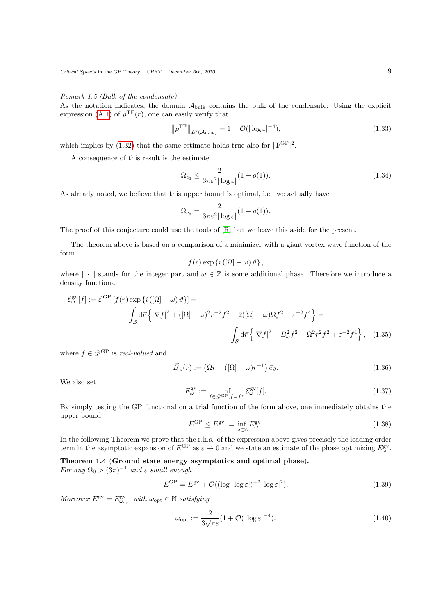Remark 1.5 (Bulk of the condensate)

As the notation indicates, the domain  $A_{\text{bulk}}$  contains the bulk of the condensate: Using the explicit expression [\(A.1\)](#page-35-1) of  $\rho^{\rm TF}(r)$ , one can easily verify that

$$
\left\| \rho^{\rm TF} \right\|_{L^2(\mathcal{A}_{\text{bulk}})} = 1 - \mathcal{O}(|\log \varepsilon|^{-4}),\tag{1.33}
$$

which implies by [\(1.32\)](#page-7-3) that the same estimate holds true also for  $|\Psi^{\text{GP}}|^2$ .

A consequence of this result is the estimate

$$
\Omega_{c_3} \le \frac{2}{3\pi\varepsilon^2 |\log\varepsilon|} (1 + o(1)).\tag{1.34}
$$

As already noted, we believe that this upper bound is optimal, i.e., we actually have

$$
\Omega_{\rm c_3} = \frac{2}{3\pi\varepsilon^2|\log\varepsilon|}(1+o(1)).
$$

The proof of this conjecture could use the tools of [\[R\]](#page-39-9) but we leave this aside for the present.

The theorem above is based on a comparison of a minimizer with a giant vortex wave function of the form

<span id="page-8-2"></span>
$$
f(r) \exp \{i\left( \left[ \Omega \right] - \omega \right) \vartheta \},
$$

where  $\lceil \cdot \rceil$  stands for the integer part and  $\omega \in \mathbb{Z}$  is some additional phase. Therefore we introduce a density functional

$$
\mathcal{E}_{\omega}^{\text{gv}}[f] := \mathcal{E}^{\text{GP}}[f(r) \exp\left\{i\left([\Omega] - \omega\right)\vartheta\right\}] =
$$
  

$$
\int_{\mathcal{B}} d\vec{r} \left\{ |\nabla f|^2 + ([\Omega] - \omega)^2 r^{-2} f^2 - 2([\Omega] - \omega) \Omega f^2 + \varepsilon^{-2} f^4 \right\} =
$$
  

$$
\int_{\mathcal{B}} d\vec{r} \left\{ |\nabla f|^2 + B_{\omega}^2 f^2 - \Omega^2 r^2 f^2 + \varepsilon^{-2} f^4 \right\}, \quad (1.35)
$$

where  $f \in \mathscr{D}^{\mathrm{GP}}$  is real-valued and

<span id="page-8-4"></span>
$$
\vec{B}_{\omega}(r) := \left(\Omega r - \left(\left[\Omega\right] - \omega\right)r^{-1}\right)\vec{e}_{\vartheta}.
$$
\n(1.36)

We also set

$$
E_{\omega}^{\text{gv}} := \inf_{f \in \mathcal{D}^{\text{GP}}, f = f^*} \mathcal{E}_{\omega}^{\text{gv}}[f]. \tag{1.37}
$$

<span id="page-8-3"></span>By simply testing the GP functional on a trial function of the form above, one immediately obtains the upper bound

$$
E^{\rm GP} \le E^{\rm gv} := \inf_{\omega \in \mathbb{Z}} E^{\rm gv}_{\omega}.
$$
 (1.38)

In the following Theorem we prove that the r.h.s. of the expression above gives precisely the leading order term in the asymptotic expansion of  $E^{\text{GP}}$  as  $\varepsilon \to 0$  and we state an estimate of the phase optimizing  $E^{\text{gv}}_{\omega}$ .

<span id="page-8-0"></span>Theorem 1.4 (Ground state energy asymptotics and optimal phase).

For any  $\Omega_0 > (3\pi)^{-1}$  and  $\varepsilon$  small enough

$$
E^{\rm GP} = E^{\rm gv} + \mathcal{O}((\log|\log \varepsilon|)^{-2}|\log \varepsilon|^2). \tag{1.39}
$$

Moreover  $E^{\text{gv}} = E^{\text{gv}}_{\omega_{\text{opt}}}$  with  $\omega_{\text{opt}} \in \mathbb{N}$  satisfying

<span id="page-8-1"></span>
$$
\omega_{\rm opt} := \frac{2}{3\sqrt{\pi}\varepsilon} (1 + \mathcal{O}(|\log \varepsilon|^{-4}). \tag{1.40}
$$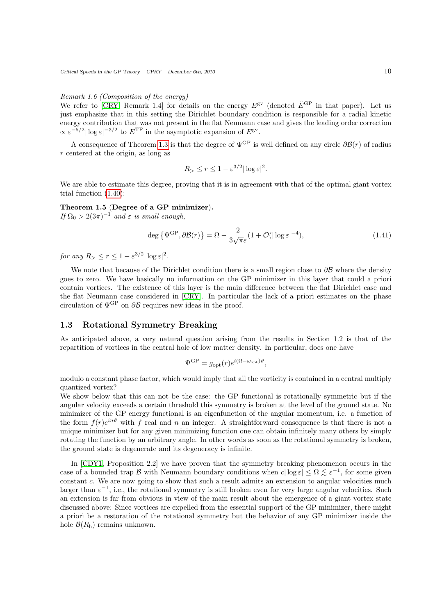### Remark 1.6 (Composition of the energy)

We refer to  $|{\rm CRY}$ , Remark 1.4] for details on the energy  $E^{\rm gv}$  (denoted  $\hat{E}^{\rm GP}$  in that paper). Let us just emphasize that in this setting the Dirichlet boundary condition is responsible for a radial kinetic energy contribution that was not present in the flat Neumann case and gives the leading order correction  $\propto \varepsilon^{-5/2} |\log \varepsilon|^{-3/2}$  to  $E^{\text{TF}}$  in the asymptotic expansion of  $E^{\text{gv}}$ .

A consequence of Theorem [1.3](#page-7-4) is that the degree of  $\Psi^{\text{GP}}$  is well defined on any circle  $\partial \mathcal{B}(r)$  of radius r centered at the origin, as long as

$$
R_{> \le r \le 1 - \varepsilon^{3/2} |\log \varepsilon|^2.
$$

We are able to estimate this degree, proving that it is in agreement with that of the optimal giant vortex trial function [\(1.40\)](#page-8-1):

## <span id="page-9-2"></span>Theorem 1.5 (Degree of a GP minimizer).

If  $\Omega_0 > 2(3\pi)^{-1}$  and  $\varepsilon$  is small enough,

$$
\deg\left\{\Psi^{\text{GP}},\partial\mathcal{B}(r)\right\} = \Omega - \frac{2}{3\sqrt{\pi}\varepsilon}(1+\mathcal{O}(|\log\varepsilon|^{-4}),\tag{1.41}
$$

for any  $R > \le r \le 1 - \varepsilon^{3/2} |\log \varepsilon|^2$ .

We note that because of the Dirichlet condition there is a small region close to  $\partial \mathcal{B}$  where the density goes to zero. We have basically no information on the GP minimizer in this layer that could a priori contain vortices. The existence of this layer is the main difference between the flat Dirichlet case and the flat Neumann case considered in [\[CRY\]](#page-39-8). In particular the lack of a priori estimates on the phase circulation of  $\Psi^{\text{GP}}$  on  $\partial \mathcal{B}$  requires new ideas in the proof.

## <span id="page-9-0"></span>1.3 Rotational Symmetry Breaking

As anticipated above, a very natural question arising from the results in Section 1.2 is that of the repartition of vortices in the central hole of low matter density. In particular, does one have

$$
\Psi^{\rm GP} = g_{\rm opt}(r)e^{i(\Omega - \omega_{\rm opt})\vartheta},
$$

modulo a constant phase factor, which would imply that all the vorticity is contained in a central multiply quantized vortex?

We show below that this can not be the case: the GP functional is rotationally symmetric but if the angular velocity exceeds a certain threshold this symmetry is broken at the level of the ground state. No minimizer of the GP energy functional is an eigenfunction of the angular momentum, i.e. a function of the form  $f(r)e^{in\vartheta}$  with f real and n an integer. A straightforward consequence is that there is not a unique minimizer but for any given minimizing function one can obtain infinitely many others by simply rotating the function by an arbitrary angle. In other words as soon as the rotational symmetry is broken, the ground state is degenerate and its degeneracy is infinite.

<span id="page-9-1"></span>In [\[CDY1,](#page-39-6) Proposition 2.2] we have proven that the symmetry breaking phenomenon occurs in the case of a bounded trap B with Neumann boundary conditions when  $c|\log \varepsilon| \leq \Omega \lesssim \varepsilon^{-1}$ , for some given constant c. We are now going to show that such a result admits an extension to angular velocities much larger than  $\varepsilon^{-1}$ , i.e., the rotational symmetry is still broken even for very large angular velocities. Such an extension is far from obvious in view of the main result about the emergence of a giant vortex state discussed above: Since vortices are expelled from the essential support of the GP minimizer, there might a priori be a restoration of the rotational symmetry but the behavior of any GP minimizer inside the hole  $\mathcal{B}(R_h)$  remains unknown.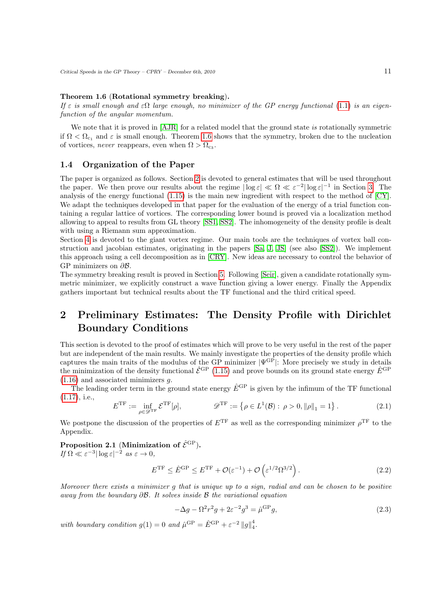### Theorem 1.6 (Rotational symmetry breaking).

If  $\varepsilon$  is small enough and  $\varepsilon\Omega$  large enough, no minimizer of the GP energy functional [\(1.1\)](#page-2-0) is an eigenfunction of the angular momentum.

We note that it is proved in [\[AJR\]](#page-39-13) for a related model that the ground state is rotationally symmetric if  $\Omega < \Omega_{c_1}$  and  $\varepsilon$  is small enough. Theorem [1.6](#page-9-1) shows that the symmetry, broken due to the nucleation of vortices, *never* reappears, even when  $\Omega > \Omega_{c_3}$ .

## <span id="page-10-0"></span>1.4 Organization of the Paper

The paper is organized as follows. Section [2](#page-10-1) is devoted to general estimates that will be used throughout the paper. We then prove our results about the regime  $|\log \varepsilon| \ll \Omega \ll \varepsilon^{-2} |\log \varepsilon|^{-1}$  in Section [3.](#page-16-0) The analysis of the energy functional [\(1.15\)](#page-4-1) is the main new ingredient with respect to the method of [\[CY\]](#page-39-7). We adapt the techniques developed in that paper for the evaluation of the energy of a trial function containing a regular lattice of vortices. The corresponding lower bound is proved via a localization method allowing to appeal to results from GL theory [\[SS1,](#page-40-1) [SS2\]](#page-40-0). The inhomogeneity of the density profile is dealt with using a Riemann sum approximation.

Section [4](#page-22-0) is devoted to the giant vortex regime. Our main tools are the techniques of vortex ball construction and jacobian estimates, originating in the papers [\[Sa,](#page-40-2) [J,](#page-39-15) [JS\]](#page-39-16) (see also [\[SS2\]](#page-40-0)). We implement this approach using a cell decomposition as in [\[CRY\]](#page-39-8). New ideas are necessary to control the behavior of GP minimizers on  $\partial \mathcal{B}$ .

The symmetry breaking result is proved in Section [5.](#page-35-0) Following [\[Seir\]](#page-40-3), given a candidate rotationally symmetric minimizer, we explicitly construct a wave function giving a lower energy. Finally the Appendix gathers important but technical results about the TF functional and the third critical speed.

# <span id="page-10-1"></span>2 Preliminary Estimates: The Density Profile with Dirichlet Boundary Conditions

This section is devoted to the proof of estimates which will prove to be very useful in the rest of the paper but are independent of the main results. We mainly investigate the properties of the density profile which captures the main traits of the modulus of the GP minimizer  $|\Psi^{\text{GP}}|$ : More precisely we study in details the minimization of the density functional  $\hat{\mathcal{E}}^{\text{GP}}$  [\(1.15\)](#page-4-1) and prove bounds on its ground state energy  $\hat{E}^{\text{GP}}$  $(1.16)$  and associated minimizers  $q$ .

The leading order term in the ground state energy  $\hat{E}^{\text{GP}}$  is given by the infimum of the TF functional [\(1.17\)](#page-4-3), i.e.,

$$
E^{\rm TF} := \inf_{\rho \in \mathcal{D}^{\rm TF}} \mathcal{E}^{\rm TF}[\rho], \qquad \mathcal{D}^{\rm TF} := \left\{ \rho \in L^1(\mathcal{B}) : \rho > 0, \|\rho\|_1 = 1 \right\}. \tag{2.1}
$$

We postpone the discussion of the properties of  $E^{\text{TF}}$  as well as the corresponding minimizer  $\rho^{\text{TF}}$  to the Appendix.

<span id="page-10-2"></span>Proposition 2.1 (Minimization of  $\hat{\mathcal{E}}^{\text{GP}}$ ). If  $\Omega \ll \varepsilon^{-3} |\log \varepsilon|^{-2}$  as  $\varepsilon \to 0$ ,

<span id="page-10-3"></span>
$$
E^{\rm TF} \le \hat{E}^{\rm GP} \le E^{\rm TF} + \mathcal{O}(\varepsilon^{-1}) + \mathcal{O}\left(\varepsilon^{1/2} \Omega^{3/2}\right). \tag{2.2}
$$

Moreover there exists a minimizer g that is unique up to a sign, radial and can be chosen to be positive away from the boundary  $\partial \mathcal{B}$ . It solves inside  $\mathcal{B}$  the variational equation

<span id="page-10-4"></span>
$$
-\Delta g - \Omega^2 r^2 g + 2\varepsilon^{-2} g^3 = \hat{\mu}^{\rm GP} g,\tag{2.3}
$$

with boundary condition  $g(1) = 0$  and  $\hat{\mu}^{\text{GP}} = \hat{E}^{\text{GP}} + \varepsilon^{-2} ||g||_4^4$ .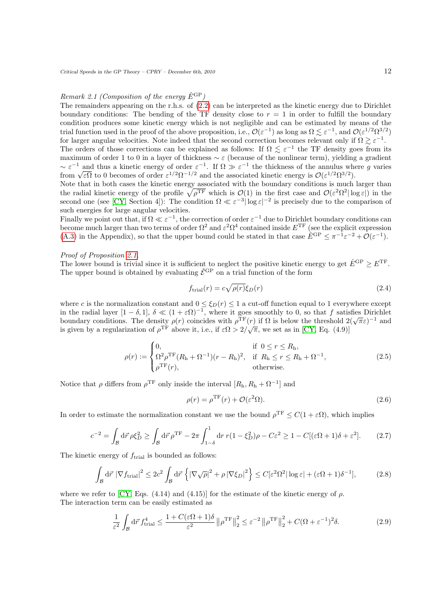### Remark 2.1 (Composition of the energy  $\hat{E}^{\text{GP}}$ )

The remainders appearing on the r.h.s. of [\(2.2\)](#page-10-3) can be interpreted as the kinetic energy due to Dirichlet boundary conditions: The bending of the TF density close to  $r = 1$  in order to fulfill the boundary condition produces some kinetic energy which is not negligible and can be estimated by means of the trial function used in the proof of the above proposition, i.e.,  $\mathcal{O}(\varepsilon^{-1})$  as long as  $\Omega \lesssim \varepsilon^{-1}$ , and  $\mathcal{O}(\varepsilon^{1/2}\Omega^{3/2})$ for larger angular velocities. Note indeed that the second correction becomes relevant only if  $\Omega \gtrsim \varepsilon^{-1}$ . The orders of those corrections can be explained as follows: If  $\Omega \leq \varepsilon^{-1}$  the TF density goes from its maximum of order 1 to 0 in a layer of thickness  $\sim \varepsilon$  (because of the nonlinear term), yielding a gradient  $\sim \varepsilon^{-1}$  and thus a kinetic energy of order  $\varepsilon^{-1}$ . If  $\Omega \gg \varepsilon^{-1}$  the thickness of the annulus where g varies  $\sim \varepsilon$  and thus a kinetic energy of order  $\varepsilon$   $\cdot$ . If  $\Omega \gg \varepsilon$  are the thickness of the annulus where from  $\sqrt{\varepsilon\Omega}$  to 0 becomes of order  $\varepsilon^{1/2}\Omega^{-1/2}$  and the associated kinetic energy is  $\mathcal{O}(\varepsilon^{1/2}\Omega^{3$ 

Note that in both cases the kinetic energy associated with the boundary conditions is much larger than the radial kinetic energy of the profile  $\sqrt{\rho^{\text{TF}}}$  which is  $\mathcal{O}(1)$  in the first case and  $\mathcal{O}(\varepsilon^2 \Omega^2 |\log \varepsilon|)$  in the second one (see [\[CY,](#page-39-7) Section 4]): The condition  $\Omega \ll \varepsilon^{-3} |\log \varepsilon|^{-2}$  is precisely due to the comparison of such energies for large angular velocities.

Finally we point out that, if  $\Omega \ll \varepsilon^{-1}$ , the correction of order  $\varepsilon^{-1}$  due to Dirichlet boundary conditions can become much larger than two terms of order  $\Omega^2$  and  $\varepsilon^2\Omega^4$  contained inside  $E^{TF}$  (see the explicit expression [\(A.3\)](#page-35-2) in the Appendix), so that the upper bound could be stated in that case  $\hat{E}^{\text{GP}} \leq \pi^{-1} \varepsilon^{-2} + \mathcal{O}(\varepsilon^{-1})$ .

## Proof of Proposition [2.1.](#page-10-2)

The lower bound is trivial since it is sufficient to neglect the positive kinetic energy to get  $\hat{E}^{\text{GP}} \geq E^{\text{TF}}$ . The upper bound is obtained by evaluating  $\hat{\mathcal{E}}^{\text{GP}}$  on a trial function of the form

$$
f_{\text{trial}}(r) = c\sqrt{\rho(r)}\xi_D(r) \tag{2.4}
$$

where c is the normalization constant and  $0 \leq \xi_D(r) \leq 1$  a cut-off function equal to 1 everywhere except in the radial layer  $[1 - \delta, 1], \delta \ll (1 + \varepsilon \Omega)^{-1}$ , where it goes smoothly to 0, so that f satisfies Dirichlet boundary conditions. The density  $\rho(r)$  coincides with  $\rho^{\text{TF}}(r)$  if  $\Omega$  is below the threshold  $2(\sqrt{\pi}\varepsilon)^{-1}$  and  $\Omega$ . is given by a regularization of  $\rho^{\text{TF}}$  above it, i.e., if  $\varepsilon\Omega > 2/\sqrt{\pi}$ , we set as in [\[CY,](#page-39-7) Eq. (4.9)]

$$
\rho(r) := \begin{cases} 0, & \text{if } 0 \le r \le R_h, \\ \Omega^2 \rho^{\text{TF}} (R_h + \Omega^{-1}) (r - R_h)^2, & \text{if } R_h \le r \le R_h + \Omega^{-1}, \\ \rho^{\text{TF}}(r), & \text{otherwise.} \end{cases} \tag{2.5}
$$

Notice that  $\rho$  differs from  $\rho^{\text{TF}}$  only inside the interval  $[R_{\text{h}}, R_{\text{h}} + \Omega^{-1}]$  and

<span id="page-11-1"></span><span id="page-11-0"></span>
$$
\rho(r) = \rho^{\rm TF}(r) + \mathcal{O}(\varepsilon^2 \Omega). \tag{2.6}
$$

In order to estimate the normalization constant we use the bound  $\rho^{TF} \leq C(1+\varepsilon\Omega)$ , which implies

$$
c^{-2} = \int_{\mathcal{B}} d\vec{r} \,\rho \xi_D^2 \ge \int_{\mathcal{B}} d\vec{r} \,\rho^{\mathrm{TF}} - 2\pi \int_{1-\delta}^1 dr \, r(1-\xi_D^2)\rho - C\varepsilon^2 \ge 1 - C[(\varepsilon\Omega + 1)\delta + \varepsilon^2].\tag{2.7}
$$

The kinetic energy of  $f_{\text{trial}}$  is bounded as follows:

$$
\int_{\mathcal{B}} d\vec{r} \, |\nabla f_{\text{trial}}|^2 \le 2c^2 \int_{\mathcal{B}} d\vec{r} \, \left\{ |\nabla \sqrt{\rho}|^2 + \rho \, |\nabla \xi_D|^2 \right\} \le C \left[\varepsilon^2 \Omega^2 |\log \varepsilon| + (\varepsilon \Omega + 1) \delta^{-1} \right],\tag{2.8}
$$

where we refer to [\[CY,](#page-39-7) Eqs. (4.14) and (4.15)] for the estimate of the kinetic energy of  $\rho$ . The interaction term can be easily estimated as

$$
\frac{1}{\varepsilon^2} \int_{\mathcal{B}} d\vec{r} \, f_{\text{trial}}^4 \le \frac{1 + C(\varepsilon \Omega + 1)\delta}{\varepsilon^2} \left\| \rho^{\text{TF}} \right\|_2^2 \le \varepsilon^{-2} \left\| \rho^{\text{TF}} \right\|_2^2 + C(\Omega + \varepsilon^{-1})^2 \delta. \tag{2.9}
$$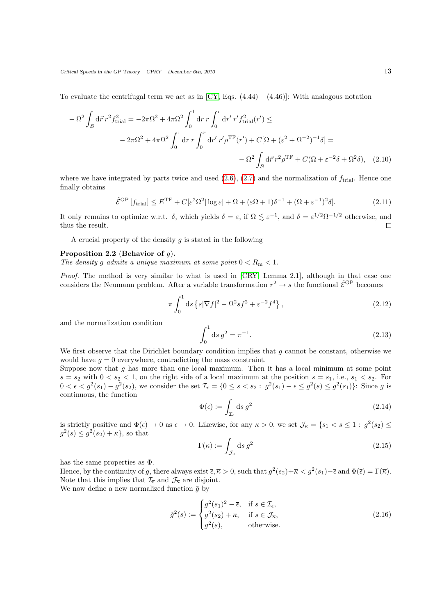To evaluate the centrifugal term we act as in [\[CY,](#page-39-7) Eqs.  $(4.44) - (4.46)$ ]: With analogous notation

$$
- \Omega^{2} \int_{\mathcal{B}} d\vec{r} \, r^{2} f_{\text{trial}}^{2} = -2\pi \Omega^{2} + 4\pi \Omega^{2} \int_{0}^{1} dr \, r \int_{0}^{r} dr' \, r' f_{\text{trial}}^{2}(r') \leq
$$

$$
- 2\pi \Omega^{2} + 4\pi \Omega^{2} \int_{0}^{1} dr \, r \int_{0}^{r} dr' \, r' \rho^{\text{TF}}(r') + C[\Omega + (\varepsilon^{2} + \Omega^{-2})^{-1} \delta] =
$$

$$
- \Omega^{2} \int_{\mathcal{B}} d\vec{r} \, r^{2} \rho^{\text{TF}} + C(\Omega + \varepsilon^{-2} \delta + \Omega^{2} \delta), \quad (2.10)
$$

where we have integrated by parts twice and used  $(2.6)$ ,  $(2.7)$  and the normalization of  $f<sub>trial</sub>$ . Hence one finally obtains

$$
\hat{\mathcal{E}}^{\text{GP}}\left[f_{\text{trial}}\right] \le E^{\text{TF}} + C\left[\varepsilon^2 \Omega^2 |\log \varepsilon| + \Omega + (\varepsilon \Omega + 1)\delta^{-1} + (\Omega + \varepsilon^{-1})^2 \delta\right].\tag{2.11}
$$

It only remains to optimize w.r.t.  $\delta$ , which yields  $\delta = \varepsilon$ , if  $\Omega \lesssim \varepsilon^{-1}$ , and  $\delta = \varepsilon^{1/2} \Omega^{-1/2}$  otherwise, and thus the result.  $\Box$ 

A crucial property of the density  $q$  is stated in the following

### <span id="page-12-0"></span>Proposition 2.2 (Behavior of  $q$ ).

The density g admits a unique maximum at some point  $0 < R<sub>m</sub> < 1$ .

Proof. The method is very similar to what is used in [\[CRY,](#page-39-8) Lemma 2.1], although in that case one considers the Neumann problem. After a variable transformation  $r^2 \to s$  the functional  $\hat{\mathcal{E}}^{\text{GP}}$  becomes

$$
\pi \int_0^1 ds \left\{ s |\nabla f|^2 - \Omega^2 s f^2 + \varepsilon^{-2} f^4 \right\},\tag{2.12}
$$

and the normalization condition

<span id="page-12-1"></span>
$$
\int_0^1 \mathrm{d}s \, g^2 = \pi^{-1}.\tag{2.13}
$$

We first observe that the Dirichlet boundary condition implies that  $g$  cannot be constant, otherwise we would have  $q = 0$  everywhere, contradicting the mass constraint.

Suppose now that  $g$  has more than one local maximum. Then it has a local minimum at some point  $s = s_2$  with  $0 < s_2 < 1$ , on the right side of a local maximum at the position  $s = s_1$ , i.e.,  $s_1 < s_2$ . For  $0 < \epsilon < g^2(s_1) - g^2(s_2)$ , we consider the set  $\mathcal{I}_{\epsilon} = \{0 \le s < s_2 : g^2(s_1) - \epsilon \le g^2(s) \le g^2(s_1)\}\$ : Since g is continuous, the function

$$
\Phi(\epsilon) := \int_{\mathcal{I}_{\epsilon}} ds \, g^2 \tag{2.14}
$$

is strictly positive and  $\Phi(\epsilon) \to 0$  as  $\epsilon \to 0$ . Likewise, for any  $\kappa > 0$ , we set  $\mathcal{J}_{\kappa} = \{s_1 < s \leq 1 : g^2(s_2) \leq$  $g^2(s) \leq g^2(s_2) + \kappa$ , so that

$$
\Gamma(\kappa) := \int_{\mathcal{J}_{\kappa}} \mathrm{d}s \, g^2 \tag{2.15}
$$

has the same properties as Φ.

Hence, by the continuity of g, there always exist  $\bar{\epsilon}, \bar{\kappa} > 0$ , such that  $g^2(s_2) + \bar{\kappa} < g^2(s_1) - \bar{\epsilon}$  and  $\Phi(\bar{\epsilon}) = \Gamma(\bar{\kappa})$ . Note that this implies that  $\mathcal{I}_{\overline{\epsilon}}$  and  $\mathcal{J}_{\overline{\kappa}}$  are disjoint.

We now define a new normalized function  $\tilde{g}$  by

$$
\tilde{g}^{2}(s) := \begin{cases}\ng^{2}(s_{1})^{2} - \overline{\epsilon}, & \text{if } s \in \mathcal{I}_{\overline{\epsilon}}, \\
g^{2}(s_{2}) + \overline{\kappa}, & \text{if } s \in \mathcal{J}_{\overline{\kappa}}, \\
g^{2}(s), & \text{otherwise.} \n\end{cases}
$$
\n(2.16)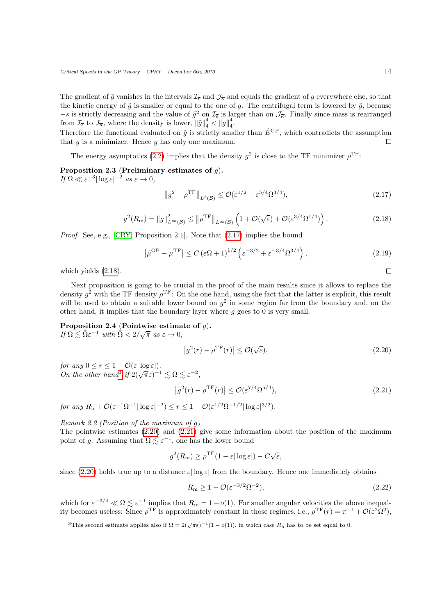The gradient of  $\tilde{g}$  vanishes in the intervals  $\mathcal{I}_{\bar{\epsilon}}$  and  $\mathcal{J}_{\bar{\kappa}}$  and equals the gradient of g everywhere else, so that the kinetic energy of  $\tilde{g}$  is smaller or equal to the one of g. The centrifugal term is lowered by  $\tilde{g}$ , because  $-s$  is strictly decreasing and the value of  $\tilde{g}^2$  on  $\mathcal{I}_{\bar{\epsilon}}$  is larger than on  $\mathcal{J}_{\bar{\kappa}}$ . Finally since mass is rearranged from  $\mathcal{I}_{\overline{\epsilon}}$  to  $\overline{J_{\overline{\kappa}}}$ , where the density is lower,  $\|\tilde{g}\|_{4}^{4} < \|g\|_{4}^{4}$ .

Therefore the functional evaluated on  $\tilde{q}$  is strictly smaller than  $\hat{E}^{\text{GP}}$ , which contradicts the assumption that  $g$  is a minimizer. Hence  $g$  has only one maximum.

The energy asymptotics [\(2.2\)](#page-10-3) implies that the density  $g^2$  is close to the TF minimizer  $\rho^{\text{TF}}$ :

<span id="page-13-6"></span>Proposition 2.3 (Preliminary estimates of  $g$ ). If  $\Omega \ll \varepsilon^{-3} |\log \varepsilon|^{-2}$  as  $\varepsilon \to 0$ ,

<span id="page-13-7"></span><span id="page-13-1"></span>
$$
||g^2 - \rho^{\text{TF}}||_{L^2(\mathcal{B})} \le \mathcal{O}(\varepsilon^{1/2} + \varepsilon^{5/4} \Omega^{3/4}),
$$
\n(2.17)

$$
g^{2}(R_{\rm m}) = ||g||_{L^{\infty}(\mathcal{B})}^{2} \le ||\rho^{\rm TF}||_{L^{\infty}(\mathcal{B})} \left(1 + \mathcal{O}(\sqrt{\varepsilon}) + \mathcal{O}(\varepsilon^{3/4} \Omega^{1/4})\right). \tag{2.18}
$$

<span id="page-13-2"></span>Proof. See, e.g., [\[CRY,](#page-39-8) Proposition 2.1]. Note that  $(2.17)$  implies the bound

$$
\left|\hat{\mu}^{\mathrm{GP}} - \mu^{\mathrm{TF}}\right| \le C \left(\varepsilon \Omega + 1\right)^{1/2} \left(\varepsilon^{-3/2} + \varepsilon^{-3/4} \Omega^{3/4}\right),\tag{2.19}
$$

which yields [\(2.18\)](#page-13-2).

Next proposition is going to be crucial in the proof of the main results since it allows to replace the density  $g^2$  with the TF density  $\rho^{\text{TF}}$ : On the one hand, using the fact that the latter is explicit, this result will be used to obtain a suitable lower bound on  $g^2$  in some region far from the boundary and, on the other hand, it implies that the boundary layer where  $q$  goes to 0 is very small.

<span id="page-13-8"></span>Proposition 2.4 (Pointwise estimate of q). **Froposition 2.4** (Followse estimately  $If \Omega \lesssim \bar{\Omega} \varepsilon^{-1}$  with  $\bar{\Omega} < 2/\sqrt{\pi}$  as  $\varepsilon \to 0$ ,

<span id="page-13-5"></span><span id="page-13-4"></span>
$$
\left|g^2(r) - \rho^{\rm TF}(r)\right| \le \mathcal{O}(\sqrt{\varepsilon}),\tag{2.20}
$$

for any  $0 \le r \le 1 - \mathcal{O}(\varepsilon |\log \varepsilon|).$ On the other hand<sup>[3](#page-13-3)</sup> if  $2(\sqrt{\pi}\varepsilon)^{-1} \leq \Omega \leq \varepsilon^{-2}$ ,

$$
\left|g^2(r) - \rho^{\mathrm{TF}}(r)\right| \le \mathcal{O}(\varepsilon^{7/4} \Omega^{5/4}),\tag{2.21}
$$

for any  $R_h + \mathcal{O}(\varepsilon^{-1} \Omega^{-1} |\log \varepsilon|^{-2}) \le r \le 1 - \mathcal{O}(\varepsilon^{1/2} \Omega^{-1/2} |\log \varepsilon|^{3/2}).$ 

Remark 2.2 (Position of the maximum of g) The pointwise estimates [\(2.20\)](#page-13-4) and [\(2.21\)](#page-13-5) give some information about the position of the maximum point of g. Assuming that  $\Omega \lesssim \varepsilon^{-1}$ , one has the lower bound

$$
g^{2}(R_{\mathrm{m}}) \geq \rho^{\mathrm{TF}}(1-\varepsilon|\log\varepsilon|) - C\sqrt{\varepsilon},
$$

since [\(2.20\)](#page-13-4) holds true up to a distance  $\varepsilon |\log \varepsilon|$  from the boundary. Hence one immediately obtains

<span id="page-13-0"></span>
$$
R_{\rm m} \ge 1 - \mathcal{O}(\varepsilon^{-3/2} \Omega^{-2}),\tag{2.22}
$$

which for  $\varepsilon^{-3/4} \ll \Omega \lesssim \varepsilon^{-1}$  implies that  $R_m = 1 - o(1)$ . For smaller angular velocities the above inequality becomes useless: Since  $\rho^{\text{TF}}$  is approximately constant in those regimes, i.e.,  $\rho^{\text{TF}}(r) = \pi^{-1} + \mathcal{O}(\varepsilon^2 \Omega^2)$ ,

<span id="page-13-3"></span><sup>&</sup>lt;sup>3</sup>This second estimate applies also if  $\Omega = 2(\sqrt{\pi}\varepsilon)^{-1}(1-o(1))$ , in which case  $R_h$  has to be set equal to 0.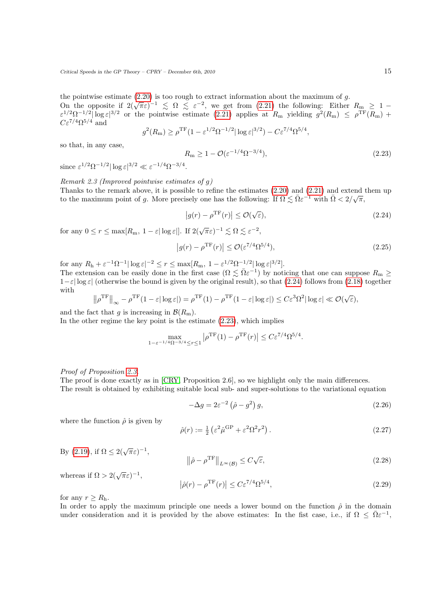the pointwise estimate  $(2.20)$  is too rough to extract information about the maximum of  $g$ .

On the opposite if  $2(\sqrt{\pi}\epsilon)^{-1} \leq \Omega \leq \epsilon^{-2}$ , we get from [\(2.21\)](#page-13-5) the following: Either  $R_{\rm m} \geq 1$  –  $\varepsilon^{1/2} \Omega^{-1/2} |\log \varepsilon|^{3/2}$  or the pointwise estimate [\(2.21\)](#page-13-5) applies at  $R_{\rm m}$  yielding  $g^2(R_{\rm m}) \le \rho^{\rm TF}(R_{\rm m}) +$  $C\varepsilon^{7/4}\Omega^{5/4}$  and

<span id="page-14-0"></span>
$$
g^2(R_{\rm m}) \ge \rho^{\rm TF} (1 - \varepsilon^{1/2} \Omega^{-1/2} |\log \varepsilon|^{3/2}) - C \varepsilon^{7/4} \Omega^{5/4},
$$

so that, in any case,

$$
R_{\rm m} \ge 1 - \mathcal{O}(\varepsilon^{-1/4} \Omega^{-3/4}),\tag{2.23}
$$

since  $\varepsilon^{1/2} \Omega^{-1/2} |\log \varepsilon|^{3/2} \ll \varepsilon^{-1/4} \Omega^{-3/4}.$ 

## Remark 2.3 (Improved pointwise estimates of g)

Thanks to the remark above, it is possible to refine the estimates  $(2.20)$  and  $(2.21)$  and extend them up to the maximum point of g. More precisely one has the following: If  $\Omega \leq \bar{\Omega} \varepsilon^{-1}$  with  $\bar{\Omega} < 2/\sqrt{\pi}$ ,

<span id="page-14-3"></span><span id="page-14-1"></span>
$$
|g(r) - \rho^{\mathrm{TF}}(r)| \le \mathcal{O}(\sqrt{\varepsilon}),\tag{2.24}
$$

for any  $0 \le r \le \max[R_m, 1-\varepsilon|\log \varepsilon|]$ . If  $2(\sqrt{\pi}\varepsilon)^{-1} \lesssim \Omega \lesssim \varepsilon^{-2}$ ,

$$
|g(r) - \rho^{\rm TF}(r)| \le \mathcal{O}(\varepsilon^{7/4} \Omega^{5/4}),\tag{2.25}
$$

for any  $R_h + \varepsilon^{-1} \Omega^{-1} |\log \varepsilon|^{-2} \le r \le \max[R_m, 1 - \varepsilon^{1/2} \Omega^{-1/2} |\log \varepsilon|^{3/2}]$ .

The extension can be easily done in the first case  $(\Omega \leq \overline{\Omega} \varepsilon^{-1})$  by noticing that one can suppose  $R_{\rm m} \geq$  $1-\varepsilon|\log\varepsilon|$  (otherwise the bound is given by the original result), so that [\(2.24\)](#page-14-1) follows from [\(2.18\)](#page-13-2) together with √

$$
\left\|\rho^{\rm TF}\right\|_{\infty} - \rho^{\rm TF}(1-\varepsilon|\log\varepsilon|) = \rho^{\rm TF}(1) - \rho^{\rm TF}(1-\varepsilon|\log\varepsilon|) \le C\varepsilon^3 \Omega^2|\log\varepsilon| \ll \mathcal{O}(\sqrt{\varepsilon}),
$$

and the fact that g is increasing in  $\mathcal{B}(R_{\rm m})$ .

In the other regime the key point is the estimate [\(2.23\)](#page-14-0), which implies

$$
\max_{1-\varepsilon^{-1/4}\Omega^{-3/4} \le r \le 1} \left| \rho^{\rm TF}(1) - \rho^{\rm TF}(r) \right| \le C \varepsilon^{7/4} \Omega^{5/4}.
$$

Proof of Proposition [2.3.](#page-13-6)

The proof is done exactly as in [\[CRY,](#page-39-8) Proposition 2.6], so we highlight only the main differences. The result is obtained by exhibiting suitable local sub- and super-solutions to the variational equation

$$
-\Delta g = 2\varepsilon^{-2} \left(\hat{\rho} - g^2\right) g,\tag{2.26}
$$

where the function  $\hat{\rho}$  is given by

<span id="page-14-2"></span>
$$
\hat{\rho}(r) := \frac{1}{2} \left( \varepsilon^2 \hat{\mu}^{\rm GP} + \varepsilon^2 \Omega^2 r^2 \right). \tag{2.27}
$$

By (2.19), if 
$$
\Omega \leq 2(\sqrt{\pi}\varepsilon)^{-1}
$$
,

$$
\left\|\hat{\rho} - \rho^{\mathrm{TF}}\right\|_{L^{\infty}(\mathcal{B})} \le C\sqrt{\varepsilon},\tag{2.28}
$$

whereas if  $\Omega > 2(\sqrt{\pi}\varepsilon)^{-1}$ ,

$$
\left|\hat{\rho}(r) - \rho^{\mathrm{TF}}(r)\right| \le C\varepsilon^{7/4} \Omega^{5/4},\tag{2.29}
$$

for any  $r \geq R_h$ .

In order to apply the maximum principle one needs a lower bound on the function  $\hat{\rho}$  in the domain under consideration and it is provided by the above estimates: In the fist case, i.e., if  $\Omega \leq \bar{\Omega} \varepsilon^{-1}$ ,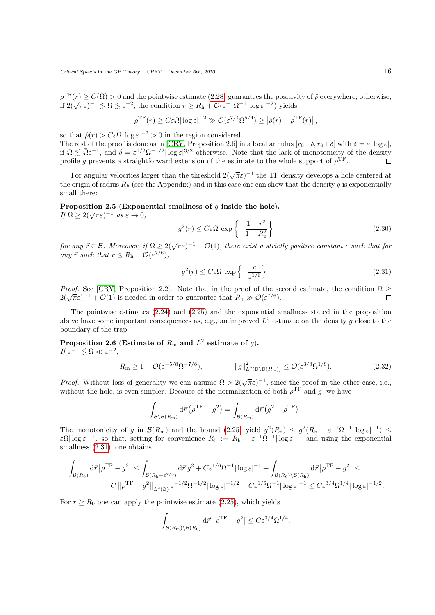$\rho^{\rm TF}(r) \ge C(\bar{\Omega}) > 0$  and the pointwise estimate [\(2.28\)](#page-14-2) guarantees the positivity of  $\hat{\rho}$  everywhere; otherwise,  $\int_{0}^{\infty}$   $\left(\sqrt{\pi \varepsilon}\right)^{-1} \lesssim \Omega \lesssim \varepsilon^{-2}$ , the condition  $r \ge R_h + \mathcal{O}(\varepsilon^{-1} \Omega^{-1} |\log \varepsilon|^{-2})$  yields

$$
\rho^{\rm TF}(r) \ge C \varepsilon \Omega |\log \varepsilon|^{-2} \gg \mathcal{O}(\varepsilon^{7/4} \Omega^{5/4}) \ge |\hat{\rho}(r) - \rho^{\rm TF}(r)|,
$$

so that  $\hat{\rho}(r) > C \varepsilon \Omega |\log \varepsilon|^{-2} > 0$  in the region considered.

The rest of the proof is done as in [\[CRY,](#page-39-8) Proposition 2.6] in a local annulus  $[r_0-\delta, r_0+\delta]$  with  $\delta = \varepsilon |\log \varepsilon|$ , if  $\Omega \lesssim \bar{\Omega} \varepsilon^{-1}$ , and  $\delta = \varepsilon^{1/2} \Omega^{-1/2} |\log \varepsilon|^{3/2}$  otherwise. Note that the lack of monotonicity of the density profile g prevents a straightforward extension of the estimate to the whole support of  $\rho^{\text{TF}}$ .  $\Box$ 

For angular velocities larger than the threshold  $2(\sqrt{\pi}\varepsilon)^{-1}$  the TF density develops a hole centered at the origin of radius  $R_h$  (see the Appendix) and in this case one can show that the density g is exponentially small there:

<span id="page-15-2"></span>Proposition 2.5 (Exponential smallness of  $q$  inside the hole). **F** roposition 2.5 (Expond<br>If  $\Omega \ge 2(\sqrt{\pi}\varepsilon)^{-1}$  as  $\varepsilon \to 0$ ,

$$
g^2(r) \le C\varepsilon\Omega \, \exp\left\{-\frac{1-r^2}{1-R_{\rm h}^2}\right\} \tag{2.30}
$$

for any  $\vec{r} \in \mathcal{B}$ . Moreover, if  $\Omega \geq 2(\sqrt{\pi}\varepsilon)^{-1} + \mathcal{O}(1)$ , there exist a strictly positive constant c such that for any  $\vec{r}$  such that  $r \leq R_h - \mathcal{O}(\varepsilon^{7/6}),$ 

<span id="page-15-1"></span>
$$
g^{2}(r) \leq C\varepsilon\Omega \, \exp\left\{-\frac{c}{\varepsilon^{1/6}}\right\}.
$$
\n(2.31)

*Proof.* See [\[CRY,](#page-39-8) Proposition 2.2]. Note that in the proof of the second estimate, the condition  $\Omega \geq$ *Troof.* See [CKT, Froposition 2.2]. Tote that in the proof of the set  $2(\sqrt{\pi}\varepsilon)^{-1} + \mathcal{O}(1)$  is needed in order to guarantee that  $R_h \gg \mathcal{O}(\varepsilon^{7/6})$ .  $\Box$ 

The pointwise estimates  $(2.24)$  and  $(2.25)$  and the exponential smallness stated in the proposition above have some important consequences as, e.g., an improved  $L^2$  estimate on the density g close to the boundary of the trap:

<span id="page-15-3"></span>Proposition 2.6 (Estimate of  $R_{\rm m}$  and  $L^2$  estimate of  $g$ ). If  $\varepsilon^{-1} \lesssim \Omega \ll \varepsilon^{-2}$ ,

<span id="page-15-0"></span>
$$
R_{\mathbf{m}} \ge 1 - \mathcal{O}(\varepsilon^{-5/8} \Omega^{-7/8}), \qquad \|\mathbf{g}\|_{L^2(\mathcal{B} \backslash \mathcal{B}(R_{\mathbf{m}}))}^2 \le \mathcal{O}(\varepsilon^{3/8} \Omega^{1/8}). \tag{2.32}
$$

*Proof.* Without loss of generality we can assume  $\Omega > 2(\sqrt{\pi}\varepsilon)^{-1}$ , since the proof in the other case, i.e., without the hole, is even simpler. Because of the normalization of both  $\rho^{\text{TF}}$  and g, we have

$$
\int_{\mathcal{B}\backslash\mathcal{B}(R_{\rm m})}\mathrm{d}\vec{r}\left(\rho^{\rm TF} - g^2\right) = \int_{\mathcal{B}(R_{\rm m})}\mathrm{d}\vec{r}\left(g^2 - \rho^{\rm TF}\right).
$$

The monotonicity of g in  $\mathcal{B}(R_{\rm m})$  and the bound [\(2.25\)](#page-14-3) yield  $g^2(R_{\rm h}) \leq g^2(R_{\rm h} + \varepsilon^{-1}\Omega^{-1}|\log \varepsilon|^{-1}) \leq$  $\varepsilon \Omega |\log \varepsilon|^{-1}$ , so that, setting for convenience  $R_0 := R_h + \varepsilon^{-1} \Omega^{-1} |\log \varepsilon|^{-1}$  and using the exponential smallness  $(2.31)$ , one obtains

$$
\int_{\mathcal{B}(R_0)} d\vec{r} \left| \rho^{\rm TF} - g^2 \right| \leq \int_{\mathcal{B}(R_{\rm h} - \varepsilon^{7/6})} d\vec{r} \, g^2 + C \varepsilon^{1/6} \Omega^{-1} |\log \varepsilon|^{-1} + \int_{\mathcal{B}(R_0) \backslash \mathcal{B}(R_{\rm h})} d\vec{r} \left| \rho^{\rm TF} - g^2 \right| \leq
$$
  

$$
C \left\| \rho^{\rm TF} - g^2 \right\|_{L^2(\mathcal{B})} \varepsilon^{-1/2} \Omega^{-1/2} |\log \varepsilon|^{-1/2} + C \varepsilon^{1/6} \Omega^{-1} |\log \varepsilon|^{-1} \leq C \varepsilon^{3/4} \Omega^{1/4} |\log \varepsilon|^{-1/2}.
$$

For  $r \geq R_0$  one can apply the pointwise estimate [\(2.25\)](#page-14-3), which yields

$$
\int_{\mathcal{B}(R_{\rm m})\backslash\mathcal{B}(R_{0})} d\vec{r} \, \left| \rho^{\rm TF} - g^2 \right| \leq C \varepsilon^{3/4} \Omega^{1/4}.
$$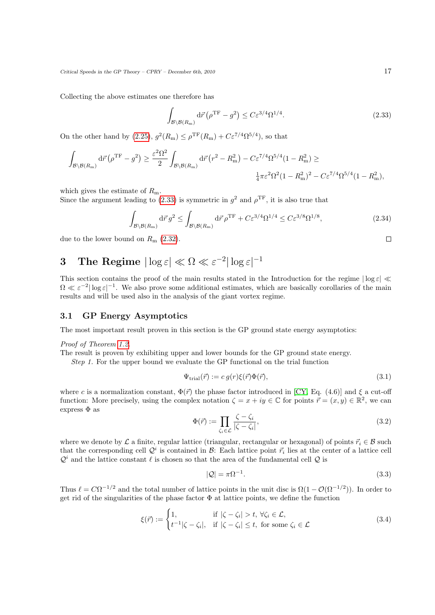Collecting the above estimates one therefore has

<span id="page-16-3"></span><span id="page-16-2"></span>
$$
\int_{\mathcal{B}\backslash\mathcal{B}(R_{\rm m})} d\vec{r} \left(\rho^{\rm TF} - g^2\right) \le C \varepsilon^{3/4} \Omega^{1/4}.
$$
\n(2.33)

On the other hand by [\(2.25\)](#page-14-3),  $g^2(R_m) \leq \rho^{TF}(R_m) + C\epsilon^{7/4}\Omega^{5/4}$ , so that

$$
\int_{\mathcal{B}\backslash\mathcal{B}(R_{\rm m})} d\vec{r} \left(\rho^{\rm TF} - g^2\right) \ge \frac{\varepsilon^2 \Omega^2}{2} \int_{\mathcal{B}\backslash\mathcal{B}(R_{\rm m})} d\vec{r} \left(r^2 - R_{\rm m}^2\right) - C \varepsilon^{7/4} \Omega^{5/4} (1 - R_{\rm m}^2) \ge
$$
  

$$
\frac{1}{4} \pi \varepsilon^2 \Omega^2 (1 - R_{\rm m}^2)^2 - C \varepsilon^{7/4} \Omega^{5/4} (1 - R_{\rm m}^2),
$$

which gives the estimate of  $R_{\rm m}$ .

Since the argument leading to [\(2.33\)](#page-16-2) is symmetric in  $g^2$  and  $\rho^{\text{TF}}$ , it is also true that

$$
\int_{\mathcal{B}\backslash\mathcal{B}(R_{\rm m})} d\vec{r} \, g^2 \le \int_{\mathcal{B}\backslash\mathcal{B}(R_{\rm m})} d\vec{r} \, \rho^{\rm TF} + C\varepsilon^{3/4} \Omega^{1/4} \le C\varepsilon^{3/8} \Omega^{1/8},\tag{2.34}
$$

due to the lower bound on  $R_{\rm m}$  [\(2.32\)](#page-15-0).

# <span id="page-16-0"></span>3 The Regime  $|\log\varepsilon|\ll\Omega\ll\varepsilon^{-2}|\log\varepsilon|^{-1}$

This section contains the proof of the main results stated in the Introduction for the regime  $|\log \epsilon| \ll$  $\Omega \ll \varepsilon^{-2} |\log \varepsilon|^{-1}$ . We also prove some additional estimates, which are basically corollaries of the main results and will be used also in the analysis of the giant vortex regime.

## <span id="page-16-1"></span>3.1 GP Energy Asymptotics

The most important result proven in this section is the GP ground state energy asymptotics:

Proof of Theorem [1.2.](#page-6-2)

The result is proven by exhibiting upper and lower bounds for the GP ground state energy.

Step 1. For the upper bound we evaluate the GP functional on the trial function

$$
\Psi_{\text{trial}}(\vec{r}) := c \, g(r) \xi(\vec{r}) \Phi(\vec{r}), \tag{3.1}
$$

where c is a normalization constant,  $\Phi(\vec{r})$  the phase factor introduced in [\[CY,](#page-39-7) Eq. (4.6)] and  $\xi$  a cut-off function: More precisely, using the complex notation  $\zeta = x + iy \in \mathbb{C}$  for points  $\vec{r} = (x, y) \in \mathbb{R}^2$ , we can express  $\Phi$  as

$$
\Phi(\vec{r}) := \prod_{\zeta_i \in \mathcal{L}} \frac{\zeta - \zeta_i}{|\zeta - \zeta_i|},\tag{3.2}
$$

where we denote by L a finite, regular lattice (triangular, rectangular or hexagonal) of points  $\vec{r_i} \in \mathcal{B}$  such that the corresponding cell  $\mathcal{Q}^i$  is contained in  $\mathcal{B}$ : Each lattice point  $\vec{r}_i$  lies at the center of a lattice cell  $\mathcal{Q}^i$  and the lattice constant  $\ell$  is chosen so that the area of the fundamental cell  $\mathcal Q$  is

$$
|\mathcal{Q}| = \pi \Omega^{-1}.\tag{3.3}
$$

Thus  $\ell = C\Omega^{-1/2}$  and the total number of lattice points in the unit disc is  $\Omega(1 - \mathcal{O}(\Omega^{-1/2}))$ . In order to get rid of the singularities of the phase factor  $\Phi$  at lattice points, we define the function

$$
\xi(\vec{r}) := \begin{cases} 1, & \text{if } |\zeta - \zeta_i| > t, \ \forall \zeta_i \in \mathcal{L}, \\ t^{-1}|\zeta - \zeta_i|, & \text{if } |\zeta - \zeta_i| \le t, \ \text{for some } \zeta_i \in \mathcal{L} \end{cases} \tag{3.4}
$$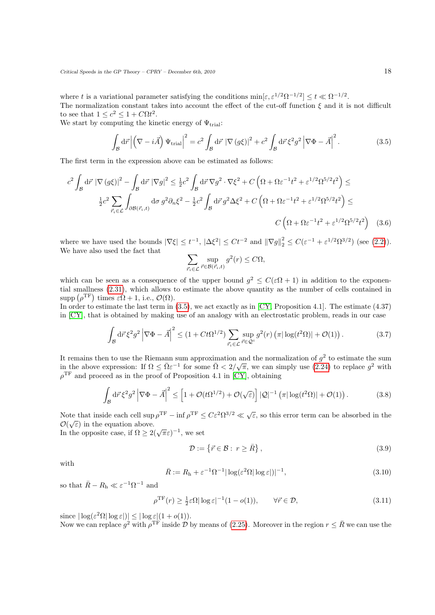where t is a variational parameter satisfying the conditions  $\min[\varepsilon, \varepsilon^{1/2} \Omega^{-1/2}] \le t \ll \Omega^{-1/2}$ . The normalization constant takes into account the effect of the cut-off function  $\xi$  and it is not difficult to see that  $1 \leq c^2 \leq 1 + C\Omega t^2$ .

We start by computing the kinetic energy of  $\Psi_{\text{trial}}$ :

<span id="page-17-0"></span>
$$
\int_{\mathcal{B}} d\vec{r} \left| \left( \nabla - i \vec{A} \right) \Psi_{\text{trial}} \right|^2 = c^2 \int_{\mathcal{B}} d\vec{r} \left| \nabla (g\xi) \right|^2 + c^2 \int_{\mathcal{B}} d\vec{r} \xi^2 g^2 \left| \nabla \Phi - \vec{A} \right|^2. \tag{3.5}
$$

The first term in the expression above can be estimated as follows:

$$
c^2 \int_{\mathcal{B}} d\vec{r} \left| \nabla (g\xi) \right|^2 - \int_{\mathcal{B}} d\vec{r} \left| \nabla g \right|^2 \le \frac{1}{2} c^2 \int_{\mathcal{B}} d\vec{r} \nabla g^2 \cdot \nabla \xi^2 + C \left( \Omega + \Omega \varepsilon^{-1} t^2 + \varepsilon^{1/2} \Omega^{5/2} t^2 \right) \le
$$
  

$$
\frac{1}{2} c^2 \sum_{\vec{r}_i \in \mathcal{L}} \int_{\partial \mathcal{B}(\vec{r}_i, t)} d\sigma g^2 \partial_n \xi^2 - \frac{1}{2} c^2 \int_{\mathcal{B}} d\vec{r} g^2 \Delta \xi^2 + C \left( \Omega + \Omega \varepsilon^{-1} t^2 + \varepsilon^{1/2} \Omega^{5/2} t^2 \right) \le
$$
  

$$
C \left( \Omega + \Omega \varepsilon^{-1} t^2 + \varepsilon^{1/2} \Omega^{5/2} t^2 \right) \tag{3.6}
$$

where we have used the bounds  $|\nabla \xi| \leq t^{-1}$ ,  $|\Delta \xi^2| \leq C t^{-2}$  and  $||\nabla g||_2^2 \leq C(\varepsilon^{-1} + \varepsilon^{1/2} \Omega^{3/2})$  (see [\(2.2\)](#page-10-3)). We have also used the fact that

<span id="page-17-1"></span>
$$
\sum_{\vec{r}_i \in \mathcal{L}} \sup_{\vec{r} \in \mathcal{B}(\vec{r}_i, t)} g^2(r) \le C\Omega,
$$

which can be seen as a consequence of the upper bound  $g^2 \leq C(\varepsilon \Omega + 1)$  in addition to the exponential smallness [\(2.31\)](#page-15-1), which allows to estimate the above quantity as the number of cells contained in supp  $(\rho^{\text{TF}})$  times  $\varepsilon\Omega + 1$ , i.e.,  $\mathcal{O}(\Omega)$ .

In order to estimate the last term in  $(3.5)$ , we act exactly as in [\[CY,](#page-39-7) Proposition 4.1]. The estimate  $(4.37)$ in [\[CY\]](#page-39-7), that is obtained by making use of an analogy with an electrostatic problem, reads in our case

$$
\int_{\mathcal{B}} d\vec{r} \,\xi^2 g^2 \left| \nabla \Phi - \vec{A} \right|^2 \le (1 + Ct\Omega^{1/2}) \sum_{\vec{r}_i \in \mathcal{L}} \sup_{\vec{r} \in \mathcal{Q}^i} g^2(r) \left( \pi |\log(t^2 \Omega)| + \mathcal{O}(1) \right). \tag{3.7}
$$

It remains then to use the Riemann sum approximation and the normalization of  $g^2$  to estimate the sum It remains then to use the Kiemain sum approximation and the normalization of y to estimate the sum<br>in the above expression: If  $\Omega \leq \bar{\Omega} \varepsilon^{-1}$  for some  $\bar{\Omega} < 2/\sqrt{\pi}$ , we can simply use [\(2.24\)](#page-14-1) to replace  $g^2$  with  $\rho^{\text{TF}}$  and proceed as in the proof of Proposition 4.1 in [\[CY\]](#page-39-7), obtaining

$$
\int_{\mathcal{B}} d\vec{r} \,\xi^2 g^2 \left| \nabla \Phi - \vec{A} \right|^2 \le \left[ 1 + \mathcal{O}(t\Omega^{1/2}) + \mathcal{O}(\sqrt{\varepsilon}) \right] |\mathcal{Q}|^{-1} \left( \pi |\log(t^2 \Omega)| + \mathcal{O}(1) \right). \tag{3.8}
$$

Note that inside each cell  $\sup \rho^{TF} - \inf \rho^{TF} \leq C \varepsilon^2 \Omega^{3/2} \ll \sqrt{\varepsilon}$ , so this error term can be absorbed in the  $\mathcal{O}(\sqrt{\varepsilon})$  in the equation above.

 $U(\sqrt{\epsilon})$  in the equation above.<br>In the opposite case, if  $\Omega \geq 2(\sqrt{\pi \epsilon})^{-1}$ , we set

<span id="page-17-2"></span>
$$
\mathcal{D} := \left\{ \vec{r} \in \mathcal{B} : r \ge \bar{R} \right\},\tag{3.9}
$$

with

$$
\bar{R} := R_{\rm h} + \varepsilon^{-1} \Omega^{-1} |\log(\varepsilon^2 \Omega| \log \varepsilon|)|^{-1},\tag{3.10}
$$

so that  $\bar{R} - R_{\rm h} \ll \varepsilon^{-1} \Omega^{-1}$  and

$$
\rho^{\mathrm{TF}}(r) \ge \frac{1}{2}\varepsilon\Omega |\log \varepsilon|^{-1} (1 - o(1)), \qquad \forall \vec{r} \in \mathcal{D}, \tag{3.11}
$$

since  $|\log(\varepsilon^2 \Omega| \log \varepsilon)| \leq |\log \varepsilon| (1 + o(1)).$ 

Now we can replace  $g^2$  with  $\rho^{\text{TF}}$  inside D by means of [\(2.25\)](#page-14-3). Moreover in the region  $r \leq \bar{R}$  we can use the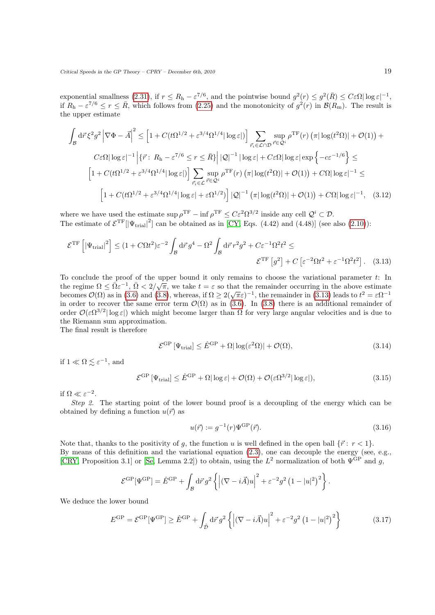exponential smallness [\(2.31\)](#page-15-1), if  $r \leq R_h - \varepsilon^{7/6}$ , and the pointwise bound  $g^2(r) \leq g^2(\bar{R}) \leq C \varepsilon \Omega |\log \varepsilon|^{-1}$ , if  $R_h - \varepsilon^{7/6} \le r \le \bar{R}$ , which follows from [\(2.25\)](#page-14-3) and the monotonicity of  $g^2(r)$  in  $\mathcal{B}(R_m)$ . The result is the upper estimate

$$
\int_{\mathcal{B}} d\vec{r} \xi^{2} g^{2} \left| \nabla \Phi - \vec{A} \right|^{2} \leq \left[ 1 + C(t \Omega^{1/2} + \varepsilon^{3/4} \Omega^{1/4} |\log \varepsilon|) \right] \sum_{\vec{r}_{i} \in \mathcal{L} \cap \mathcal{D}} \sup_{\vec{r} \in \mathcal{Q}^{i}} \rho^{\text{TF}}(r) \left( \pi |\log(t^{2} \Omega)| + \mathcal{O}(1) \right) +
$$
  
\n
$$
C \varepsilon \Omega |\log \varepsilon|^{-1} \left| \{ \vec{r} : R_{\text{h}} - \varepsilon^{7/6} \leq r \leq \bar{R} \} \right| |\mathcal{Q}|^{-1} |\log \varepsilon| + C \varepsilon \Omega |\log \varepsilon| \exp \left\{ -c \varepsilon^{-1/6} \right\} \leq
$$
  
\n
$$
\left[ 1 + C(t \Omega^{1/2} + \varepsilon^{3/4} \Omega^{1/4} |\log \varepsilon|) \right] \sum_{\vec{r}_{i} \in \mathcal{L}} \sup_{\vec{r} \in \mathcal{Q}^{i}} \rho^{\text{TF}}(r) \left( \pi |\log(t^{2} \Omega)| + \mathcal{O}(1) \right) + C \Omega |\log \varepsilon|^{-1} \leq
$$
  
\n
$$
\left[ 1 + C(t \Omega^{1/2} + \varepsilon^{3/4} \Omega^{1/4} |\log \varepsilon| + \varepsilon \Omega^{1/2}) \right] |\mathcal{Q}|^{-1} \left( \pi |\log(t^{2} \Omega)| + \mathcal{O}(1) \right) + C \Omega |\log \varepsilon|^{-1}, \quad (3.12)
$$

where we have used the estimate  $\sup \rho^{\text{TF}} - \inf \rho^{\text{TF}} \leq C \varepsilon^2 \Omega^{3/2}$  inside any cell  $\mathcal{Q}^i \subset \mathcal{D}$ . The estimate of  $\mathcal{E}^{\rm TF}[|\Psi_{\rm trial}|^2]$  can be obtained as in [\[CY,](#page-39-7) Eqs. (4.42) and (4.48)] (see also [\(2.10\)](#page-12-1)):

$$
\mathcal{E}^{\rm TF} \left[ \left| \Psi_{\rm trial} \right|^2 \right] \le (1 + C \Omega t^2) \varepsilon^{-2} \int_{\mathcal{B}} d\vec{r} \, g^4 - \Omega^2 \int_{\mathcal{B}} d\vec{r} \, r^2 g^2 + C \varepsilon^{-1} \Omega^2 t^2 \le
$$

$$
\mathcal{E}^{\rm TF} \left[ g^2 \right] + C \left[ \varepsilon^{-2} \Omega t^2 + \varepsilon^{-1} \Omega^2 t^2 \right]. \tag{3.13}
$$

To conclude the proof of the upper bound it only remains to choose the variational parameter  $t$ : In To conclude the proof of the upper bound it only remains to choose the variational parameter  $t$ . In the regime  $\Omega \leq \overline{\Omega} \varepsilon^{-1}$ ,  $\overline{\Omega} < 2/\sqrt{\pi}$ , we take  $t = \varepsilon$  so that the remainder occurring in the above estimat becomes  $\mathcal{O}(\Omega)$  as in [\(3.6\)](#page-17-1) and [\(3.8\)](#page-17-2), whereas, if  $\Omega \geq 2(\sqrt{\pi}\varepsilon)^{-1}$ , the remainder in [\(3.13\)](#page-18-0) leads to  $t^2 = \varepsilon \Omega^{-1}$ in order to recover the same error term  $\mathcal{O}(\Omega)$  as in [\(3.6\)](#page-17-1). In [\(3.8\)](#page-17-2) there is an additional remainder of order  $\mathcal{O}(\varepsilon \Omega^{3/2} |\log \varepsilon|)$  which might become larger than  $\Omega$  for very large angular velocities and is due to the Riemann sum approximation.

The final result is therefore

<span id="page-18-1"></span><span id="page-18-0"></span>
$$
\mathcal{E}^{\rm GP}\left[\Psi_{\rm trial}\right] \le \hat{E}^{\rm GP} + \Omega|\log(\varepsilon^2 \Omega)| + \mathcal{O}(\Omega),\tag{3.14}
$$

if  $1 \ll \Omega \lesssim \varepsilon^{-1}$ , and

<span id="page-18-2"></span>
$$
\mathcal{E}^{\rm GP}\left[\Psi_{\rm trial}\right] \le \hat{E}^{\rm GP} + \Omega|\log \varepsilon| + \mathcal{O}(\Omega) + \mathcal{O}(\varepsilon \Omega^{3/2}|\log \varepsilon|),\tag{3.15}
$$

if  $\Omega \ll \varepsilon^{-2}$ .

Step 2. The starting point of the lower bound proof is a decoupling of the energy which can be obtained by defining a function  $u(\vec{r})$  as

$$
u(\vec{r}) := g^{-1}(r)\Psi^{\text{GP}}(\vec{r}).\tag{3.16}
$$

Note that, thanks to the positivity of g, the function u is well defined in the open ball  $\{\vec{r} : r < 1\}$ . By means of this definition and the variational equation [\(2.3\)](#page-10-4), one can decouple the energy (see, e.g., [\[CRY,](#page-39-8) Proposition 3.1] or [\[Se,](#page-40-4) Lemma 2.2]) to obtain, using the  $L^2$  normalization of both  $\Psi$ <sup>GP</sup> and g,

$$
\mathcal{E}^{\rm GP}[\Psi^{\rm GP}] = \hat{E}^{\rm GP} + \int_{\mathcal{B}} d\vec{r} \, g^2 \left\{ \left| (\nabla - i\vec{A})u \right|^2 + \varepsilon^{-2} g^2 \left( 1 - |u|^2 \right)^2 \right\}.
$$

We deduce the lower bound

$$
E^{\rm GP} = \mathcal{E}^{\rm GP}[\Psi^{\rm GP}] \ge \hat{E}^{\rm GP} + \int_{\tilde{\mathcal{D}}} d\vec{r} \, g^2 \left\{ \left| (\nabla - i\vec{A})u \right|^2 + \varepsilon^{-2} g^2 \left( 1 - |u|^2 \right)^2 \right\} \tag{3.17}
$$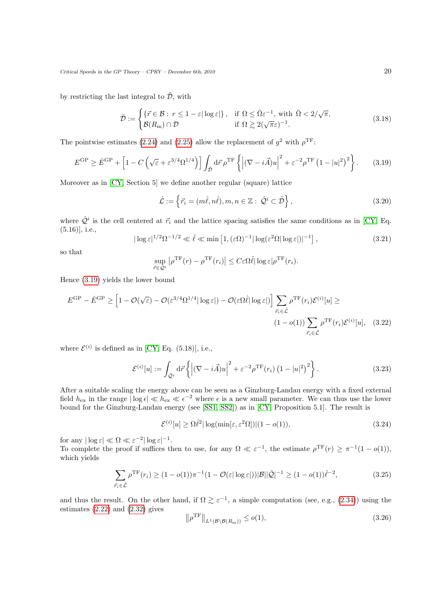by restricting the last integral to  $\tilde{\mathcal{D}}$ , with

$$
\tilde{\mathcal{D}} := \begin{cases}\n\{\vec{r} \in \mathcal{B} : r \le 1 - \varepsilon |\log \varepsilon|\}, & \text{if } \Omega \le \bar{\Omega} \varepsilon^{-1}, \text{ with } \bar{\Omega} < 2/\sqrt{\pi}, \\
\mathcal{B}(R_{\rm m}) \cap \mathcal{D} & \text{if } \Omega \gtrsim 2(\sqrt{\pi}\varepsilon)^{-1}.\n\end{cases} \tag{3.18}
$$

The pointwise estimates [\(2.24\)](#page-14-1) and [\(2.25\)](#page-14-3) allow the replacement of  $g^2$  with  $\rho^{\text{TF}}$ :

$$
E^{\rm GP} \ge \hat{E}^{\rm GP} + \left[1 - C\left(\sqrt{\varepsilon} + \varepsilon^{3/4} \Omega^{1/4}\right)\right] \int_{\tilde{\mathcal{D}}} d\vec{r} \,\rho^{\rm TF} \left\{ \left|(\nabla - i\vec{A})u\right|^2 + \varepsilon^{-2} \rho^{\rm TF} \left(1 - |u|^2\right)^2 \right\}.
$$
 (3.19)

Moreover as in [\[CY,](#page-39-7) Section 5] we define another regular (square) lattice

<span id="page-19-0"></span>
$$
\hat{\mathcal{L}} := \left\{ \vec{r}_i = (m\hat{\ell}, n\hat{\ell}), m, n \in \mathbb{Z} : \hat{\mathcal{Q}}^i \subset \tilde{\mathcal{D}} \right\},\tag{3.20}
$$

where  $\hat{Q}^i$  is the cell centered at  $\vec{r}_i$  and the lattice spacing satisfies the same conditions as in [\[CY,](#page-39-7) Eq. (5.16)], i.e.,

<span id="page-19-4"></span>
$$
|\log \varepsilon|^{1/2} \Omega^{-1/2} \ll \hat{\ell} \ll \min\left[1, (\varepsilon \Omega)^{-1} |\log(\varepsilon^2 \Omega| \log \varepsilon|)|^{-1}\right],\tag{3.21}
$$

so that

<span id="page-19-1"></span>
$$
\sup_{\vec{r}\in\mathcal{Q}^i} \left| \rho^{\rm TF}(r) - \rho^{\rm TF}(r_i) \right| \leq C \varepsilon \Omega \hat{\ell} |\log \varepsilon| \rho^{\rm TF}(r_i).
$$

Hence [\(3.19\)](#page-19-0) yields the lower bound

$$
E^{\rm GP} - \hat{E}^{\rm GP} \ge \left[1 - \mathcal{O}(\sqrt{\varepsilon}) - \mathcal{O}(\varepsilon^{3/4} \Omega^{1/4} |\log \varepsilon|) - \mathcal{O}(\varepsilon \Omega \hat{\ell} |\log \varepsilon|) \right] \sum_{\vec{r}_i \in \hat{\mathcal{L}}} \rho^{\rm TF}(r_i) \mathcal{E}^{(i)}[u] \ge
$$
  

$$
(1 - o(1)) \sum_{\vec{r}_i \in \hat{\mathcal{L}}} \rho^{\rm TF}(r_i) \mathcal{E}^{(i)}[u], \quad (3.22)
$$

where  $\mathcal{E}^{(i)}$  is defined as in [\[CY,](#page-39-7) Eq. (5.18)], i.e.,

$$
\mathcal{E}^{(i)}[u] := \int_{\hat{\mathcal{Q}}^i} d\vec{r} \left\{ \left| (\nabla - i\vec{A})u \right|^2 + \varepsilon^{-2} \rho^{\mathrm{TF}}(r_i) \left( 1 - |u|^2 \right)^2 \right\}.
$$
 (3.23)

After a suitable scaling the energy above can be seen as a Ginzburg-Landau energy with a fixed external field  $h_{\text{ex}}$  in the range  $|\log \epsilon| \ll h_{\text{ex}} \ll \epsilon^{-2}$  where  $\epsilon$  is a new small parameter. We can thus use the lower bound for the Ginzburg-Landau energy (see [\[SS1,](#page-40-1) [SS2\]](#page-40-0)) as in [\[CY,](#page-39-7) Proposition 5.1]. The result is

<span id="page-19-2"></span>
$$
\mathcal{E}^{(i)}[u] \ge \Omega \hat{\ell}^2 |\log(\min[\varepsilon, \varepsilon^2 \Omega])| (1 - o(1)),\tag{3.24}
$$

for any  $|\log \varepsilon| \ll \Omega \ll \varepsilon^{-2} |\log \varepsilon|^{-1}$ .

To complete the proof if suffices then to use, for any  $\Omega \ll \varepsilon^{-1}$ , the estimate  $\rho^{\text{TF}}(r) \geq \pi^{-1}(1 - o(1)),$ which yields

<span id="page-19-3"></span>
$$
\sum_{\vec{r}_i \in \hat{\mathcal{L}}} \rho^{\text{TF}}(r_i) \ge (1 - o(1))\pi^{-1} (1 - \mathcal{O}(\varepsilon |\log \varepsilon|)) |\mathcal{B}| |\hat{\mathcal{Q}}|^{-1} \ge (1 - o(1))\hat{\ell}^{-2},
$$
\n(3.25)

and thus the result. On the other hand, if  $\Omega \geq \varepsilon^{-1}$ , a simple computation (see, e.g., [\(2.34\)](#page-16-3)) using the estimates [\(2.22\)](#page-13-0) and [\(2.32\)](#page-15-0) gives  $T_{\rm F}$ 

$$
\left\|\rho^{\rm TF}\right\|_{L^1(\mathcal{B}\setminus\mathcal{B}(R_m))} \leq o(1),\tag{3.26}
$$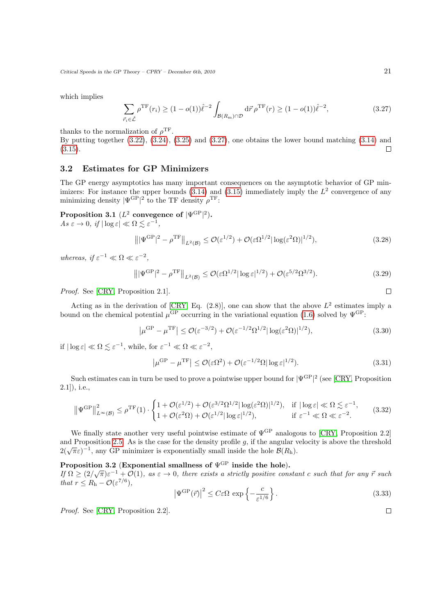which implies

<span id="page-20-3"></span>
$$
\sum_{\vec{r}_i \in \hat{\mathcal{L}}} \rho^{\mathrm{TF}}(r_i) \ge (1 - o(1))\hat{\ell}^{-2} \int_{\mathcal{B}(R_{\mathrm{m}}) \cap \mathcal{D}} d\vec{r} \, \rho^{\mathrm{TF}}(r) \ge (1 - o(1))\hat{\ell}^{-2},\tag{3.27}
$$

thanks to the normalization of  $\rho^{\text{TF}}$ .

By putting together [\(3.22\)](#page-19-1), [\(3.24\)](#page-19-2), [\(3.25\)](#page-19-3) and [\(3.27\)](#page-20-3), one obtains the lower bound matching [\(3.14\)](#page-18-1) and [\(3.15\)](#page-18-2).  $\Box$ 

## <span id="page-20-0"></span>3.2 Estimates for GP Minimizers

The GP energy asymptotics has many important consequences on the asymptotic behavior of GP minimizers: For instance the upper bounds  $(3.14)$  and  $(3.15)$  immediately imply the  $L^2$  convergence of any minimizing density  $|\Psi^{\text{GP}}|^{2}$  to the TF density  $\rho^{\text{TF}}$ :

<span id="page-20-1"></span>Proposition 3.1  $(L^2 \text{ converge} \text{enc} \text{ of } |\Psi^{\text{GP}}|^2).$  $As \varepsilon \to 0, \text{ if } |\log \varepsilon| \ll \Omega \lesssim \varepsilon^{-1},$ 

$$
\left\| |\Psi^{\rm GP}|^2 - \rho^{\rm TF} \right\|_{L^2(\mathcal{B})} \le \mathcal{O}(\varepsilon^{1/2}) + \mathcal{O}(\varepsilon \Omega^{1/2} |\log(\varepsilon^2 \Omega)|^{1/2}),\tag{3.28}
$$

whereas, if  $\varepsilon^{-1} \ll \Omega \ll \varepsilon^{-2}$ ,

$$
\left\| |\Psi^{\rm GP}|^2 - \rho^{\rm TF} \right\|_{L^2(\mathcal{B})} \le \mathcal{O}(\varepsilon \Omega^{1/2} |\log \varepsilon|^{1/2}) + \mathcal{O}(\varepsilon^{5/2} \Omega^{3/2}).\tag{3.29}
$$

Proof. See [\[CRY,](#page-39-8) Proposition 2.1].

Acting as in the derivation of [\[CRY,](#page-39-8) Eq.  $(2.8)$ ], one can show that the above  $L^2$  estimates imply a bound on the chemical potential  $\mu$ <sup>GP</sup> occurring in the variational equation [\(1.6\)](#page-3-0) solved by  $\Psi$ <sup>GP</sup>:

$$
\left|\mu^{\rm GP} - \mu^{\rm TF}\right| \le \mathcal{O}(\varepsilon^{-3/2}) + \mathcal{O}(\varepsilon^{-1/2} \Omega^{1/2} |\log(\varepsilon^2 \Omega)|^{1/2}),\tag{3.30}
$$

if  $|\log \varepsilon| \ll \Omega \lesssim \varepsilon^{-1}$ , while, for  $\varepsilon^{-1} \ll \Omega \ll \varepsilon^{-2}$ ,

$$
\left|\mu^{\rm GP} - \mu^{\rm TF}\right| \le \mathcal{O}(\varepsilon \Omega^2) + \mathcal{O}(\varepsilon^{-1/2} \Omega |\log \varepsilon|^{1/2}).\tag{3.31}
$$

Such estimates can in turn be used to prove a pointwise upper bound for  $|\Psi^{\mathrm{GP}}|^{2}$  (see [\[CRY,](#page-39-8) Proposition 2.1]), i.e.,

$$
\left\|\Psi^{\text{GP}}\right\|_{L^{\infty}(\mathcal{B})}^{2} \leq \rho^{\text{TF}}(1) \cdot \begin{cases}1+\mathcal{O}(\varepsilon^{1/2})+\mathcal{O}(\varepsilon^{3/2}\Omega^{1/2}|\log(\varepsilon^{2}\Omega)|^{1/2}), & \text{if } |\log \varepsilon| \ll \Omega \lesssim \varepsilon^{-1},\\1+\mathcal{O}(\varepsilon^{2}\Omega)+\mathcal{O}(\varepsilon^{1/2}|\log \varepsilon|^{1/2}), & \text{if } \varepsilon^{-1} \ll \Omega \ll \varepsilon^{-2}.\end{cases} (3.32)
$$

We finally state another very useful pointwise estimate of  $\Psi^{\text{GP}}$  analogous to [\[CRY,](#page-39-8) Proposition 2.2] and Proposition [2.5.](#page-15-2) As is the case for the density profile  $g$ , if the angular velocity is above the threshold and Froposition 2.5. As is the case for the density prome g, if the angular  $2(\sqrt{\pi}\varepsilon)^{-1}$ , any GP minimizer is exponentially small inside the hole  $\mathcal{B}(R_h)$ .

# <span id="page-20-2"></span>Proposition 3.2 (Exponential smallness of  $\Psi$ <sup>GP</sup> inside the hole).

**F** Γυροπτίοπ 5.2 (Exponential smallness of  $\Psi$  inside the note).<br>If  $\Omega \geq (2/\sqrt{\pi})\varepsilon^{-1} + \mathcal{O}(1)$ , as  $\varepsilon \to 0$ , there exists a strictly positive constant c such that for any π such that  $r \leq R_{\rm h} - \mathcal{O}(\varepsilon^{7/6}),$ 

<span id="page-20-4"></span>
$$
\left|\Psi^{\text{GP}}(\vec{r})\right|^2 \le C\varepsilon\Omega \, \exp\left\{-\frac{c}{\varepsilon^{1/6}}\right\}.\tag{3.33}
$$

Proof. See [\[CRY,](#page-39-8) Proposition 2.2].

 $\Box$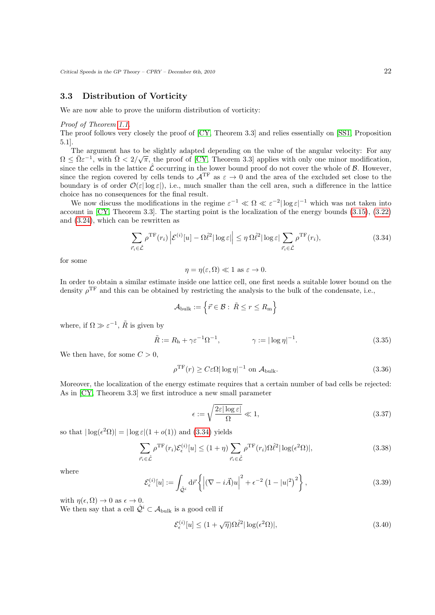## <span id="page-21-0"></span>3.3 Distribution of Vorticity

We are now able to prove the uniform distribution of vorticity:

### Proof of Theorem [1.1.](#page-5-0)

The proof follows very closely the proof of [\[CY,](#page-39-7) Theorem 3.3] and relies essentially on [\[SS1,](#page-40-1) Proposition 5.1].

The argument has to be slightly adapted depending on the value of the angular velocity: For any  $\sqrt{6}$  =  $\sqrt{6}$  +  $\sqrt{6}$  +  $\sqrt{6}$  +  $\sqrt{6}$  +  $\sqrt{6}$  +  $\sqrt{6}$  +  $\sqrt{6}$  +  $\sqrt{6}$  +  $\sqrt{6}$  +  $\sqrt{6}$  +  $\sqrt{6}$  +  $\sqrt{6$  $\Omega \leq \bar{\Omega} \varepsilon^{-1}$ , with  $\bar{\Omega} < 2/\sqrt{\pi}$ , the proof of [\[CY,](#page-39-7) Theorem 3.3] applies with only one minor modification, since the cells in the lattice  $\hat{\mathcal{L}}$  occurring in the lower bound proof do not cover the whole of  $\beta$ . However, since the region covered by cells tends to  $A^{TF}$  as  $\varepsilon \to 0$  and the area of the excluded set close to the boundary is of order  $\mathcal{O}(\varepsilon|\log \varepsilon|)$ , i.e., much smaller than the cell area, such a difference in the lattice choice has no consequences for the final result.

We now discuss the modifications in the regime  $\varepsilon^{-1} \ll \Omega \ll \varepsilon^{-2} |\log \varepsilon|^{-1}$  which was not taken into account in [\[CY,](#page-39-7) Theorem 3.3]. The starting point is the localization of the energy bounds [\(3.15\)](#page-18-2), [\(3.22\)](#page-19-1) and [\(3.24\)](#page-19-2), which can be rewritten as

$$
\sum_{\vec{r}_i \in \hat{\mathcal{L}}} \rho^{\mathrm{TF}}(r_i) \left| \mathcal{E}^{(i)}[u] - \Omega \hat{\ell}^2 |\log \varepsilon| \right| \le \eta \Omega \hat{\ell}^2 |\log \varepsilon| \sum_{\vec{r}_i \in \hat{\mathcal{L}}} \rho^{\mathrm{TF}}(r_i), \tag{3.34}
$$

for some

<span id="page-21-2"></span>
$$
\eta = \eta(\varepsilon, \Omega) \ll 1 \text{ as } \varepsilon \to 0.
$$

In order to obtain a similar estimate inside one lattice cell, one first needs a suitable lower bound on the density  $\rho^{\rm TF}$  and this can be obtained by restricting the analysis to the bulk of the condensate, i.e.,

<span id="page-21-1"></span>
$$
\mathcal{A}_{\text{bulk}} := \left\{ \vec{r} \in \mathcal{B} : \ \tilde{R} \le r \le R_{\text{m}} \right\}
$$

where, if  $\Omega \gg \varepsilon^{-1}$ ,  $\tilde{R}$  is given by

<span id="page-21-4"></span>
$$
\tilde{R} := R_{\rm h} + \gamma \varepsilon^{-1} \Omega^{-1}, \qquad \gamma := |\log \eta|^{-1}.
$$
\n(3.35)

We then have, for some  $C > 0$ ,

$$
\rho^{\rm TF}(r) \ge C \varepsilon \Omega |\log \eta|^{-1} \text{ on } \mathcal{A}_{\text{bulk}}.\tag{3.36}
$$

Moreover, the localization of the energy estimate requires that a certain number of bad cells be rejected: As in [\[CY,](#page-39-7) Theorem 3.3] we first introduce a new small parameter

<span id="page-21-3"></span>
$$
\epsilon := \sqrt{\frac{2\varepsilon |\log \varepsilon|}{\Omega}} \ll 1,\tag{3.37}
$$

so that  $|\log(\epsilon^2 \Omega)| = |\log \epsilon|(1 + o(1))$  and [\(3.34\)](#page-21-2) yields

$$
\sum_{\vec{r}_i \in \hat{\mathcal{L}}} \rho^{\mathrm{TF}}(r_i) \mathcal{E}_{\epsilon}^{(i)}[u] \le (1+\eta) \sum_{\vec{r}_i \in \hat{\mathcal{L}}} \rho^{\mathrm{TF}}(r_i) \Omega \hat{\ell}^2 |\log(\epsilon^2 \Omega)|,
$$
\n(3.38)

where

$$
\mathcal{E}_{\epsilon}^{(i)}[u] := \int_{\hat{\mathcal{Q}}^i} d\vec{r} \left\{ \left| (\nabla - i\vec{A})u \right|^2 + \epsilon^{-2} \left( 1 - |u|^2 \right)^2 \right\},\tag{3.39}
$$

with  $\eta(\epsilon, \Omega) \to 0$  as  $\epsilon \to 0$ .

We then say that a cell  $\hat{Q}^i \subset A_{\text{bulk}}$  is a good cell if

<span id="page-21-5"></span>
$$
\mathcal{E}_{\epsilon}^{(i)}[u] \le (1 + \sqrt{\eta})\Omega \hat{\ell}^2 |\log(\epsilon^2 \Omega)|,\tag{3.40}
$$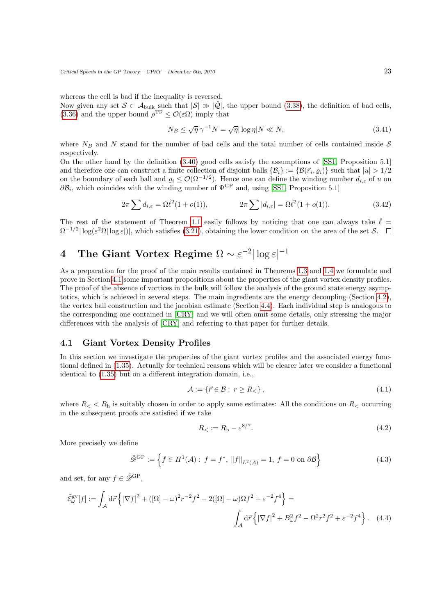whereas the cell is bad if the inequality is reversed.

Now given any set  $S \subset A_{\text{bulk}}$  such that  $|S| \gg |\hat{Q}|$ , the upper bound [\(3.38\)](#page-21-3), the definition of bad cells, [\(3.36\)](#page-21-4) and the upper bound  $\rho^{\text{TF}} \leq \mathcal{O}(\varepsilon \Omega)$  imply that

$$
N_B \le \sqrt{\eta} \,\gamma^{-1} N = \sqrt{\eta} |\log \eta| N \ll N,\tag{3.41}
$$

where  $N_B$  and N stand for the number of bad cells and the total number of cells contained inside S respectively.

On the other hand by the definition [\(3.40\)](#page-21-5) good cells satisfy the assumptions of [\[SS1,](#page-40-1) Proposition 5.1] and therefore one can construct a finite collection of disjoint balls  $\{\mathcal{B}_i\} := \{\mathcal{B}(\vec{r}_i, \varrho_i)\}\$  such that  $|u| > 1/2$ on the boundary of each ball and  $\varrho_i \leq \mathcal{O}(\Omega^{-1/2})$ . Hence one can define the winding number  $d_{i,\varepsilon}$  of u on  $\partial \mathcal{B}_i$ , which coincides with the winding number of  $\Psi^{\mathrm{GP}}$  and, using [\[SS1,](#page-40-1) Proposition 5.1]

$$
2\pi \sum d_{i,\varepsilon} = \Omega \hat{\ell}^2 (1 + o(1)), \qquad 2\pi \sum |d_{i,\varepsilon}| = \Omega \hat{\ell}^2 (1 + o(1)). \qquad (3.42)
$$

The rest of the statement of Theorem [1.1](#page-5-0) easily follows by noticing that one can always take  $\hat{\ell} =$  $\Omega^{-1/2} |\log(\varepsilon^2 \Omega| \log \varepsilon)|$ , which satisfies [\(3.21\)](#page-19-4), obtaining the lower condition on the area of the set S.

# <span id="page-22-0"></span>4 The Giant Vortex Regime  $\Omega \sim \varepsilon^{-2} |\log \varepsilon|^{-1}$

As a preparation for the proof of the main results contained in Theorems [1.3](#page-7-4) and [1.4](#page-8-0) we formulate and prove in Section [4.1](#page-22-1) some important propositions about the properties of the giant vortex density profiles. The proof of the absence of vortices in the bulk will follow the analysis of the ground state energy asymptotics, which is achieved in several steps. The main ingredients are the energy decoupling (Section [4.2\)](#page-24-0), the vortex ball construction and the jacobian estimate (Section [4.4\)](#page-29-0). Each individual step is analogous to the corresponding one contained in [\[CRY\]](#page-39-8) and we will often omit some details, only stressing the major differences with the analysis of [\[CRY\]](#page-39-8) and referring to that paper for further details.

## <span id="page-22-1"></span>4.1 Giant Vortex Density Profiles

In this section we investigate the properties of the giant vortex profiles and the associated energy functional defined in [\(1.35\)](#page-8-2). Actually for technical reasons which will be clearer later we consider a functional identical to [\(1.35\)](#page-8-2) but on a different integration domain, i.e.,

<span id="page-22-3"></span>
$$
\mathcal{A} := \{ \vec{r} \in \mathcal{B} : r \ge R_{\lt} \},\tag{4.1}
$$

where  $R_{\leq} < R_{\rm h}$  is suitably chosen in order to apply some estimates: All the conditions on  $R_{\leq}$  occurring in the subsequent proofs are satisfied if we take

<span id="page-22-4"></span><span id="page-22-2"></span>
$$
R_{<} := R_{\rm h} - \varepsilon^{8/7}.\tag{4.2}
$$

More precisely we define

$$
\tilde{\mathcal{D}}^{GP} := \left\{ f \in H^1(\mathcal{A}) : f = f^*, \|f\|_{L^2(\mathcal{A})} = 1, f = 0 \text{ on } \partial \mathcal{B} \right\}
$$
(4.3)

and set, for any  $f \in \tilde{\mathscr{D}}^{\text{GP}}$ .

$$
\tilde{\mathcal{E}}_{\omega}^{\text{gv}}[f] := \int_{\mathcal{A}} d\vec{r} \left\{ \left| \nabla f \right|^{2} + \left( [\Omega] - \omega \right)^{2} r^{-2} f^{2} - 2([\Omega] - \omega) \Omega f^{2} + \varepsilon^{-2} f^{4} \right\} =
$$
\n
$$
\int_{\mathcal{A}} d\vec{r} \left\{ \left| \nabla f \right|^{2} + B_{\omega}^{2} f^{2} - \Omega^{2} r^{2} f^{2} + \varepsilon^{-2} f^{4} \right\}. \tag{4.4}
$$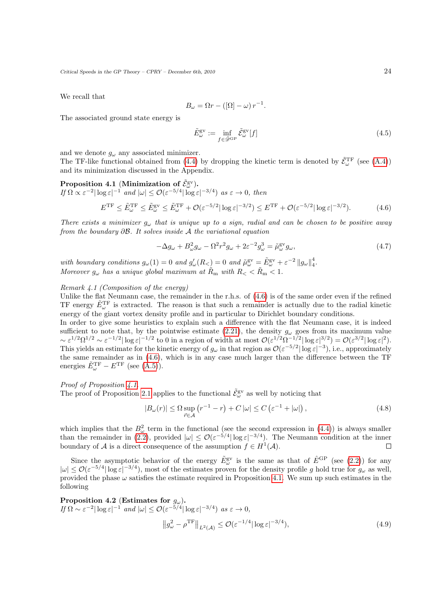We recall that

$$
B_{\omega} = \Omega r - ([\Omega] - \omega) r^{-1}.
$$

The associated ground state energy is

<span id="page-23-0"></span>
$$
\tilde{E}_{\omega}^{\text{gv}} := \inf_{f \in \tilde{\mathcal{D}}^{\text{GP}}} \tilde{\mathcal{E}}_{\omega}^{\text{gv}}[f] \tag{4.5}
$$

and we denote  $g_{\omega}$  any associated minimizer.

The TF-like functional obtained from [\(4.4\)](#page-22-2) by dropping the kinetic term is denoted by  $\tilde{\mathcal{E}}_{\omega}^{\text{TF}}$  (see [\(A.4\)](#page-35-3)) and its minimization discussed in the Appendix.

<span id="page-23-1"></span>Proposition 4.1 (Minimization of 
$$
\tilde{\mathcal{E}}_{\omega}^{\text{gv}}
$$
).  
\nIf  $\Omega \propto \varepsilon^{-2} |\log \varepsilon|^{-1}$  and  $|\omega| \le \mathcal{O}(\varepsilon^{-5/4} |\log \varepsilon|^{-3/4})$  as  $\varepsilon \to 0$ , then  
\n
$$
E^{\text{TF}} \le \tilde{E}_{\omega}^{\text{TF}} \le \tilde{E}_{\omega}^{\text{SV}} \le \tilde{E}_{\omega}^{\text{TF}} + \mathcal{O}(\varepsilon^{-5/2} |\log \varepsilon|^{-3/2}) \le E^{\text{TF}} + \mathcal{O}(\varepsilon^{-5/2} |\log \varepsilon|^{-3/2}). \tag{4.6}
$$

There exists a minimizer  $g_{\omega}$  that is unique up to a sign, radial and can be chosen to be positive away from the boundary  $\partial \mathcal{B}$ . It solves inside A the variational equation

$$
-\Delta g_{\omega} + B_{\omega}^2 g_{\omega} - \Omega^2 r^2 g_{\omega} + 2\varepsilon^{-2} g_{\omega}^3 = \tilde{\mu}_{\omega}^{\text{gv}} g_{\omega},\tag{4.7}
$$

with boundary conditions  $g_{\omega}(1) = 0$  and  $g'_{\omega}(R_{<}) = 0$  and  $\tilde{\mu}^{\text{gv}}_{\omega} = \tilde{E}^{\text{gv}}_{\omega} + \varepsilon^{-2} ||g_{\omega}||_4^4$ . Moreover  $g_{\omega}$  has a unique global maximum at  $\tilde{R}_{\rm m}$  with  $R_{\rm <} < \tilde{R}_{\rm m} < 1$ .

### Remark 4.1 (Composition of the energy)

Unlike the flat Neumann case, the remainder in the r.h.s. of [\(4.6\)](#page-23-0) is of the same order even if the refined TF energy  $\tilde{E}_{\omega}^{\text{TF}}$  is extracted. The reason is that such a remainder is actually due to the radial kinetic energy of the giant vortex density profile and in particular to Dirichlet boundary conditions.

In order to give some heuristics to explain such a difference with the flat Neumann case, it is indeed sufficient to note that, by the pointwise estimate [\(2.21\)](#page-13-5), the density  $g_{\omega}$  goes from its maximum value  $\sim \varepsilon^{1/2} \Omega^{1/2} \sim \varepsilon^{-1/2} |\log \varepsilon|^{-1/2}$  to 0 in a region of width at most  $\mathcal{O}(\varepsilon^{1/2} \Omega^{-1/2} |\log \varepsilon|^{3/2}) = \mathcal{O}(\varepsilon^{3/2} |\log \varepsilon|^2)$ . This yields an estimate for the kinetic energy of  $g_\omega$  in that region as  $\mathcal{O}(\varepsilon^{-5/2}|\log \varepsilon|^{-3})$ , i.e., approximately the same remainder as in [\(4.6\)](#page-23-0), which is in any case much larger than the difference between the TF energies  $\tilde{E}_{\omega}^{\text{TF}} - E^{\text{TF}}$  (see  $(A.5)$ ).

Proof of Proposition [4.1.](#page-23-1)

The proof of Proposition [2.1](#page-10-2) applies to the functional  $\tilde{\mathcal{E}}_{\omega}^{\text{gv}}$  as well by noticing that

$$
|B_{\omega}(r)| \leq \Omega \sup_{\vec{r} \in \mathcal{A}} (r^{-1} - r) + C |\omega| \leq C \left( \varepsilon^{-1} + |\omega| \right), \tag{4.8}
$$

which implies that the  $B_{\omega}^2$  term in the functional (see the second expression in [\(4.4\)](#page-22-2)) is always smaller than the remainder in [\(2.2\)](#page-10-3), provided  $|\omega| \leq \mathcal{O}(\varepsilon^{-5/4} |\log \varepsilon|^{-3/4})$ . The Neumann condition at the inner boundary of A is a direct consequence of the assumption  $f \in H^1(\mathcal{A})$ .  $\Box$ 

Since the asymptotic behavior of the energy  $\tilde{E}^{\text{gv}}_{\omega}$  is the same as that of  $\hat{E}^{\text{GP}}$  (see [\(2.2\)](#page-10-3)) for any  $|\omega| \leq \mathcal{O}(\varepsilon^{-5/4} |\log \varepsilon|^{-3/4})$ , most of the estimates proven for the density profile g hold true for  $g_{\omega}$  as well, provided the phase  $\omega$  satisfies the estimate required in Proposition [4.1.](#page-23-1) We sum up such estimates in the following

<span id="page-23-2"></span>**Proposition 4.2** (Estimates for 
$$
g_{\omega}
$$
).  
\n
$$
If \Omega \sim \varepsilon^{-2} |\log \varepsilon|^{-1} and |\omega| \leq \mathcal{O}(\varepsilon^{-5/4} |\log \varepsilon|^{-3/4}) \text{ as } \varepsilon \to 0,
$$
\n
$$
||g_{\omega}^2 - \rho^{\text{TF}}||_{L^2(\mathcal{A})} \leq \mathcal{O}(\varepsilon^{-1/4} |\log \varepsilon|^{-3/4}),
$$
\n(4.9)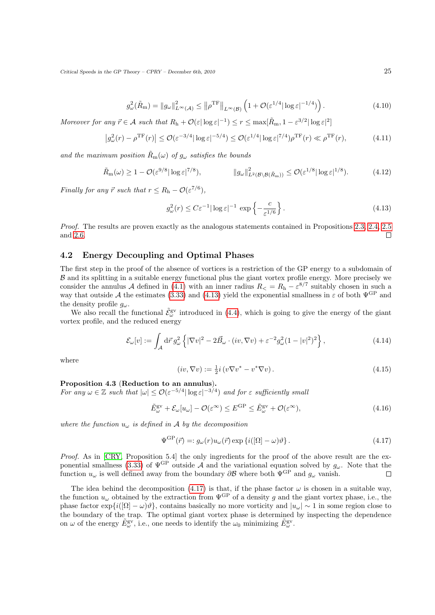$$
g_{\omega}^{2}(\tilde{R}_{\mathrm{m}}) = \|g_{\omega}\|_{L^{\infty}(\mathcal{A})}^{2} \leq \left\|\rho^{\mathrm{TF}}\right\|_{L^{\infty}(\mathcal{B})} \left(1 + \mathcal{O}(\varepsilon^{1/4}|\log\varepsilon|^{-1/4})\right). \tag{4.10}
$$

<span id="page-24-3"></span>Moreover for any  $\vec{r} \in A$  such that  $R_h + \mathcal{O}(\varepsilon |\log \varepsilon|^{-1}) \le r \le \max[\tilde{R}_m, 1 - \varepsilon^{3/2} |\log \varepsilon|^2]$ 

$$
\left|g_{\omega}^2(r) - \rho^{\mathrm{TF}}(r)\right| \le \mathcal{O}(\varepsilon^{-3/4} |\log \varepsilon|^{-5/4}) \le \mathcal{O}(\varepsilon^{1/4} |\log \varepsilon|^{7/4}) \rho^{\mathrm{TF}}(r) \ll \rho^{\mathrm{TF}}(r),\tag{4.11}
$$

and the maximum position  $\tilde{R}_{m}(\omega)$  of  $g_{\omega}$  satisfies the bounds

$$
\tilde{R}_{\mathbf{m}}(\omega) \ge 1 - \mathcal{O}(\varepsilon^{9/8} |\log \varepsilon|^{7/8}), \qquad \qquad \|g_{\omega}\|_{L^2(\mathcal{B} \setminus \mathcal{B}(\tilde{R}_{\mathbf{m}}))}^2 \le \mathcal{O}(\varepsilon^{1/8} |\log \varepsilon|^{1/8}). \tag{4.12}
$$

Finally for any  $\vec{r}$  such that  $r \leq R_h - \mathcal{O}(\varepsilon^{7/6}),$ 

<span id="page-24-4"></span><span id="page-24-1"></span>
$$
g_{\omega}^{2}(r) \leq C \varepsilon^{-1} |\log \varepsilon|^{-1} \, \exp\left\{-\frac{c}{\varepsilon^{1/6}}\right\}.
$$
 (4.13)

Proof. The results are proven exactly as the analogous statements contained in Propositions [2.3,](#page-13-6) [2.4,](#page-13-8) [2.5](#page-15-2) and [2.6.](#page-15-3)  $\Box$ 

## <span id="page-24-0"></span>4.2 Energy Decoupling and Optimal Phases

The first step in the proof of the absence of vortices is a restriction of the GP energy to a subdomain of B and its splitting in a suitable energy functional plus the giant vortex profile energy. More precisely we consider the annulus A defined in [\(4.1\)](#page-22-3) with an inner radius  $R_{\leq} = R_{h} - \varepsilon^{8/7}$  suitably chosen in such a way that outside A the estimates [\(3.33\)](#page-20-4) and [\(4.13\)](#page-24-1) yield the exponential smallness in  $\varepsilon$  of both  $\Psi^{\text{GP}}$  and the density profile  $g_{\omega}$ .

We also recall the functional  $\tilde{\mathcal{E}}_{\omega}^{\text{gv}}$  introduced in [\(4.4\)](#page-22-2), which is going to give the energy of the giant vortex profile, and the reduced energy

$$
\mathcal{E}_{\omega}[v] := \int_{\mathcal{A}} d\vec{r} \, g_{\omega}^2 \left\{ |\nabla v|^2 - 2\vec{B}_{\omega} \cdot (iv, \nabla v) + \varepsilon^{-2} g_{\omega}^2 (1 - |v|^2)^2 \right\},\tag{4.14}
$$

where

<span id="page-24-7"></span><span id="page-24-6"></span><span id="page-24-2"></span>
$$
(iv, \nabla v) := \frac{1}{2}i(v\nabla v^* - v^*\nabla v).
$$
\n
$$
(4.15)
$$

## Proposition 4.3 (Reduction to an annulus).

For any  $\omega \in \mathbb{Z}$  such that  $|\omega| \leq \mathcal{O}(\varepsilon^{-5/4} |\log \varepsilon|^{-3/4})$  and for  $\varepsilon$  sufficiently small

$$
\tilde{E}_{\omega}^{\text{gv}} + \mathcal{E}_{\omega}[u_{\omega}] - \mathcal{O}(\varepsilon^{\infty}) \le E^{\text{GP}} \le \tilde{E}_{\omega}^{\text{gv}} + \mathcal{O}(\varepsilon^{\infty}),\tag{4.16}
$$

where the function  $u_{\omega}$  is defined in A by the decomposition

$$
\Psi^{\rm GP}(\vec{r}) =: g_{\omega}(r)u_{\omega}(\vec{r}) \exp\left\{i([\Omega] - \omega)\vartheta\right\}.
$$
\n(4.17)

Proof. As in [\[CRY,](#page-39-8) Proposition 5.4] the only ingredients for the proof of the above result are the ex-ponential smallness [\(3.33\)](#page-20-4) of  $\Psi^{\text{GP}}$  outside A and the variational equation solved by  $g_{\omega}$ . Note that the function  $u_{\omega}$  is well defined away from the boundary  $\partial \mathcal{B}$  where both  $\Psi$ <sup>GP</sup> and  $g_{\omega}$  vanish.  $\Box$ 

<span id="page-24-5"></span>The idea behind the decomposition [\(4.17\)](#page-24-2) is that, if the phase factor  $\omega$  is chosen in a suitable way, the function  $u_{\omega}$  obtained by the extraction from  $\Psi^{\text{GP}}$  of a density g and the giant vortex phase, i.e., the phase factor  $\exp{ii(\Omega - \omega)\vartheta}$ , contains basically no more vorticity and  $|u_{\omega}| \sim 1$  in some region close to the boundary of the trap. The optimal giant vortex phase is determined by inspecting the dependence on  $\omega$  of the energy  $\tilde{E}_{\omega}^{\text{gv}},$  i.e., one needs to identify the  $\omega_0$  minimizing  $\tilde{E}_{\omega}^{\text{gv}}$ .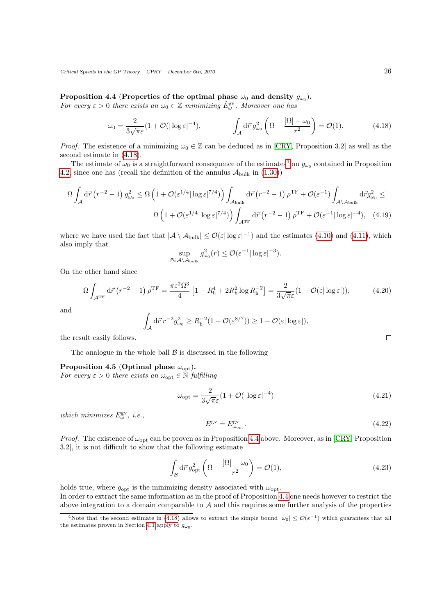Proposition 4.4 (Properties of the optimal phase  $\omega_0$  and density  $g_{\omega_0}$ ).

For every  $\varepsilon > 0$  there exists an  $\omega_0 \in \mathbb{Z}$  minimizing  $\tilde{E}_{\omega}^{\text{gv}}$ . Moreover one has

<span id="page-25-0"></span>
$$
\omega_0 = \frac{2}{3\sqrt{\pi\varepsilon}} (1 + \mathcal{O}(|\log \varepsilon|^{-4}), \qquad \qquad \int_{\mathcal{A}} d\vec{r} \, g_{\omega_0}^2 \left(\Omega - \frac{[\Omega] - \omega_0}{r^2}\right) = \mathcal{O}(1). \tag{4.18}
$$

*Proof.* The existence of a minimizing  $\omega_0 \in \mathbb{Z}$  can be deduced as in [\[CRY,](#page-39-8) Proposition 3.2] as well as the second estimate in [\(4.18\)](#page-25-0).

The estimate of  $\omega_0$  is a straightforward consequence of the estimates<sup>[4](#page-25-1)</sup> on  $g_{\omega_0}$  contained in Proposition [4.2,](#page-23-2) since one has (recall the definition of the annulus  $\mathcal{A}_{\text{bulk}}$  in [\(1.30\)](#page-7-5))

$$
\Omega \int_{\mathcal{A}} d\vec{r} (r^{-2} - 1) g_{\omega_0}^2 \le \Omega \left( 1 + \mathcal{O}(\varepsilon^{1/4} |\log \varepsilon|^{7/4}) \right) \int_{\mathcal{A}_{\text{bulk}}} d\vec{r} (r^{-2} - 1) \rho^{\text{TF}} + \mathcal{O}(\varepsilon^{-1}) \int_{\mathcal{A} \setminus \mathcal{A}_{\text{bulk}}} d\vec{r} g_{\omega_0}^2 \le
$$

$$
\Omega \left( 1 + \mathcal{O}(\varepsilon^{1/4} |\log \varepsilon|^{7/4}) \right) \int_{\mathcal{A}^{\text{TF}}} d\vec{r} (r^{-2} - 1) \rho^{\text{TF}} + \mathcal{O}(\varepsilon^{-1} |\log \varepsilon|^{-4}), \quad (4.19)
$$

where we have used the fact that  $|\mathcal{A} \setminus \mathcal{A}_{\text{bulk}}| \leq \mathcal{O}(\varepsilon |\log \varepsilon|^{-1})$  and the estimates [\(4.10\)](#page-24-3) and [\(4.11\)](#page-24-4), which also imply that

$$
\sup_{\vec{r}\in\mathcal{A}\setminus\mathcal{A}_{\text{bulk}}}g_{\omega_0}^2(r)\leq\mathcal{O}(\varepsilon^{-1}|\log\varepsilon|^{-3}).
$$

On the other hand since

$$
\Omega \int_{\mathcal{A}^{\rm TF}} d\vec{r} \left( r^{-2} - 1 \right) \rho^{\rm TF} = \frac{\pi \varepsilon^2 \Omega^3}{4} \left[ 1 - R_{\rm h}^4 + 2R_{\rm h}^2 \log R_{\rm h}^{-2} \right] = \frac{2}{3\sqrt{\pi}\varepsilon} (1 + \mathcal{O}(\varepsilon |\log \varepsilon|)),\tag{4.20}
$$

and

$$
\int_{\mathcal{A}} d\vec{r} \, r^{-2} g_{\omega_0}^2 \geq R_h^{-2} (1 - \mathcal{O}(\varepsilon^{8/7})) \geq 1 - \mathcal{O}(\varepsilon |\log \varepsilon|),
$$

the result easily follows.

The analogue in the whole ball  $\beta$  is discussed in the following

<span id="page-25-3"></span>Proposition 4.5 (Optimal phase  $\omega_{\text{opt}}$ ).

For every  $\varepsilon > 0$  there exists an  $\omega_{\text{opt}} \in \mathbb{N}$  fulfilling

$$
\omega_{\rm opt} = \frac{2}{3\sqrt{\pi}\varepsilon} (1 + \mathcal{O}(|\log \varepsilon|^{-4}) \tag{4.21}
$$

which minimizes  $E^{\text{gv}}_{\omega}$ , i.e.,

<span id="page-25-2"></span>
$$
E^{\rm gv} = E^{\rm gv}_{\omega_{\rm opt}}.\tag{4.22}
$$

*Proof.* The existence of  $\omega_{\text{opt}}$  can be proven as in Proposition [4.4](#page-24-5) above. Moreover, as in [\[CRY,](#page-39-8) Proposition 3.2], it is not difficult to show that the following estimate

$$
\int_{\mathcal{B}} d\vec{r} \, g_{\rm opt}^2 \left( \Omega - \frac{\left[ \Omega \right] - \omega_0}{r^2} \right) = \mathcal{O}(1),\tag{4.23}
$$

holds true, where  $g_{\text{opt}}$  is the minimizing density associated with  $\omega_{\text{opt}}$ . In order to extract the same information as in the proof of Proposition [4.4](#page-24-5) one needs however to restrict the above integration to a domain comparable to  $A$  and this requires some further analysis of the properties

<span id="page-25-1"></span><sup>&</sup>lt;sup>4</sup>Note that the second estimate in [\(4.18\)](#page-25-0) allows to extract the simple bound  $|\omega_0| \leq \mathcal{O}(\varepsilon^{-1})$  which guarantees that all the estimates proven in Section [4.1](#page-22-1) apply to  $g_{\omega_0}$ .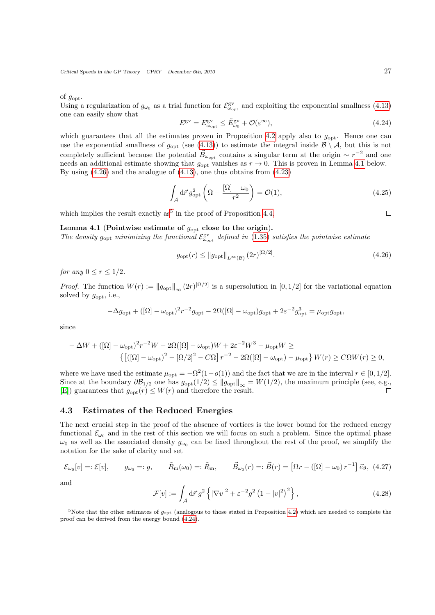of  $g_{\text{opt}}$ .

Using a regularization of  $g_{\omega_0}$  as a trial function for  $\mathcal{E}_{\omega_{\text{opt}}}^{\text{gv}}$  and exploiting the exponential smallness [\(4.13\)](#page-24-1) one can easily show that

<span id="page-26-4"></span>
$$
E^{\rm gv} = E^{\rm gv}_{\omega_{\rm opt}} \le \tilde{E}^{\rm gv}_{\omega_0} + \mathcal{O}(\varepsilon^{\infty}),\tag{4.24}
$$

which guarantees that all the estimates proven in Proposition [4.2](#page-23-2) apply also to  $g_{\text{opt}}$ . Hence one can use the exponential smallness of  $g_{\text{opt}}$  (see [\(4.13\)](#page-24-1)) to estimate the integral inside  $\mathcal{B} \setminus \mathcal{A}$ , but this is not completely sufficient because the potential  $\vec{B}_{\omega_{\text{opt}}}$  contains a singular term at the origin  $\sim r^{-2}$  and one needs an additional estimate showing that  $g_{\text{opt}}$  vanishes as  $r \to 0$ . This is proven in Lemma [4.1](#page-26-1) below. By using  $(4.26)$  and the analogue of  $(4.13)$ , one thus obtains from  $(4.23)$ 

$$
\int_{\mathcal{A}} d\vec{r} \, g_{\rm opt}^2 \left( \Omega - \frac{[\Omega] - \omega_0}{r^2} \right) = \mathcal{O}(1),\tag{4.25}
$$

which implies the result exactly as<sup>[5](#page-26-3)</sup> in the proof of Proposition [4.4.](#page-24-5)

## <span id="page-26-1"></span>Lemma 4.1 (Pointwise estimate of  $g_{\text{opt}}$  close to the origin).

The density  $g_{\text{opt}}$  minimizing the functional  $\mathcal{E}_{\omega_{\text{opt}}}^{\text{gv}}$  defined in [\(1.35\)](#page-8-2) satisfies the pointwise estimate

$$
g_{\text{opt}}(r) \le ||g_{\text{opt}}||_{L^{\infty}(\mathcal{B})} (2r)^{[\Omega/2]}.
$$
\n(4.26)

for any  $0 \le r \le 1/2$ .

*Proof.* The function  $W(r) := ||g_{\text{opt}}||_{\infty} (2r)^{[\Omega/2]}$  is a supersolution in [0, 1/2] for the variational equation solved by  $g_{\text{opt}}$ , i.e.,

$$
-\Delta g_{\rm opt} + ([\Omega] - \omega_{\rm opt})^2 r^{-2} g_{\rm opt} - 2\Omega([\Omega] - \omega_{\rm opt}) g_{\rm opt} + 2\varepsilon^{-2} g_{\rm opt}^3 = \mu_{\rm opt} g_{\rm opt},
$$

since

$$
-\Delta W + ([\Omega] - \omega_{\rm opt})^2 r^{-2} W - 2\Omega([\Omega] - \omega_{\rm opt})W + 2\varepsilon^{-2}W^3 - \mu_{\rm opt}W \ge
$$
  

$$
\left\{ \left[ ([\Omega] - \omega_{\rm opt})^2 - [\Omega/2]^2 - C\Omega \right] r^{-2} - 2\Omega([\Omega] - \omega_{\rm opt}) - \mu_{\rm opt} \right\} W(r) \ge C\Omega W(r) \ge 0,
$$

where we have used the estimate  $\mu_{opt} = -\Omega^2(1 - o(1))$  and the fact that we are in the interval  $r \in [0, 1/2]$ . Since at the boundary  $\partial \mathcal{B}_{1/2}$  one has  $g_{\text{opt}}(1/2) \le ||g_{\text{opt}}||_{\infty} = W(1/2)$ , the maximum principle (see, e.g., [E]) guarantees that  $g_{\text{opt}}(r) \leq W(r)$  and therefore the result. [\[E\]](#page-39-17)) guarantees that  $g_{opt}(r) \leq W(r)$  and therefore the result.

## <span id="page-26-0"></span>4.3 Estimates of the Reduced Energies

The next crucial step in the proof of the absence of vortices is the lower bound for the reduced energy functional  $\mathcal{E}_{\omega_0}$  and in the rest of this section we will focus on such a problem. Since the optimal phase  $\omega_0$  as well as the associated density  $g_{\omega_0}$  can be fixed throughout the rest of the proof, we simplify the notation for the sake of clarity and set

$$
\mathcal{E}_{\omega_0}[v] = \mathcal{E}[v], \qquad g_{\omega_0} = g, \qquad \tilde{R}_{\text{m}}(\omega_0) = \mathcal{E}_{\text{m}}, \qquad \vec{B}_{\omega_0}(r) = \mathcal{E}(r) = \left[\Omega r - \left(\left[\Omega\right] - \omega_0\right)r^{-1}\right] \vec{e}_{\vartheta}, \tag{4.27}
$$

and

$$
\mathcal{F}[v] := \int_{\mathcal{A}} d\vec{r} \, g^2 \left\{ \left| \nabla v \right|^2 + \varepsilon^{-2} g^2 \left( 1 - |v|^2 \right)^2 \right\},\tag{4.28}
$$

<span id="page-26-2"></span>

<span id="page-26-3"></span> $5$ Note that the other estimates of  $g_{\text{opt}}$  (analogous to those stated in Proposition [4.2\)](#page-23-2) which are needed to complete the proof can be derived from the energy bound [\(4.24\)](#page-26-4).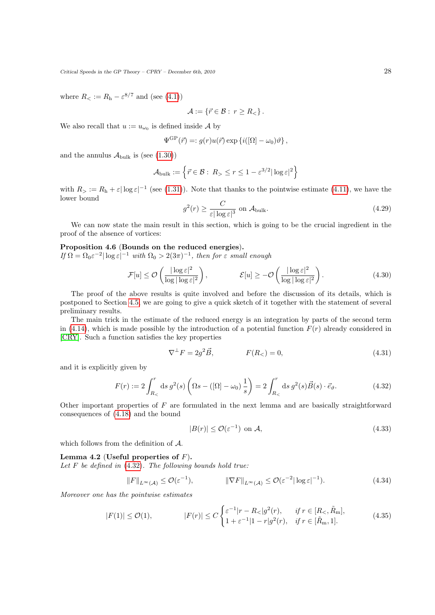where  $R_{\leq} := R_{\rm h} - \varepsilon^{8/7}$  and (see [\(4.1\)](#page-22-3))

$$
\mathcal{A} := \{ \vec{r} \in \mathcal{B} : r \ge R_< \}.
$$

We also recall that  $u := u_{\omega_0}$  is defined inside A by

$$
\Psi^{\text{GP}}(\vec{r}) =: g(r)u(\vec{r}) \exp \{i([\Omega] - \omega_0)\vartheta\},\,
$$

and the annulus  $\mathcal{A}_{\text{bulk}}$  is (see [\(1.30\)](#page-7-5))

$$
\mathcal{A}_{\text{bulk}} := \left\{ \vec{r} \in \mathcal{B} : R_{>}\leq r \leq 1 - \varepsilon^{3/2} |\log \varepsilon|^2 \right\}
$$

<span id="page-27-4"></span>with  $R_>=R_{\rm h}+\varepsilon|\log\varepsilon|^{-1}$  (see [\(1.31\)](#page-7-6)). Note that thanks to the pointwise estimate [\(4.11\)](#page-24-4), we have the lower bound

<span id="page-27-2"></span>
$$
g^2(r) \ge \frac{C}{\varepsilon |\log \varepsilon|^3} \text{ on } \mathcal{A}_{\text{bulk}}.\tag{4.29}
$$

We can now state the main result in this section, which is going to be the crucial ingredient in the proof of the absence of vortices:

## <span id="page-27-3"></span>Proposition 4.6 (Bounds on the reduced energies).

If  $\Omega = \Omega_0 \varepsilon^{-2} |\log \varepsilon|^{-1}$  with  $\Omega_0 > 2(3\pi)^{-1}$ , then for  $\varepsilon$  small enough

$$
\mathcal{F}[u] \le \mathcal{O}\left(\frac{|\log \varepsilon|^2}{\log |\log \varepsilon|^2}\right), \qquad \mathcal{E}[u] \ge -\mathcal{O}\left(\frac{|\log \varepsilon|^2}{\log |\log \varepsilon|^2}\right). \tag{4.30}
$$

The proof of the above results is quite involved and before the discussion of its details, which is postponed to Section [4.5,](#page-30-0) we are going to give a quick sketch of it together with the statement of several preliminary results.

The main trick in the estimate of the reduced energy is an integration by parts of the second term in [\(4.14\)](#page-24-6), which is made possible by the introduction of a potential function  $F(r)$  already considered in [\[CRY\]](#page-39-8). Such a function satisfies the key properties

<span id="page-27-0"></span>
$$
\nabla^{\perp} F = 2g^2 \vec{B}, \qquad F(R_<) = 0, \tag{4.31}
$$

and it is explicitly given by

$$
F(r) := 2 \int_{R_{<}}^{r} ds \, g^2(s) \left( \Omega s - \left( [\Omega] - \omega_0 \right) \frac{1}{s} \right) = 2 \int_{R_{<}}^{r} ds \, g^2(s) \vec{B}(s) \cdot \vec{e}_{\vartheta}.
$$
 (4.32)

Other important properties of F are formulated in the next lemma and are basically straightforward consequences of [\(4.18\)](#page-25-0) and the bound

<span id="page-27-1"></span>
$$
|B(r)| \le \mathcal{O}(\varepsilon^{-1}) \text{ on } \mathcal{A},\tag{4.33}
$$

which follows from the definition of A.

### Lemma 4.2 (Useful properties of  $F$ ).

Let  $F$  be defined in  $(4.32)$ . The following bounds hold true:

$$
||F||_{L^{\infty}(\mathcal{A})} \leq \mathcal{O}(\varepsilon^{-1}), \qquad ||\nabla F||_{L^{\infty}(\mathcal{A})} \leq \mathcal{O}(\varepsilon^{-2}|\log \varepsilon|^{-1}). \tag{4.34}
$$

Moreover one has the pointwise estimates

$$
|F(1)| \leq \mathcal{O}(1), \qquad |F(r)| \leq C \begin{cases} \varepsilon^{-1}|r - R_{<}|g^{2}(r), & \text{if } r \in [R_{<}, \tilde{R}_{\rm m}],\\ 1 + \varepsilon^{-1}|1 - r|g^{2}(r), & \text{if } r \in [\tilde{R}_{\rm m}, 1]. \end{cases} \tag{4.35}
$$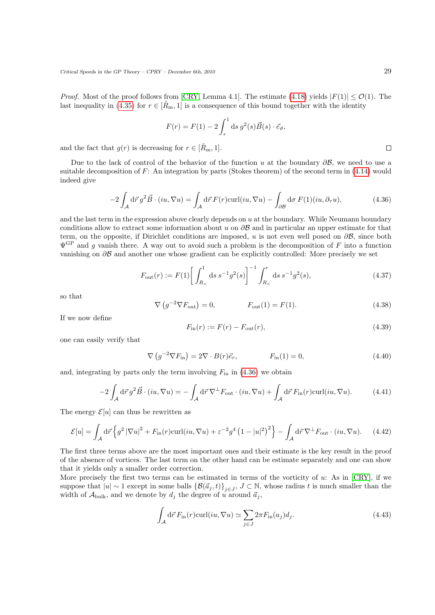*Proof.* Most of the proof follows from [\[CRY,](#page-39-8) Lemma 4.1]. The estimate [\(4.18\)](#page-25-0) yields  $|F(1)| \leq \mathcal{O}(1)$ . The last inequality in [\(4.35\)](#page-27-1) for  $r \in [\tilde{R}_{m}, 1]$  is a consequence of this bound together with the identity

$$
F(r) = F(1) - 2 \int_r^1 ds \, g^2(s) \vec{B}(s) \cdot \vec{e}_{\vartheta},
$$

and the fact that  $g(r)$  is decreasing for  $r \in [R_{m}, 1]$ .

Due to the lack of control of the behavior of the function u at the boundary  $\partial \mathcal{B}$ , we need to use a suitable decomposition of  $F$ : An integration by parts (Stokes theorem) of the second term in [\(4.14\)](#page-24-6) would indeed give

<span id="page-28-0"></span>
$$
-2\int_{\mathcal{A}} d\vec{r} \, g^2 \vec{B} \cdot (iu, \nabla u) = \int_{\mathcal{A}} d\vec{r} \, F(r) \operatorname{curl}(iu, \nabla u) - \int_{\partial \mathcal{B}} d\sigma \, F(1)(iu, \partial_{\tau} u), \tag{4.36}
$$

and the last term in the expression above clearly depends on  $u$  at the boundary. While Neumann boundary conditions allow to extract some information about u on  $\partial \mathcal{B}$  and in particular an upper estimate for that term, on the opposite, if Dirichlet conditions are imposed, u is not even well posed on  $\partial \mathcal{B}$ , since both  $\Psi^{\text{GP}}$  and g vanish there. A way out to avoid such a problem is the decomposition of F into a function vanishing on ∂B and another one whose gradient can be explicitly controlled: More precisely we set

$$
F_{\text{out}}(r) := F(1) \left[ \int_{R_{<}}^{1} \text{d}s \, s^{-1} g^{2}(s) \right]^{-1} \int_{R_{<}}^{r} \text{d}s \, s^{-1} g^{2}(s), \tag{4.37}
$$

so that

$$
(g^{-2}\nabla F_{\text{out}}) = 0, \qquad F_{\text{out}}(1) = F(1). \tag{4.38}
$$

If we now define

<span id="page-28-3"></span>
$$
F_{\rm in}(r) := F(r) - F_{\rm out}(r),\tag{4.39}
$$

one can easily verify that

<span id="page-28-1"></span>
$$
\nabla \left( g^{-2} \nabla F_{\text{in}} \right) = 2 \nabla \cdot B(r) \vec{e}_r, \qquad F_{\text{in}}(1) = 0, \qquad (4.40)
$$

and, integrating by parts only the term involving  $F_{\text{in}}$  in [\(4.36\)](#page-28-0) we obtain

<span id="page-28-2"></span> $\nabla$ 

$$
-2\int_{\mathcal{A}} d\vec{r} \, g^2 \vec{B} \cdot (iu, \nabla u) = -\int_{\mathcal{A}} d\vec{r} \, \nabla^{\perp} F_{\text{out}} \cdot (iu, \nabla u) + \int_{\mathcal{A}} d\vec{r} \, F_{\text{in}}(r) \text{curl}(iu, \nabla u). \tag{4.41}
$$

The energy  $\mathcal{E}[u]$  can thus be rewritten as

$$
\mathcal{E}[u] = \int_{\mathcal{A}} d\vec{r} \left\{ g^2 \left| \nabla u \right|^2 + F_{\text{in}}(r) \text{curl}(iu, \nabla u) + \varepsilon^{-2} g^4 \left( 1 - |u|^2 \right)^2 \right\} - \int_{\mathcal{A}} d\vec{r} \nabla^{\perp} F_{\text{out}} \cdot (iu, \nabla u). \tag{4.42}
$$

The first three terms above are the most important ones and their estimate is the key result in the proof of the absence of vortices. The last term on the other hand can be estimate separately and one can show that it yields only a smaller order correction.

More precisely the first two terms can be estimated in terms of the vorticity of u: As in [\[CRY\]](#page-39-8), if we suppose that  $|u| \sim 1$  except in some balls  $\{\mathcal{B}(\vec{a}_j, t)\}_{j \in J}$ ,  $J \subset \mathbb{N}$ , whose radius t is much smaller than the width of  $A_{\text{bulk}}$ , and we denote by  $d_i$  the degree of u around  $\vec{a}_i$ ,

$$
\int_{\mathcal{A}} d\vec{r} F_{\text{in}}(r) \text{curl}(iu, \nabla u) \simeq \sum_{j \in J} 2\pi F_{\text{in}}(a_j) d_j.
$$
\n(4.43)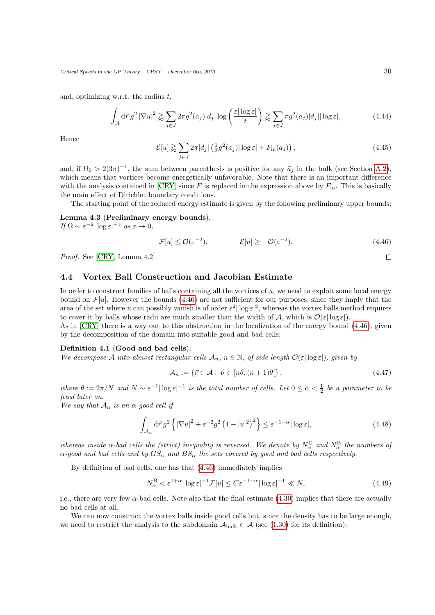and, optimizing w.r.t. the radius  $t$ ,

$$
\int_{\mathcal{A}} d\vec{r} \, g^2 \left| \nabla u \right|^2 \gtrapprox \sum_{j \in J} 2\pi g^2(a_j) |d_j| \log \left( \frac{\varepsilon |\log \varepsilon|}{t} \right) \gtrapprox \sum_{j \in J} \pi g^2(a_j) |d_j| |\log \varepsilon|. \tag{4.44}
$$

Hence

$$
\mathcal{E}[u] \gtrapprox \sum_{j \in J} 2\pi |d_j| \left(\frac{1}{2}g^2(a_j)|\log \varepsilon| + F_{\text{in}}(a_j)\right),\tag{4.45}
$$

and, if  $\Omega_0 > 2(3\pi)^{-1}$ , the sum between parenthesis is positive for any  $\vec{a}_j$  in the bulk (see Section [A.2\)](#page-38-0), which means that vortices become energetically unfavorable. Note that there is an important difference with the analysis contained in  $\left|\text{CRY}\right|$  since F is replaced in the expression above by  $F_{\text{in}}$ . This is basically the main effect of Dirichlet boundary conditions.

The starting point of the reduced energy estimate is given by the following preliminary upper bounds:

Lemma 4.3 (Preliminary energy bounds).

If  $\Omega \sim \varepsilon^{-2} |\log \varepsilon|^{-1}$  as  $\varepsilon \to 0$ ,

<span id="page-29-1"></span>
$$
\mathcal{F}[u] \le \mathcal{O}(\varepsilon^{-2}), \qquad \qquad \mathcal{E}[u] \ge -\mathcal{O}(\varepsilon^{-2}). \tag{4.46}
$$

Proof. See [\[CRY,](#page-39-8) Lemma 4.2].

## <span id="page-29-0"></span>4.4 Vortex Ball Construction and Jacobian Estimate

In order to construct families of balls containing all the vortices of  $u$ , we need to exploit some local energy bound on  $\mathcal{F}[u]$ . However the bounds [\(4.46\)](#page-29-1) are not sufficient for our purposes, since they imply that the area of the set where u can possibly vanish is of order  $\varepsilon^2 |\log \varepsilon|^2$ , whereas the vortex balls method requires to cover it by balls whose radii are much smaller than the width of A, which is  $\mathcal{O}(\varepsilon|\log \varepsilon|)$ .

As in [\[CRY\]](#page-39-8) there is a way out to this obstruction in the localization of the energy bound [\(4.46\)](#page-29-1), given by the decomposition of the domain into suitable good and bad cells:

### Definition 4.1 (Good and bad cells).

We decompose A into almost rectangular cells  $A_n$ ,  $n \in \mathbb{N}$ , of side length  $\mathcal{O}(\varepsilon |\log \varepsilon|)$ , given by

$$
\mathcal{A}_n := \{ \vec{r} \in \mathcal{A} : \ \vartheta \in [n\theta, (n+1)\theta] \},\tag{4.47}
$$

where  $\theta := 2\pi/N$  and  $N \sim \varepsilon^{-1} |\log \varepsilon|^{-1}$  is the total number of cells. Let  $0 \le \alpha < \frac{1}{2}$  be a parameter to be fixed later on.

We say that  $A_n$  is an  $\alpha$ -good cell if

$$
\int_{\mathcal{A}_n} d\vec{r} \, g^2 \left\{ |\nabla u|^2 + \varepsilon^{-2} g^2 \left( 1 - |u|^2 \right)^2 \right\} \le \varepsilon^{-1-\alpha} |\log \varepsilon|, \tag{4.48}
$$

whereas inside  $\alpha$ -bad cells the (strict) inequality is reversed. We denote by  $N_{\alpha}^{\rm G}$  and  $N_{\alpha}^{\rm B}$  the numbers of  $\alpha$ -good and bad cells and by  $GS_{\alpha}$  and  $BS_{\alpha}$  the sets covered by good and bad cells respectively.

By definition of bad cells, one has that [\(4.46\)](#page-29-1) immediately implies

<span id="page-29-3"></span>
$$
N_{\alpha}^{\mathcal{B}} < \varepsilon^{1+\alpha} |\log \varepsilon|^{-1} \mathcal{F}[u] \le C \varepsilon^{-1+\alpha} |\log \varepsilon|^{-1} \ll N,\tag{4.49}
$$

i.e., there are very few  $\alpha$ -bad cells. Note also that the final estimate [\(4.30\)](#page-27-2) implies that there are actually no bad cells at all.

<span id="page-29-2"></span>We can now construct the vortex balls inside good cells but, since the density has to be large enough, we need to restrict the analysis to the subdomain  $\mathcal{A}_{\text{bulk}} \subset \mathcal{A}$  (see [\(1.30\)](#page-7-5) for its definition):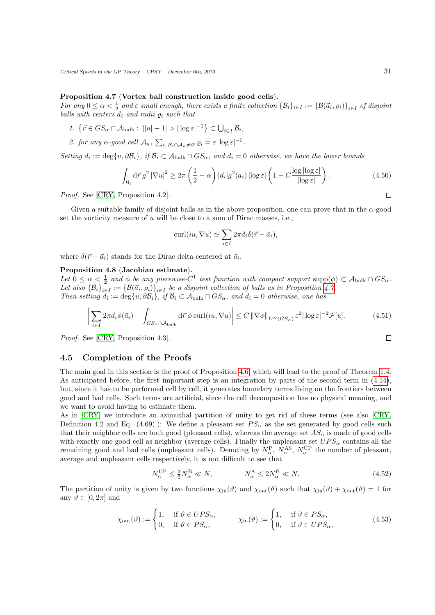### Proposition 4.7 (Vortex ball construction inside good cells).

For any  $0 \le \alpha < \frac{1}{2}$  and  $\varepsilon$  small enough, there exists a finite collection  $\{\mathcal{B}_i\}_{i\in I} := \{\mathcal{B}(\vec{a}_i, \varrho_i)\}_{i\in I}$  of disjoint balls with centers  $\vec{a}_i$  and radii  $\varrho_i$  such that

- 1.  $\{\vec{r} \in GS_{\alpha} \cap \mathcal{A}_{\text{bulk}} : ||u| 1| > |\log \varepsilon|^{-1}\} \subset \bigcup_{i \in I} \mathcal{B}_{i},$
- 2. for any  $\alpha$ -good cell  $\mathcal{A}_n$ ,  $\sum_{i, \mathcal{B}_i \cap \mathcal{A}_n \neq \varnothing} \varrho_i = \varepsilon |\log \varepsilon|^{-5}$ .

Setting  $d_i := \deg\{u, \partial B_i\}, \text{ if } B_i \subset A_{\text{bulk}} \cap GS_{\alpha}, \text{ and } d_i = 0 \text{ otherwise, we have the lower bounds}$ 

$$
\int_{\mathcal{B}_i} d\vec{r} \, g^2 \left| \nabla u \right|^2 \ge 2\pi \left( \frac{1}{2} - \alpha \right) |d_i| g^2(a_i) \left| \log \varepsilon \right| \left( 1 - C \frac{\log |\log \varepsilon|}{|\log \varepsilon|} \right). \tag{4.50}
$$

Proof. See [\[CRY,](#page-39-8) Proposition 4.2].

Given a suitable family of disjoint balls as in the above proposition, one can prove that in the  $\alpha$ -good set the vorticity measure of  $u$  will be close to a sum of Dirac masses, i.e.,

$$
\operatorname{curl}(iu, \nabla u) \simeq \sum_{i \in I} 2\pi d_i \delta(\vec{r} - \vec{a}_i),
$$

where  $\delta(\vec{r} - \vec{a}_i)$  stands for the Dirac delta centered at  $\vec{a}_i$ .

### <span id="page-30-1"></span>Proposition 4.8 (Jacobian estimate).

Let  $0 \leq \alpha < \frac{1}{2}$  and  $\phi$  be any piecewise-C<sup>1</sup> test function with compact support supp $(\phi) \subset A_{\text{bulk}} \cap GS_{\alpha}$ . Let  $0 \leq \alpha \leq \frac{1}{2}$  and  $\varphi$  be any piecewise  $C$  less function with compute support supply <br>Let also  $\{B_i\}_{i\in I} := \{B(\vec{a}_i, \varrho_i)\}_{i\in I}$  be a disjoint collection of balls as in Proposition [4.7.](#page-29-2) Then setting  $d_i := \deg\{u, \partial \mathcal{B}_i\}, \text{ if } \mathcal{B}_i \subset \mathcal{A}_{\text{bulk}} \cap GS_\alpha, \text{ and } d_i = 0 \text{ otherwise, one has }$ 

$$
\left| \sum_{i \in I} 2\pi d_i \phi(\vec{a}_i) - \int_{GS_{\alpha} \cap A_{\text{bulk}}} d\vec{r} \phi \operatorname{curl}(iu, \nabla u) \right| \le C \left\| \nabla \phi \right\|_{L^{\infty}(GS_{\alpha})} \varepsilon^2 |\log \varepsilon|^{-2} \mathcal{F}[u]. \tag{4.51}
$$

Proof. See [\[CRY,](#page-39-8) Proposition 4.3].

## <span id="page-30-0"></span>4.5 Completion of the Proofs

The main goal in this section is the proof of Proposition [4.6,](#page-27-3) which will lead to the proof of Theorem [1.4.](#page-8-0) As anticipated before, the first important step is an integration by parts of the second term in [\(4.14\)](#page-24-6), but, since it has to be performed cell by cell, it generates boundary terms living on the frontiers between good and bad cells. Such terms are artificial, since the cell decomposition has no physical meaning, and we want to avoid having to estimate them.

As in [\[CRY\]](#page-39-8) we introduce an azimuthal partition of unity to get rid of these terms (see also [\[CRY,](#page-39-8) Definition 4.2 and Eq. (4.69)]): We define a pleasant set  $PS_{\alpha}$  as the set generated by good cells such that their neighbor cells are both good (pleasant cells), whereas the average set  $AS_{\alpha}$  is made of good cells with exactly one good cell as neighbor (average cells). Finally the unpleasant set  $UPS_\alpha$  contains all the remaining good and bad cells (unpleasant cells). Denoting by  $N_{\alpha}^{\text{P}}$ ,  $N_{\alpha}^{\text{AS}}$ ,  $N_{\alpha}^{\text{UP}}$  the number of pleasant, average and unpleasant cells respectively, it is not difficult to see that

<span id="page-30-2"></span>
$$
N_{\alpha}^{\text{UP}} \le \frac{3}{2} N_{\alpha}^{\text{B}} \ll N, \qquad N_{\alpha}^{\text{A}} \le 2N_{\alpha}^{\text{B}} \ll N. \tag{4.52}
$$

The partition of unity is given by two functions  $\chi_{\text{in}}(\vartheta)$  and  $\chi_{\text{out}}(\vartheta)$  such that  $\chi_{\text{in}}(\vartheta) + \chi_{\text{out}}(\vartheta) = 1$  for any  $\vartheta \in [0, 2\pi]$  and

$$
\chi_{\text{out}}(\vartheta) := \begin{cases} 1, & \text{if } \vartheta \in UPS_{\alpha}, \\ 0, & \text{if } \vartheta \in PS_{\alpha}, \end{cases} \qquad \chi_{\text{in}}(\vartheta) := \begin{cases} 1, & \text{if } \vartheta \in PS_{\alpha}, \\ 0, & \text{if } \vartheta \in UPS_{\alpha}, \end{cases} \tag{4.53}
$$

 $\Box$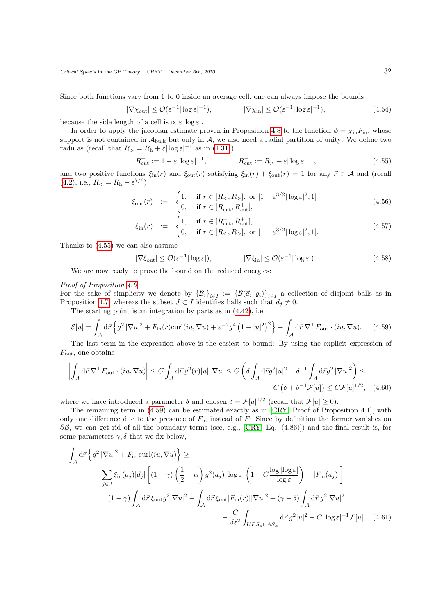Since both functions vary from 1 to 0 inside an average cell, one can always impose the bounds

$$
|\nabla \chi_{\text{out}}| \le \mathcal{O}(\varepsilon^{-1} |\log \varepsilon|^{-1}), \qquad |\nabla \chi_{\text{in}}| \le \mathcal{O}(\varepsilon^{-1} |\log \varepsilon|^{-1}), \tag{4.54}
$$

because the side length of a cell is  $\propto \varepsilon |\log \varepsilon|$ .

In order to apply the jacobian estimate proven in Proposition [4.8](#page-30-1) to the function  $\phi = \chi_{\text{in}} F_{\text{in}}$ , whose support is not contained in  $A_{\text{bulk}}$  but only in A, we also need a radial partition of unity: We define two radii as (recall that  $R_>=R_{\rm h}+\varepsilon|\log\varepsilon|^{-1}$  as in [\(1.31\)](#page-7-6))

<span id="page-31-0"></span>
$$
R_{\text{cut}}^+ := 1 - \varepsilon |\log \varepsilon|^{-1}, \qquad R_{\text{cut}}^- := R_> + \varepsilon |\log \varepsilon|^{-1}, \tag{4.55}
$$

and two positive functions  $\xi_{\rm in}(r)$  and  $\xi_{\rm out}(r)$  satisfying  $\xi_{\rm in}(r) + \xi_{\rm out}(r) = 1$  for any  $\vec{r} \in A$  and (recall  $(4.2)$ , i.e.,  $R_{\leq} = R_{\rm h} - \varepsilon^{7/6}$ 

$$
\xi_{\text{out}}(r) := \begin{cases} 1, & \text{if } r \in [R_{<, R_{>}], \text{ or } [1 - \varepsilon^{3/2} | \log \varepsilon |^2, 1] \\ 0, & \text{if } r \in [R_{\text{cut}}^{-}, R_{\text{cut}}^{+}], \end{cases} \tag{4.56}
$$

$$
\xi_{\rm in}(r) := \begin{cases} 1, & \text{if } r \in [R_{\rm cut}^-, R_{\rm cut}^+], \\ 0, & \text{if } r \in [R_<, R_>], \text{ or } [1 - \varepsilon^{3/2} | \log \varepsilon |^2, 1]. \end{cases} \tag{4.57}
$$

Thanks to [\(4.55\)](#page-31-0) we can also assume

<span id="page-31-3"></span><span id="page-31-1"></span>
$$
|\nabla \xi_{\text{out}}| \le \mathcal{O}(\varepsilon^{-1} |\log \varepsilon|), \qquad |\nabla \xi_{\text{in}}| \le \mathcal{O}(\varepsilon^{-1} |\log \varepsilon|). \tag{4.58}
$$

We are now ready to prove the bound on the reduced energies:

### Proof of Proposition [4.6.](#page-27-3)

For the sake of simplicity we denote by  $\{\mathcal{B}_i\}_{i\in I} := \{\mathcal{B}(\vec{a}_i, \varrho_i)\}_{i\in I}$  a collection of disjoint balls as in Proposition [4.7,](#page-29-2) whereas the subset  $J \subset I$  identifies balls such that  $d_i \neq 0$ .

The starting point is an integration by parts as in [\(4.42\)](#page-28-1), i.e.,

$$
\mathcal{E}[u] = \int_{\mathcal{A}} d\vec{r} \left\{ g^2 \left| \nabla u \right|^2 + F_{\text{in}}(r) \text{curl}(iu, \nabla u) + \varepsilon^{-2} g^4 \left( 1 - |u|^2 \right)^2 \right\} - \int_{\mathcal{A}} d\vec{r} \, \nabla^\perp F_{\text{out}} \cdot (iu, \nabla u). \tag{4.59}
$$

The last term in the expression above is the easiest to bound: By using the explicit expression of  $F_{\text{out}}$ , one obtains

$$
\left| \int_{\mathcal{A}} d\vec{r} \, \nabla^{\perp} F_{\text{out}} \cdot (iu, \nabla u) \right| \le C \int_{\mathcal{A}} d\vec{r} \, g^2(r)|u| \, |\nabla u| \le C \left( \delta \int_{\mathcal{A}} d\vec{r} g^2 |u|^2 + \delta^{-1} \int_{\mathcal{A}} d\vec{r} g^2 \, |\nabla u|^2 \right) \le
$$
  

$$
C \left( \delta + \delta^{-1} \mathcal{F}[u] \right) \le C \mathcal{F}[u]^{1/2}, \quad (4.60)
$$

where we have introduced a parameter  $\delta$  and chosen  $\delta = \mathcal{F}[u]^{1/2}$  (recall that  $\mathcal{F}[u] \geq 0$ ).

The remaining term in [\(4.59\)](#page-31-1) can be estimated exactly as in [\[CRY,](#page-39-8) Proof of Proposition 4.1], with only one difference due to the presence of  $F_{\text{in}}$  instead of  $F$ : Since by definition the former vanishes on  $\partial \mathcal{B}$ , we can get rid of all the boundary terms (see, e.g., [\[CRY,](#page-39-8) Eq. (4.86)]) and the final result is, for some parameters  $\gamma$ ,  $\delta$  that we fix below,

<span id="page-31-2"></span>
$$
\int_{\mathcal{A}} d\vec{r} \left\{ g^{2} \left| \nabla u \right|^{2} + F_{\text{in}} \operatorname{curl}(iu, \nabla u) \right\} \ge
$$
\n
$$
\sum_{j \in J} \xi_{\text{in}}(a_{j}) |d_{j}| \left[ (1 - \gamma) \left( \frac{1}{2} - \alpha \right) g^{2}(a_{j}) \left| \log \varepsilon \right| \left( 1 - C \frac{\log |\log \varepsilon|}{|\log \varepsilon|} \right) - |F_{\text{in}}(a_{j})| \right] +
$$
\n
$$
(1 - \gamma) \int_{\mathcal{A}} d\vec{r} \, \xi_{\text{out}} g^{2} |\nabla u|^{2} - \int_{\mathcal{A}} d\vec{r} \, \xi_{\text{out}} |F_{\text{in}}(r)| |\nabla u|^{2} + (\gamma - \delta) \int_{\mathcal{A}} d\vec{r} \, g^{2} |\nabla u|^{2} - \frac{C}{\delta \varepsilon^{2}} \int_{UPS_{\alpha} \cup AS_{\alpha}} d\vec{r} \, g^{2} |u|^{2} - C |\log \varepsilon|^{-1} \mathcal{F}[u]. \tag{4.61}
$$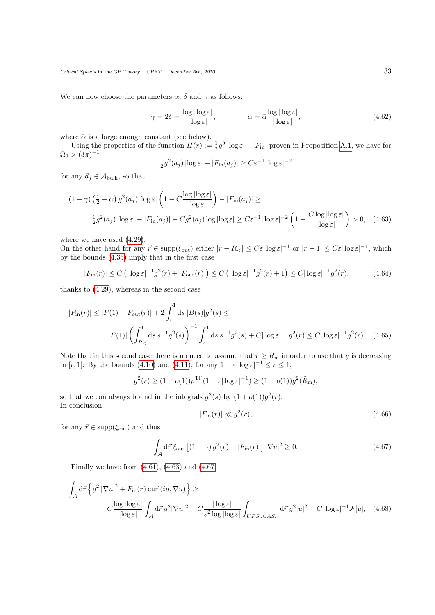We can now choose the parameters  $\alpha$ ,  $\delta$  and  $\gamma$  as follows:

<span id="page-32-3"></span>
$$
\gamma = 2\delta = \frac{\log|\log \varepsilon|}{|\log \varepsilon|}, \qquad \alpha = \tilde{\alpha} \frac{\log|\log \varepsilon|}{|\log \varepsilon|}, \tag{4.62}
$$

where  $\tilde{\alpha}$  is a large enough constant (see below).

Using the properties of the function  $H(r) := \frac{1}{2}g^2 |\log \varepsilon| - |F_{\text{in}}|$  proven in Proposition [A.1,](#page-38-1) we have for  $\Omega_0 > (3\pi)^{-1}$ 

<span id="page-32-0"></span>
$$
\frac{1}{2}g^2(a_j) |\log \varepsilon| - |F_{\text{in}}(a_j)| \ge C\varepsilon^{-1} |\log \varepsilon|^{-2}
$$

for any  $\vec{a}_j \in \mathcal{A}_{\text{bulk}}$ , so that

$$
(1 - \gamma) \left(\frac{1}{2} - \alpha\right) g^2(a_j) \left|\log \varepsilon\right| \left(1 - C \frac{\log|\log \varepsilon|}{|\log \varepsilon|}\right) - |F_{\text{in}}(a_j)| \ge
$$
  

$$
\frac{1}{2} g^2(a_j) \left|\log \varepsilon\right| - |F_{\text{in}}(a_j)| - C g^2(a_j) \log|\log \varepsilon| \ge C\varepsilon^{-1} |\log \varepsilon|^{-2} \left(1 - \frac{C \log|\log \varepsilon|}{|\log \varepsilon|}\right) > 0, \quad (4.63)
$$

where we have used [\(4.29\)](#page-27-4).

On the other hand for any  $\vec{r} \in \text{supp}(\xi_{\text{out}})$  either  $|r - R_{\leq}| \leq C \varepsilon |\log \varepsilon|^{-1}$  or  $|r - 1| \leq C \varepsilon |\log \varepsilon|^{-1}$ , which by the bounds [\(4.35\)](#page-27-1) imply that in the first case

$$
|F_{\rm in}(r)| \le C \left( |\log \varepsilon|^{-1} g^2(r) + |F_{\rm out}(r)| \right) \le C \left( |\log \varepsilon|^{-1} g^2(r) + 1 \right) \le C |\log \varepsilon|^{-1} g^2(r),\tag{4.64}
$$

thanks to [\(4.29\)](#page-27-4), whereas in the second case

$$
|F_{\rm in}(r)| \le |F(1) - F_{\rm out}(r)| + 2 \int_r^1 ds \, |B(s)| g^2(s) \le |F(1)| \left(\int_{R_<}^1 ds \, s^{-1} g^2(s)\right)^{-1} \int_r^1 ds \, s^{-1} g^2(s) + C |\log \varepsilon|^{-1} g^2(r) \le C |\log \varepsilon|^{-1} g^2(r). \tag{4.65}
$$

Note that in this second case there is no need to assume that  $r \ge R_{\rm m}$  in order to use that g is decreasing in [r, 1]: By the bounds [\(4.10\)](#page-24-3) and [\(4.11\)](#page-24-4), for any  $1 - \varepsilon |\log \varepsilon|^{-1} \le r \le 1$ ,

$$
g^{2}(r) \ge (1 - o(1))\rho^{\mathrm{TF}}(1 - \varepsilon |\log \varepsilon|^{-1}) \ge (1 - o(1))g^{2}(\tilde{R}_{\mathrm{m}}),
$$

so that we can always bound in the integrals  $g^2(s)$  by  $(1+o(1))g^2(r)$ . In conclusion

<span id="page-32-2"></span>
$$
|F_{\rm in}(r)| \ll g^2(r),\tag{4.66}
$$

for any  $\vec{r} \in \text{supp}(\xi_{\text{out}})$  and thus

<span id="page-32-1"></span>
$$
\int_{\mathcal{A}} d\vec{r} \, \xi_{\text{out}} \left[ (1 - \gamma) \, g^2(r) - |F_{\text{in}}(r)| \right] |\nabla u|^2 \ge 0. \tag{4.67}
$$

Finally we have from  $(4.61)$ ,  $(4.63)$  and  $(4.67)$ 

$$
\int_{\mathcal{A}} d\vec{r} \left\{ g^2 \left| \nabla u \right|^2 + F_{\text{in}}(r) \operatorname{curl}(iu, \nabla u) \right\} \ge
$$
\n
$$
C \frac{\log |\log \varepsilon|}{|\log \varepsilon|} \int_{\mathcal{A}} d\vec{r} \, g^2 |\nabla u|^2 - C \frac{|\log \varepsilon|}{\varepsilon^2 \log |\log \varepsilon|} \int_{UPS_{\alpha} \cup AS_{\alpha}} d\vec{r} \, g^2 |u|^2 - C |\log \varepsilon|^{-1} \mathcal{F}[u], \quad (4.68)
$$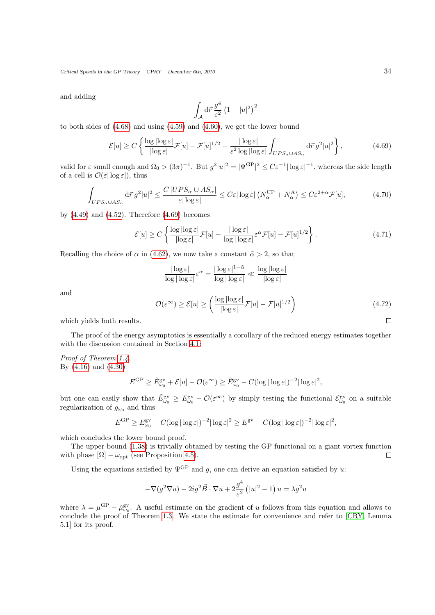and adding

<span id="page-33-0"></span>
$$
\int_{\mathcal{A}}\mathrm{d}\vec{r}\,\frac{g^4}{\varepsilon^2}\left(1-|u|^2\right)^2
$$

to both sides of  $(4.68)$  and using  $(4.59)$  and  $(4.60)$ , we get the lower bound

$$
\mathcal{E}[u] \ge C \left\{ \frac{\log |\log \varepsilon|}{|\log \varepsilon|} \mathcal{F}[u] - \mathcal{F}[u]^{1/2} - \frac{|\log \varepsilon|}{\varepsilon^2 \log |\log \varepsilon|} \int_{UPS_{\alpha} \cup AS_{\alpha}} d\vec{r} \, g^2 |u|^2 \right\},\tag{4.69}
$$

valid for  $\varepsilon$  small enough and  $\Omega_0 > (3\pi)^{-1}$ . But  $g^2|u|^2 = |\Psi^{\text{GP}}|^2 \leq C\varepsilon^{-1}|\log \varepsilon|^{-1}$ , whereas the side length of a cell is  $\mathcal{O}(\varepsilon|\log \varepsilon|)$ , thus

$$
\int_{UPS_{\alpha}\cup AS_{\alpha}} d\vec{r} \, g^2 |u|^2 \le \frac{C |UPS_{\alpha} \cup AS_{\alpha}|}{\varepsilon |\log \varepsilon|} \le C\varepsilon |\log \varepsilon| \left(N_{\alpha}^{\text{UP}} + N_{\alpha}^{\text{A}}\right) \le C\varepsilon^{2+\alpha} \mathcal{F}[u],\tag{4.70}
$$

by  $(4.49)$  and  $(4.52)$ . Therefore  $(4.69)$  becomes

$$
\mathcal{E}[u] \ge C \left\{ \frac{\log |\log \varepsilon|}{|\log \varepsilon|} \mathcal{F}[u] - \frac{|\log \varepsilon|}{\log |\log \varepsilon|} \varepsilon^{\alpha} \mathcal{F}[u] - \mathcal{F}[u]^{1/2} \right\}.
$$
 (4.71)

Recalling the choice of  $\alpha$  in [\(4.62\)](#page-32-3), we now take a constant  $\tilde{\alpha} > 2$ , so that

$$
\frac{|\log \varepsilon|}{\log |\log \varepsilon|} \varepsilon^{\alpha} = \frac{|\log \varepsilon|^{1-\tilde{\alpha}}}{\log |\log \varepsilon|} \ll \frac{\log |\log \varepsilon|}{|\log \varepsilon|}
$$
  

$$
\mathcal{O}(\varepsilon^{\infty}) \ge \mathcal{E}[u] \ge \left(\frac{\log |\log \varepsilon|}{|\log \varepsilon|} \mathcal{F}[u] - \mathcal{F}[u]^{1/2}\right) \tag{4.72}
$$

which yields both results.

and

The proof of the energy asymptotics is essentially a corollary of the reduced energy estimates together with the discussion contained in Section [4.1:](#page-22-1)

Proof of Theorem [1.4.](#page-8-0) By [\(4.16\)](#page-24-7) and [\(4.30\)](#page-27-2)

$$
E^{\rm GP} \ge \tilde{E}_{\omega_0}^{\rm gv} + \mathcal{E}[u] - \mathcal{O}(\varepsilon^\infty) \ge \tilde{E}_{\omega_0}^{\rm gv} - C(\log|\log\varepsilon|)^{-2}|\log\varepsilon|^2,
$$

but one can easily show that  $\tilde{E}_{\omega_0}^{\text{gv}} \geq E_{\omega_0}^{\text{gv}} - \mathcal{O}(\varepsilon^{\infty})$  by simply testing the functional  $\mathcal{E}_{\omega_0}^{\text{gv}}$  on a suitable regularization of  $g_{\omega_0}$  and thus

$$
E^{\rm GP} \ge E_{\omega_0}^{\rm gv} - C(\log|\log \varepsilon|)^{-2} |\log \varepsilon|^2 \ge E^{\rm gv} - C(\log|\log \varepsilon|)^{-2} |\log \varepsilon|^2,
$$

which concludes the lower bound proof.

The upper bound [\(1.38\)](#page-8-3) is trivially obtained by testing the GP functional on a giant vortex function with phase  $[\Omega] - \omega_{\text{opt}}$  (see Proposition [4.5\)](#page-25-3).  $\Box$ 

Using the equations satisfied by  $\Psi^{\text{GP}}$  and g, one can derive an equation satisfied by u:

$$
-\nabla(g^2 \nabla u) - 2ig^2 \vec{B} \cdot \nabla u + 2\frac{g^4}{\varepsilon^2} (|u|^2 - 1) u = \lambda g^2 u
$$

where  $\lambda = \mu^{\rm GP} - \tilde{\mu}_{\omega_0}^{\rm gv}$ . A useful estimate on the gradient of u follows from this equation and allows to conclude the proof of Theorem [1.3.](#page-7-4) We state the estimate for convenience and refer to [\[CRY,](#page-39-8) Lemma 5.1] for its proof.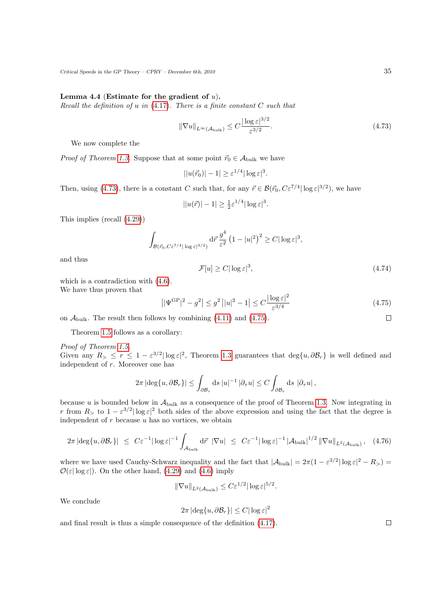### Lemma 4.4 (Estimate for the gradient of  $u$ ).

Recall the definition of  $u$  in [\(4.17\)](#page-24-2). There is a finite constant  $C$  such that

$$
\|\nabla u\|_{L^{\infty}(\mathcal{A}_{\text{bulk}})} \le C \frac{|\log \varepsilon|^{3/2}}{\varepsilon^{3/2}}.
$$
\n(4.73)

We now complete the

*Proof of Theorem [1.3.](#page-7-4)* Suppose that at some point  $\vec{r}_0 \in A_{\text{bulk}}$  we have

$$
||u(\vec{r}_0)| - 1| \ge \varepsilon^{1/4} |\log \varepsilon|^3.
$$

Then, using [\(4.73\)](#page-34-0), there is a constant C such that, for any  $\vec{r} \in \mathcal{B}(\vec{r}_0, C\varepsilon^{7/4} |\log \varepsilon|^{3/2})$ , we have

$$
||u(\vec{r})| - 1| \ge \frac{1}{2} \varepsilon^{1/4} |\log \varepsilon|^3.
$$

This implies (recall [\(4.29\)](#page-27-4))

$$
\int_{\mathcal{B}(\vec{r}_0, C\varepsilon^{7/4} |\log \varepsilon|^{3/2})} d\vec{r} \frac{g^4}{\varepsilon^2} (1 - |u|^2)^2 \ge C |\log \varepsilon|^3,
$$

and thus

$$
\mathcal{F}[u] \ge C |\log \varepsilon|^3,\tag{4.74}
$$

which is a contradiction with [\(4.6\)](#page-27-3).

We have thus proven that

<span id="page-34-1"></span>
$$
\left| |\Psi^{\rm GP}|^2 - g^2 \right| \le g^2 \left| |u|^2 - 1 \right| \le C \frac{|\log \varepsilon|^2}{\varepsilon^{3/4}} \tag{4.75}
$$

on  $\mathcal{A}_{\text{bulk}}$ . The result then follows by combining [\(4.11\)](#page-24-4) and [\(4.75\)](#page-34-1).

Theorem [1.5](#page-9-2) follows as a corollary:

Proof of Theorem [1.5.](#page-9-2) Given any  $R > \le r \le 1 - \varepsilon^{3/2} |\log \varepsilon|^2$ , Theorem [1.3](#page-7-4) guarantees that  $\deg\{u, \partial \mathcal{B}_r\}$  is well defined and independent of r. Moreover one has

$$
2\pi |\deg\{u,\partial \mathcal{B}_r\}| \leq \int_{\partial \mathcal{B}_r} ds \, |u|^{-1} \, |\partial_\tau u| \leq C \int_{\partial \mathcal{B}_r} ds \, |\partial_\tau u|,
$$

because u is bounded below in  $A_{\text{bulk}}$  as a consequence of the proof of Theorem [1.3.](#page-7-4) Now integrating in r from  $R_>$  to  $1 - \varepsilon^{3/2} |\log \varepsilon|^2$  both sides of the above expression and using the fact that the degree is independent of  $r$  because  $u$  has no vortices, we obtain

$$
2\pi |\deg\{u,\partial \mathcal{B}_r\}| \leq C\varepsilon^{-1} |\log \varepsilon|^{-1} \int_{\mathcal{A}_{\text{bulk}}} d\vec{r} | \nabla u| \leq C\varepsilon^{-1} |\log \varepsilon|^{-1} |\mathcal{A}_{\text{bulk}}|^{1/2} ||\nabla u||_{L^2(\mathcal{A}_{\text{bulk}})}, \quad (4.76)
$$

where we have used Cauchy-Schwarz inequality and the fact that  $|\mathcal{A}_{\text{bulk}}| = 2\pi(1 - \varepsilon^{3/2} |\log \varepsilon|^2 - R_{>}) =$  $\mathcal{O}(\varepsilon |\log \varepsilon|)$ . On the other hand, [\(4.29\)](#page-27-4) and [\(4.6\)](#page-27-3) imply

$$
\|\nabla u\|_{L^2(\mathcal{A}_{\text{bulk}})} \leq C\varepsilon^{1/2} |\log \varepsilon|^{5/2}.
$$

We conclude

$$
2\pi |\deg\{u,\partial \mathcal{B}_r\}| \le C|\log \varepsilon|^2
$$

and final result is thus a simple consequence of the definition [\(4.17\)](#page-24-2).

<span id="page-34-0"></span>

 $\Box$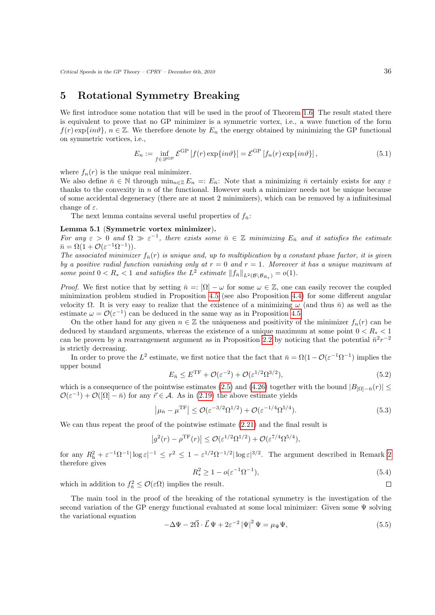# <span id="page-35-0"></span>5 Rotational Symmetry Breaking

We first introduce some notation that will be used in the proof of Theorem [1.6:](#page-9-1) The result stated there is equivalent to prove that no GP minimizer is a symmetric vortex, i.e., a wave function of the form  $f(r) \exp\{in\theta\}, n \in \mathbb{Z}$ . We therefore denote by  $E_n$  the energy obtained by minimizing the GP functional on symmetric vortices, i.e.,

<span id="page-35-1"></span>
$$
E_n := \inf_{f \in \mathcal{D}^{\text{GP}}} \mathcal{E}^{\text{GP}} \left[ f(r) \exp\{in\vartheta\} \right] = \mathcal{E}^{\text{GP}} \left[ f_n(r) \exp\{in\vartheta\} \right],\tag{5.1}
$$

where  $f_n(r)$  is the unique real minimizer.

We also define  $\bar{n} \in \mathbb{N}$  through  $\min_{n \in \mathbb{Z}} E_n =: E_{\bar{n}}$ : Note that a minimizing  $\bar{n}$  certainly exists for any  $\varepsilon$ thanks to the convexity in  $n$  of the functional. However such a minimizer needs not be unique because of some accidental degeneracy (there are at most 2 minimizers), which can be removed by a infinitesimal change of  $\varepsilon$ .

The next lemma contains several useful properties of  $f_{\bar{n}}$ :

### Lemma 5.1 (Symmetric vortex minimizer).

For any  $\varepsilon > 0$  and  $\Omega \gg \varepsilon^{-1}$ , there exists some  $\bar{n} \in \mathbb{Z}$  minimizing  $E_{\bar{n}}$  and it satisfies the estimate  $\bar{n} = \Omega(1 + \mathcal{O}(\varepsilon^{-1} \Omega^{-1})).$ 

The associated minimizer  $f_{\bar{n}}(r)$  is unique and, up to multiplication by a constant phase factor, it is given by a positive radial function vanishing only at  $r = 0$  and  $r = 1$ . Moreover it has a unique maximum at some point  $0 < R_* < 1$  and satisfies the  $L^2$  estimate  $||f_{\bar{n}}||_{L^2(\mathcal{B} \setminus \mathcal{B}_{R_*})} = o(1)$ .

*Proof.* We first notice that by setting  $\bar{n} = : [\Omega] - \omega$  for some  $\omega \in \mathbb{Z}$ , one can easily recover the coupled minimization problem studied in Proposition [4.5](#page-25-3) (see also Proposition [4.4\)](#page-24-5) for some different angular velocity Ω. It is very easy to realize that the existence of a minimizing  $ω$  (and thus  $n̄$ ) as well as the estimate  $\omega = \mathcal{O}(\varepsilon^{-1})$  can be deduced in the same way as in Proposition [4.5.](#page-25-3)

On the other hand for any given  $n \in \mathbb{Z}$  the uniqueness and positivity of the minimizer  $f_n(r)$  can be deduced by standard arguments, whereas the existence of a unique maximum at some point  $0 < R_* < 1$ can be proven by a rearrangement argument as in Proposition [2.2](#page-12-0) by noticing that the potential  $\bar{n}^2r^{-2}$ is strictly decreasing.

<span id="page-35-5"></span>In order to prove the L<sup>2</sup> estimate, we first notice that the fact that  $\bar{n} = \Omega(1 - \mathcal{O}(\varepsilon^{-1} \Omega^{-1}))$  implies the upper bound

<span id="page-35-2"></span>
$$
E_{\bar{n}} \le E^{\rm TF} + \mathcal{O}(\varepsilon^{-2}) + \mathcal{O}(\varepsilon^{1/2} \Omega^{3/2}),\tag{5.2}
$$

which is a consequence of the pointwise estimates [\(2.5\)](#page-15-2) and [\(4.26\)](#page-26-2) together with the bound  $|B_{\Omega}-n(r)| \leq$  $\mathcal{O}(\varepsilon^{-1}) + \mathcal{O}([\Omega] - \bar{n})$  for any  $\vec{r} \in \mathcal{A}$ . As in [\(2.19\)](#page-13-7) the above estimate yields

$$
\left|\mu_{\bar{n}} - \mu^{\mathrm{TF}}\right| \le \mathcal{O}(\varepsilon^{-3/2} \Omega^{1/2}) + \mathcal{O}(\varepsilon^{-1/4} \Omega^{5/4}).\tag{5.3}
$$

We can thus repeat the proof of the pointwise estimate [\(2.21\)](#page-13-5) and the final result is

<span id="page-35-3"></span>
$$
\left|g^2(r) - \rho^{\mathrm{TF}}(r)\right| \leq \mathcal{O}(\varepsilon^{1/2} \Omega^{1/2}) + \mathcal{O}(\varepsilon^{7/4} \Omega^{5/4}),
$$

for any  $R_h^2 + \varepsilon^{-1} \Omega^{-1} |\log \varepsilon|^{-1} \leq r^2 \leq 1 - \varepsilon^{1/2} \Omega^{-1/2} |\log \varepsilon|^{3/2}$ . The argument described in Remark [2](#page-13-5) therefore gives

$$
R_*^2 \ge 1 - o(\varepsilon^{-1} \Omega^{-1}),
$$
\n(5.4)

which in addition to  $f_{\bar{n}}^2 \leq \mathcal{O}(\varepsilon \Omega)$  implies the result.

The main tool in the proof of the breaking of the rotational symmetry is the investigation of the second variation of the GP energy functional evaluated at some local minimizer: Given some Ψ solving the variational equation

<span id="page-35-4"></span>
$$
-\Delta\Psi - 2\vec{\Omega} \cdot \vec{L} \Psi + 2\varepsilon^{-2} |\Psi|^2 \Psi = \mu_\Psi \Psi,
$$
\n(5.5)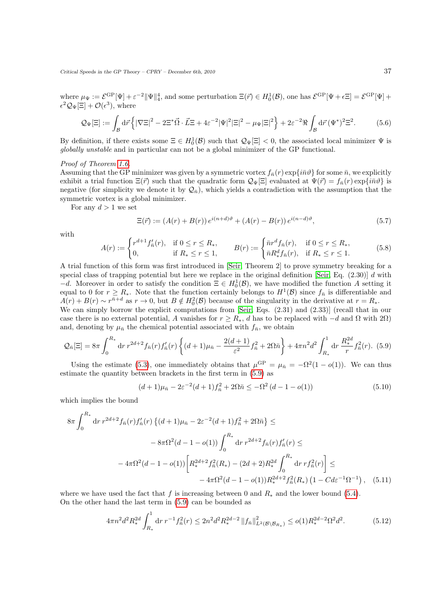where  $\mu_{\Psi} := \mathcal{E}^{\text{GP}}_c[\Psi] + \varepsilon^{-2} \|\Psi\|_4^4$ , and some perturbation  $\Xi(\vec{r}) \in H_0^1(\mathcal{B})$ , one has  $\mathcal{E}^{\text{GP}}[\Psi + \epsilon \Xi] = \mathcal{E}^{\text{GP}}[\Psi] + \epsilon \Xi$  $\epsilon^2 \mathcal{Q}_{\Psi}[\Xi] + \mathcal{O}(\epsilon^3)$ , where

$$
\mathcal{Q}_{\Psi}[\Xi] := \int_{\mathcal{B}} d\vec{r} \left\{ |\nabla \Xi|^2 - 2\Xi^* \vec{\Omega} \cdot \vec{L} \Xi + 4\varepsilon^{-2} |\Psi|^2 |\Xi|^2 - \mu_{\Psi} |\Xi|^2 \right\} + 2\varepsilon^{-2} \Re \int_{\mathcal{B}} d\vec{r} \, (\Psi^*)^2 \Xi^2. \tag{5.6}
$$

By definition, if there exists some  $\Xi \in H_0^1(\mathcal{B})$  such that  $\mathcal{Q}_{\Psi}[\Xi] < 0$ , the associated local minimizer  $\Psi$  is globally unstable and in particular can not be a global minimizer of the GP functional.

### Proof of Theorem [1.6.](#page-9-1)

Assuming that the GP minimizer was given by a symmetric vortex  $f_{\bar{n}}(r) \exp{\{i\bar{n}\vartheta\}}$  for some  $\bar{n}$ , we explicitly exhibit a trial function  $\Xi(\vec{r})$  such that the quadratic form  $Q_{\Psi}[\Xi]$  evaluated at  $\Psi(\vec{r}) = f_{\bar{n}}(r) \exp\{i\bar{n}\vartheta\}$  is negative (for simplicity we denote it by  $\mathcal{Q}_{\bar{n}}$ ), which yields a contradiction with the assumption that the symmetric vortex is a global minimizer.

For any  $d > 1$  we set

$$
\Xi(\vec{r}) := (A(r) + B(r)) e^{i(n+d)\vartheta} + (A(r) - B(r)) e^{i(n-d)\vartheta}, \tag{5.7}
$$

with

$$
A(r) := \begin{cases} r^{d+1} f_n'(r), & \text{if } 0 \le r \le R_*, \\ 0, & \text{if } R_* \le r \le 1, \end{cases} \qquad B(r) := \begin{cases} \bar{n}r^d f_{\bar{n}}(r), & \text{if } 0 \le r \le R_*, \\ \bar{n} R_*^d f_{\bar{n}}(r), & \text{if } R_* \le r \le 1. \end{cases} \tag{5.8}
$$

A trial function of this form was first introduced in [\[Seir,](#page-40-3) Theorem 2] to prove symmetry breaking for a special class of trapping potential but here we replace in the original definition [\[Seir,](#page-40-3) Eq.  $(2.30)$ ] d with  $-d$ . Moreover in order to satisfy the condition  $\Xi \in H_0^1(\mathcal{B})$ , we have modified the function A setting it equal to 0 for  $r \geq R_*$ . Note that the function certainly belongs to  $H^1(\mathcal{B})$  since  $f_{\bar{n}}$  is differentiable and  $A(r) + B(r) \sim r^{\bar{n}+d}$  as  $r \to 0$ , but  $B \notin H_0^2(\mathcal{B})$  because of the singularity in the derivative at  $r = R_*$ .

We can simply borrow the explicit computations from [\[Seir,](#page-40-3) Eqs.  $(2.31)$  and  $(2.33)$ ] (recall that in our case there is no external potential, A vanishes for  $r \ge R_*$ , d has to be replaced with  $-d$  and  $\Omega$  with  $2\Omega$ ) and, denoting by  $\mu_{\bar{n}}$  the chemical potential associated with  $f_{\bar{n}}$ , we obtain

$$
\mathcal{Q}_{\bar{n}}[\Xi] = 8\pi \int_0^{R_*} dr \, r^{2d+2} f_{\bar{n}}(r) f'_{\bar{n}}(r) \left\{ (d+1)\mu_{\bar{n}} - \frac{2(d+1)}{\varepsilon^2} f_{\bar{n}}^2 + 2\Omega \bar{n} \right\} + 4\pi n^2 d^2 \int_{R_*}^1 dr \, \frac{R_*^{2d}}{r} f_{\bar{n}}^2(r). \tag{5.9}
$$

Using the estimate [\(5.3\)](#page-35-2), one immediately obtains that  $\mu^{\text{GP}} = \mu_{\bar{n}} = -\Omega^2(1 - o(1))$ . We can thus estimate the quantity between brackets in the first term in [\(5.9\)](#page-36-0) as

<span id="page-36-1"></span><span id="page-36-0"></span>
$$
(d+1)\mu_{\bar{n}} - 2\varepsilon^{-2}(d+1)f_{\bar{n}}^2 + 2\Omega \bar{n} \leq -\Omega^2 (d-1 - o(1))
$$
\n(5.10)

which implies the bound

$$
8\pi \int_0^{R_*} dr \, r^{2d+2} f_{\bar{n}}(r) f'_{\bar{n}}(r) \left\{ (d+1)\mu_{\bar{n}} - 2\varepsilon^{-2} (d+1) f_{\bar{n}}^2 + 2\Omega \bar{n} \right\} \le
$$
  

$$
- 8\pi \Omega^2 (d-1 - o(1)) \int_0^{R_*} dr \, r^{2d+2} f_{\bar{n}}(r) f'_{\bar{n}}(r) \le
$$
  

$$
- 4\pi \Omega^2 (d-1 - o(1)) \left[ R_*^{2d+2} f_{\bar{n}}^2(R_*) - (2d+2) R_*^{2d} \int_0^{R_*} dr \, r f_{\bar{n}}^2(r) \right] \le
$$
  

$$
- 4\pi \Omega^2 (d-1 - o(1)) R_*^{2d+2} f_{\bar{n}}^2(R_*) \left( 1 - C d \varepsilon^{-1} \Omega^{-1} \right), \quad (5.11)
$$

where we have used the fact that f is increasing between 0 and  $R_*$  and the lower bound [\(5.4\)](#page-35-3). On the other hand the last term in [\(5.9\)](#page-36-0) can be bounded as

<span id="page-36-2"></span>
$$
4\pi n^2 d^2 R_*^{2d} \int_{R_*}^1 dr \, r^{-1} f_{\bar{n}}^2(r) \le 2n^2 d^2 R_*^{2d-2} \|f_{\bar{n}}\|_{L^2(\mathcal{B}\backslash\mathcal{B}_{R_*})}^2 \le o(1) R_*^{2d-2} \Omega^2 d^2. \tag{5.12}
$$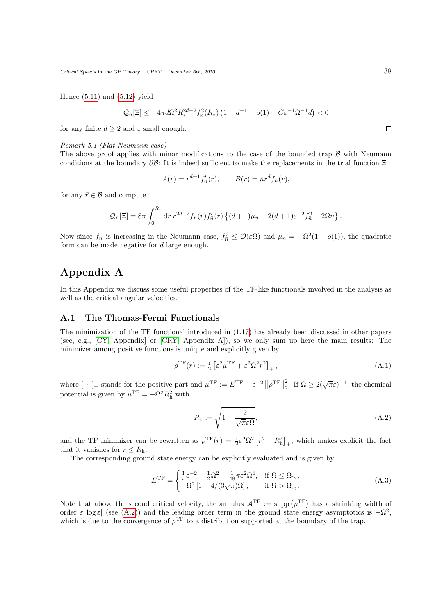Hence  $(5.11)$  and  $(5.12)$  yield

$$
\mathcal{Q}_{\bar{n}}[\Xi]\leq-4\pi d\Omega^2R_*^{2d+2}f_{\bar{n}}^2(R_*)\left(1-d^{-1}-o(1)-C\varepsilon^{-1}\Omega^{-1}d\right)<0
$$

for any finite  $d \geq 2$  and  $\varepsilon$  small enough.

#### Remark 5.1 (Flat Neumann case)

The above proof applies with minor modifications to the case of the bounded trap  $\beta$  with Neumann conditions at the boundary  $\partial \mathcal{B}$ : It is indeed sufficient to make the replacements in the trial function  $\Xi$ 

$$
A(r) = r^{d+1} f'_{\bar{n}}(r), \qquad B(r) = \bar{n}r^d f_{\bar{n}}(r),
$$

for any  $\vec{r} \in \mathcal{B}$  and compute

$$
Q_{\bar{n}}[\Xi] = 8\pi \int_0^{R_*} dr \, r^{2d+2} f_{\bar{n}}(r) f'_{\bar{n}}(r) \left\{ (d+1)\mu_{\bar{n}} - 2(d+1)\varepsilon^{-2} f_{\bar{n}}^2 + 2\Omega \bar{n} \right\}.
$$

Now since  $f_{\bar{n}}$  is increasing in the Neumann case,  $f_{\bar{n}}^2 \leq \mathcal{O}(\varepsilon \Omega)$  and  $\mu_{\bar{n}} = -\Omega^2(1 - o(1))$ , the quadratic form can be made negative for d large enough.

# Appendix A

<span id="page-37-0"></span>In this Appendix we discuss some useful properties of the TF-like functionals involved in the analysis as well as the critical angular velocities.

## <span id="page-37-1"></span>A.1 The Thomas-Fermi Functionals

The minimization of the TF functional introduced in [\(1.17\)](#page-4-3) has already been discussed in other papers (see, e.g., [\[CY,](#page-39-7) Appendix] or [\[CRY,](#page-39-8) Appendix A]), so we only sum up here the main results: The minimizer among positive functions is unique and explicitly given by

$$
\rho^{\rm TF}(r) := \frac{1}{2} \left[ \varepsilon^2 \mu^{\rm TF} + \varepsilon^2 \Omega^2 r^2 \right]_+, \tag{A.1}
$$

where  $[\cdot]_+$  stands for the positive part and  $\mu^{\rm TF} := E^{\rm TF} + \varepsilon^{-2} ||\rho^{\rm TF}||$ 2 <sup>2</sup><sub>2</sub>. If  $\Omega \ge 2(\sqrt{\pi}\varepsilon)^{-1}$ , the chemical potential is given by  $\mu^{\text{TF}} = -\Omega^2 R_h^2$  with

$$
R_{\rm h} := \sqrt{1 - \frac{2}{\sqrt{\pi}\varepsilon\Omega}},\tag{A.2}
$$

and the TF minimizer can be rewritten as  $\rho^{\text{TF}}(r) = \frac{1}{2} \varepsilon^2 \Omega^2 \left[ r^2 - R_h^2 \right]_+$ , which makes explicit the fact that it vanishes for  $r \leq R_h$ .

The corresponding ground state energy can be explicitly evaluated and is given by

$$
E^{\rm TF} = \begin{cases} \frac{1}{\pi} \varepsilon^{-2} - \frac{1}{2} \Omega^2 - \frac{1}{48} \pi \varepsilon^2 \Omega^4, & \text{if } \Omega \le \Omega_{c_2}, \\ -\Omega^2 \left[ 1 - 4/(3\sqrt{\pi})\Omega \right], & \text{if } \Omega > \Omega_{c_2}. \end{cases}
$$
(A.3)

Note that above the second critical velocity, the annulus  $A^{TF} := \text{supp}(\rho^{TF})$  has a shrinking width of order  $\varepsilon$  log  $\varepsilon$  (see [\(A.2\)](#page-35-5)) and the leading order term in the ground state energy asymptotics is  $-\Omega^2$ . which is due to the convergence of  $\rho^{\text{TF}}$  to a distribution supported at the boundary of the trap.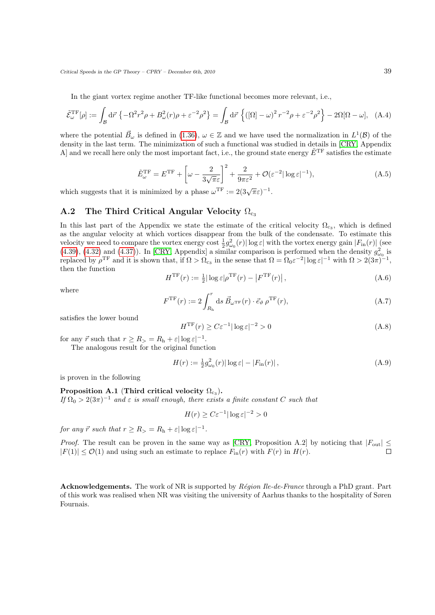In the giant vortex regime another TF-like functional becomes more relevant, i.e.,

$$
\tilde{\mathcal{E}}_{\omega}^{\mathrm{TF}}[\rho] := \int_{\mathcal{B}} d\vec{r} \left\{ -\Omega^2 r^2 \rho + B_{\omega}^2(r) \rho + \varepsilon^{-2} \rho^2 \right\} = \int_{\mathcal{B}} d\vec{r} \left\{ \left( [\Omega] - \omega \right)^2 r^{-2} \rho + \varepsilon^{-2} \rho^2 \right\} - 2\Omega [\Omega - \omega], \quad (A.4)
$$

where the potential  $\vec{B}_{\omega}$  is defined in [\(1.36\)](#page-8-4),  $\omega \in \mathbb{Z}$  and we have used the normalization in  $L^1(\mathcal{B})$  of the density in the last term. The minimization of such a functional was studied in details in [\[CRY,](#page-39-8) Appendix A] and we recall here only the most important fact, i.e., the ground state energy  $\tilde{E}^{\text{TF}}$  satisfies the estimate

$$
\tilde{E}_{\omega}^{\text{TF}} = E^{\text{TF}} + \left[ \omega - \frac{2}{3\sqrt{\pi}\varepsilon} \right]^2 + \frac{2}{9\pi\varepsilon^2} + \mathcal{O}(\varepsilon^{-2}|\log\varepsilon|^{-1}),\tag{A.5}
$$

which suggests that it is minimized by a phase  $\omega^{\text{TF}} := 2(3\sqrt{\pi}\varepsilon)^{-1}$ .

## <span id="page-38-0"></span>A.2 The Third Critical Angular Velocity  $\Omega_{\rm{c3}}$

In this last part of the Appendix we state the estimate of the critical velocity  $\Omega_{c_3}$ , which is defined as the angular velocity at which vortices disappear from the bulk of the condensate. To estimate this velocity we need to compare the vortex energy cost  $\frac{1}{2}g_{\omega_0}^2(r)|\log \varepsilon|$  with the vortex energy gain  $|F_{\text{in}}(r)|$  (see  $(4.39), (4.32)$  $(4.39), (4.32)$  $(4.39), (4.32)$  and  $(4.37)$ ). In [\[CRY,](#page-39-8) Appendix] a similar comparison is performed when the density  $g_{\omega_0}^2$  is replaced by  $\rho^{\text{TF}}$  and it is shown that, if  $\Omega > \Omega_{c_3}$  in the sense that  $\Omega = \Omega_0 \varepsilon^{-2} |\log \varepsilon|^{-1}$  with  $\Omega > 2(3\pi)^{-1}$ , then the function

$$
H^{\rm TF}(r) := \frac{1}{2} |\log \varepsilon| \rho^{\rm TF}(r) - \left| F^{\rm TF}(r) \right|,\tag{A.6}
$$

where

$$
F^{\rm TF}(r) := 2 \int_{R_{\rm h}}^r ds \, \vec{B}_{\omega^{\rm TF}}(r) \cdot \vec{e}_{\vartheta} \, \rho^{\rm TF}(r), \tag{A.7}
$$

satisfies the lower bound

$$
H^{\rm TF}(r) \ge C\varepsilon^{-1} |\log \varepsilon|^{-2} > 0\tag{A.8}
$$

for any  $\vec{r}$  such that  $r \geq R$ <sub>></sub> =  $R$ <sub>h</sub> +  $\varepsilon |log \varepsilon|^{-1}$ .

The analogous result for the original function

$$
H(r) := \frac{1}{2} g_{\omega_0}^2(r) |\log \varepsilon| - |F_{\rm in}(r)|\,,\tag{A.9}
$$

is proven in the following

## <span id="page-38-1"></span> $\textbf{Proposition A.1} \text{ (Third critical velocity } \Omega_{\text{c}_3}\text{).}$

If  $\Omega_0 > 2(3\pi)^{-1}$  and  $\varepsilon$  is small enough, there exists a finite constant C such that

$$
H(r) \ge C\varepsilon^{-1}|\log \varepsilon|^{-2} > 0
$$

for any  $\vec{r}$  such that  $r \geq R$ <sub>></sub> =  $R$ <sub>h</sub> +  $\varepsilon$ | log  $\varepsilon$ |<sup>-1</sup>.

*Proof.* The result can be proven in the same way as [\[CRY,](#page-39-8) Proposition A.2] by noticing that  $|F_{out}| \le$  $|F(1)| \leq \mathcal{O}(1)$  and using such an estimate to replace  $F_{\text{in}}(r)$  with  $F(r)$  in  $H(r)$ .  $\Box$ 

Acknowledgements. The work of NR is supported by  $Région$   $Re-de-France$  through a PhD grant. Part of this work was realised when NR was visiting the university of Aarhus thanks to the hospitality of Søren Fournais.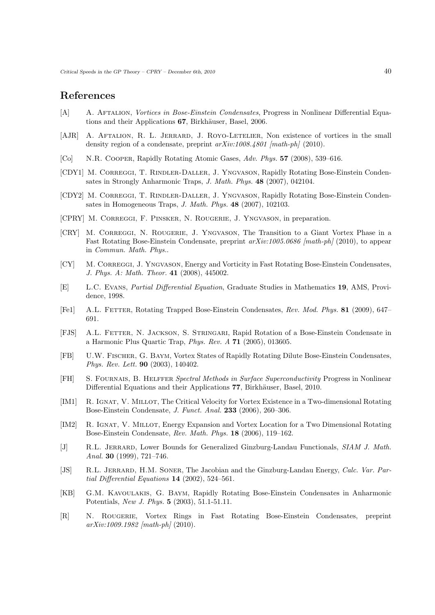## References

- <span id="page-39-2"></span>[A] A. Aftalion, Vortices in Bose-Einstein Condensates, Progress in Nonlinear Differential Equations and their Applications 67, Birkhäuser, Basel, 2006.
- <span id="page-39-13"></span>[AJR] A. AFTALION, R. L. JERRARD, J. ROYO-LETELIER, Non existence of vortices in the small density region of a condensate, preprint  $arXiv:1008.4801$  [math-ph] (2010).
- <span id="page-39-0"></span>[Co] N.R. Cooper, Rapidly Rotating Atomic Gases, Adv. Phys. 57 (2008), 539–616.
- <span id="page-39-6"></span>[CDY1] M. CORREGGI, T. RINDLER-DALLER, J. YNGVASON, Rapidly Rotating Bose-Einstein Condensates in Strongly Anharmonic Traps, J. Math. Phys. 48 (2007), 042104.
- [CDY2] M. CORREGGI, T. RINDLER-DALLER, J. YNGVASON, Rapidly Rotating Bose-Einstein Condensates in Homogeneous Traps, J. Math. Phys. 48 (2007), 102103.
- <span id="page-39-10"></span>[CPRY] M. Correggi, F. Pinsker, N. Rougerie, J. Yngvason, in preparation.
- <span id="page-39-8"></span>[CRY] M. Correggi, N. Rougerie, J. Yngvason, The Transition to a Giant Vortex Phase in a Fast Rotating Bose-Einstein Condensate, preprint  $arXiv:1005.0686$  [math-ph] (2010), to appear in Commun. Math. Phys..
- <span id="page-39-7"></span>[CY] M. CORREGGI, J. YNGVASON, Energy and Vorticity in Fast Rotating Bose-Einstein Condensates, J. Phys. A: Math. Theor. 41 (2008), 445002.
- <span id="page-39-17"></span>[E] L.C. Evans, Partial Differential Equation, Graduate Studies in Mathematics 19, AMS, Providence, 1998.
- <span id="page-39-1"></span>[Fe1] A.L. Fetter, Rotating Trapped Bose-Einstein Condensates, Rev. Mod. Phys. 81 (2009), 647– 691.
- <span id="page-39-3"></span>[FJS] A.L. Fetter, N. Jackson, S. Stringari, Rapid Rotation of a Bose-Einstein Condensate in a Harmonic Plus Quartic Trap, Phys. Rev. A 71 (2005), 013605.
- <span id="page-39-4"></span>[FB] U.W. Fischer, G. Baym, Vortex States of Rapidly Rotating Dilute Bose-Einstein Condensates, Phys. Rev. Lett. 90 (2003), 140402.
- <span id="page-39-14"></span>[FH] S. Fournais, B. Helffer Spectral Methods in Surface Superconductivity Progress in Nonlinear Differential Equations and their Applications 77, Birkhäuser, Basel, 2010.
- <span id="page-39-11"></span>[IM1] R. IGNAT, V. MILLOT, The Critical Velocity for Vortex Existence in a Two-dimensional Rotating Bose-Einstein Condensate, J. Funct. Anal. 233 (2006), 260–306.
- <span id="page-39-12"></span>[IM2] R. IGNAT, V. MILLOT, Energy Expansion and Vortex Location for a Two Dimensional Rotating Bose-Einstein Condensate, Rev. Math. Phys. 18 (2006), 119–162.
- <span id="page-39-15"></span>[J] R.L. JERRARD, Lower Bounds for Generalized Ginzburg-Landau Functionals, SIAM J. Math. Anal. **30** (1999), 721-746.
- <span id="page-39-16"></span>[JS] R.L. JERRARD, H.M. SONER, The Jacobian and the Ginzburg-Landau Energy, Calc. Var. Partial Differential Equations 14 (2002), 524–561.
- <span id="page-39-5"></span>[KB] G.M. Kavoulakis, G. Baym, Rapidly Rotating Bose-Einstein Condensates in Anharmonic Potentials, New J. Phys. 5 (2003), 51.1-51.11.
- <span id="page-39-9"></span>[R] N. Rougerie, Vortex Rings in Fast Rotating Bose-Einstein Condensates, preprint  $arXiv:1009.1982$  [math-ph] (2010).